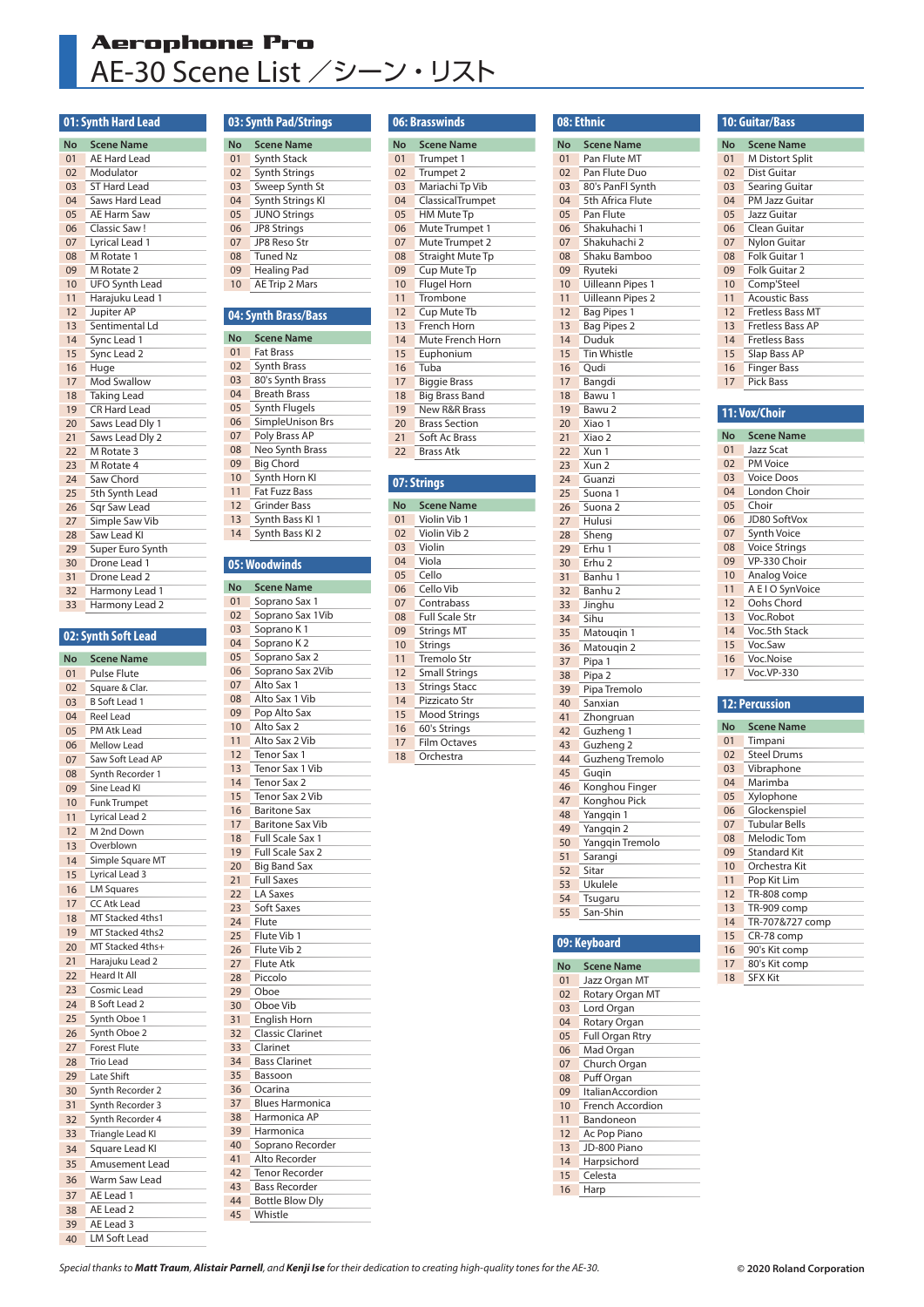## **Aerophone Pro** AE-30 Scene List /シーン・リスト

### **01: Synth Hard Lead**

| <b>No</b>      | <b>Scene Name</b>     |
|----------------|-----------------------|
| 01             | <b>AE Hard Lead</b>   |
| 02             | Modulator             |
| 03             | ST Hard Lead          |
| 04             | Saws Hard Lead        |
| 0 <sub>5</sub> | AE Harm Saw           |
| 06             | Classic Saw!          |
| 07             | Lyrical Lead 1        |
| 08             | M Rotate 1            |
| 09             | M Rotate 2            |
| 10             | <b>UFO Synth Lead</b> |
| 11             | Harajuku Lead 1       |
| 12             | Jupiter AP            |
| 13             | Sentimental Ld        |
| 14             | Sync Lead 1           |
| 15             | Sync Lead 2           |
| 16             | Huge                  |
| 17             | <b>Mod Swallow</b>    |
| 18             | <b>Taking Lead</b>    |
| 19             | <b>CR Hard Lead</b>   |
| 20             | Saws Lead Dly 1       |
| 21             | Saws Lead Dly 2       |
| 22             | M Rotate 3            |
| 23             | M Rotate 4            |
| 24             | Saw Chord             |
| 25             | 5th Synth Lead        |
| 26             | Sqr Saw Lead          |
| 27             | Simple Saw Vib        |
| 28             | Saw Lead KI           |
| 29             | Super Euro Synth      |
| 30             | Drone Lead 1          |
| 31             | Drone Lead 2          |
| 32             | Harmony Lead 1        |
| 33             | Harmony Lead 2        |

### **02: Synth Soft Lead**

| No | <b>Scene Name</b>    |
|----|----------------------|
| 01 | <b>Pulse Flute</b>   |
| 02 | Square & Clar.       |
| 03 | <b>B</b> Soft Lead 1 |
| 04 | <b>Reel Lead</b>     |
| 05 | PM Atk Lead          |
| 06 | <b>Mellow Lead</b>   |
| 07 | Saw Soft Lead AP     |
| 08 | Synth Recorder 1     |
| 09 | Sine Lead KI         |
| 10 | Funk Trumpet         |
| 11 | Lyrical Lead 2       |
| 12 | M 2nd Down           |
| 13 | Overblown            |
| 14 | Simple Square MT     |
| 15 | Lyrical Lead 3       |
| 16 | <b>LM Squares</b>    |
| 17 | CC Atk Lead          |
| 18 | MT Stacked 4ths1     |
| 19 | MT Stacked 4ths2     |
| 20 | MT Stacked 4ths+     |
| 21 | Harajuku Lead 2      |
| 22 | <b>Heard It All</b>  |
| 23 | Cosmic Lead          |
| 24 | <b>B Soft Lead 2</b> |
| 25 | Synth Oboe 1         |
| 26 | Synth Oboe 2         |
| 27 | <b>Forest Flute</b>  |
| 28 | <b>Trio Lead</b>     |
| 29 | Late Shift           |
| 30 | Synth Recorder 2     |
| 31 | Synth Recorder 3     |
| 32 | Synth Recorder 4     |
| 33 | Triangle Lead KI     |
| 34 | Square Lead KI       |
| 35 | Amusement Lead       |
| 36 | Warm Saw Lead        |
| 37 | AE Lead 1            |
| 38 | AE Lead 2            |
| 39 | AE Lead 3            |
| 40 | <b>LM Soft Lead</b>  |

### **03: Synth Pad/Strings**

| No             | <b>Scene Name</b>     |
|----------------|-----------------------|
| 01             | Synth Stack           |
| 0 <sub>2</sub> | <b>Synth Strings</b>  |
| 03             | Sweep Synth St        |
| 04             | Synth Strings KI      |
| 05             | <b>JUNO Strings</b>   |
| 06             | <b>JP8 Strings</b>    |
| 07             | <b>IP8 Reso Str</b>   |
| 08             | <b>Tuned Nz</b>       |
| 09             | <b>Healing Pad</b>    |
| 10             | <b>AE Trip 2 Mars</b> |

### **04: Synth Brass/Bass**

| No             | <b>Scene Name</b>    |
|----------------|----------------------|
| 01             | <b>Fat Brass</b>     |
| 0 <sub>2</sub> | <b>Synth Brass</b>   |
| 03             | 80's Synth Brass     |
| 04             | <b>Breath Brass</b>  |
| 05             | Synth Flugels        |
| 06             | SimpleUnison Brs     |
| 07             | Poly Brass AP        |
| 08             | Neo Synth Brass      |
| 09             | <b>Big Chord</b>     |
| 10             | Synth Horn KI        |
| 11             | <b>Fat Fuzz Bass</b> |
| 12             | Grinder Bass         |
| 13             | Synth Bass KI 1      |
| 14             | Synth Bass KI 2      |
|                |                      |

### **05: Woodwinds**

| No | <b>Scene Name</b>       |
|----|-------------------------|
| 01 | Soprano Sax 1           |
| 02 | Soprano Sax 1Vib        |
| 03 | Soprano K1              |
| 04 | Soprano K <sub>2</sub>  |
| 05 | Soprano Sax 2           |
| 06 | Soprano Sax 2Vib        |
| 07 | Alto Sax 1              |
| 08 | Alto Sax 1 Vib          |
| 09 | Pop Alto Sax            |
| 10 | Alto Sax 2              |
| 11 | Alto Sax 2 Vib          |
| 12 | Tenor Sax 1             |
| 13 | Tenor Sax 1 Vib         |
| 14 | Tenor Sax 2             |
| 15 | Tenor Sax 2 Vib         |
| 16 | <b>Baritone Sax</b>     |
| 17 | <b>Baritone Sax Vib</b> |
| 18 | Full Scale Sax 1        |
| 19 | <b>Full Scale Sax 2</b> |
| 20 | <b>Big Band Sax</b>     |
| 21 | <b>Full Saxes</b>       |
| 22 | LA Saxes                |
| 23 | <b>Soft Saxes</b>       |
| 24 | Flute                   |
| 25 | Flute Vib 1             |
| 26 | Flute Vib 2             |
| 27 | Flute Atk               |
| 28 | Piccolo                 |
| 29 | Oboe                    |
| 30 | Oboe Vib                |
| 31 | English Horn            |
| 32 | <b>Classic Clarinet</b> |
| 33 | Clarinet                |
| 34 | <b>Bass Clarinet</b>    |
| 35 | Bassoon                 |
| 36 | Ocarina                 |
| 37 | <b>Blues Harmonica</b>  |
| 38 | Harmonica AP            |
| 39 | Harmonica               |
| 40 | Soprano Recorder        |
| 41 | Alto Recorder           |
| 42 | <b>Tenor Recorder</b>   |
| 43 | <b>Bass Recorder</b>    |
| 44 | <b>Bottle Blow Dly</b>  |
| 45 | Whistle                 |
|    |                         |

### **06: Brasswinds**

| <b>Scene Name</b>        |
|--------------------------|
| Trumpet 1                |
| Trumpet 2                |
| Mariachi Tp Vib          |
| ClassicalTrumpet         |
| <b>HM Mute Tp</b>        |
| Mute Trumpet 1           |
| Mute Trumpet 2           |
| <b>Straight Mute Tp</b>  |
| Cup Mute Tp              |
| <b>Flugel Horn</b>       |
| Trombone                 |
| Cup Mute Tb              |
| French Horn              |
| Mute French Horn         |
| Euphonium                |
| Tuba                     |
| <b>Biggie Brass</b>      |
| <b>Big Brass Band</b>    |
| <b>New R&amp;R Brass</b> |
| <b>Brass Section</b>     |
| Soft Ac Brass            |
| <b>Brass Atk</b>         |
|                          |

### **07: Strings**

| No             | <b>Scene Name</b>     |
|----------------|-----------------------|
| 01             | Violin Vib 1          |
| 0 <sub>2</sub> | Violin Vib 2          |
| 03             | Violin                |
| 04             | Viola                 |
| 05             | Cello                 |
| 06             | Cello Vib             |
| 07             | Contrabass            |
| 08             | <b>Full Scale Str</b> |
| 09             | <b>Strings MT</b>     |
| 10             | Strings               |
| 11             | Tremolo Str           |
| 12             | <b>Small Strings</b>  |
| 13             | <b>Strings Stacc</b>  |
| 14             | Pizzicato Str         |
| 15             | <b>Mood Strings</b>   |
| 16             | 60's Strings          |
| 17             | <b>Film Octaves</b>   |
|                |                       |

Orchestra

|    | 08: Ethnic                  |
|----|-----------------------------|
| No | <b>Scene Name</b>           |
| 01 | Pan Flute MT                |
| 02 | Pan Flute Duo               |
| 03 | 80's PanFl Synth            |
| 04 | 5th Africa Flute            |
| 05 | Pan Flute                   |
| 06 | Shakuhachi 1                |
| 07 |                             |
| 08 | Shakuhachi 2                |
| 09 | Shaku Bamboo<br>Ryuteki     |
| 10 |                             |
|    | Uilleann Pipes 1            |
| 11 | <b>Uilleann Pipes 2</b>     |
| 12 | <b>Bag Pipes 1</b>          |
| 13 | <b>Bag Pipes 2</b><br>Duduk |
| 14 |                             |
| 15 | <b>Tin Whistle</b>          |
| 16 | Qudi                        |
| 17 | Bangdi                      |
| 18 | Bawu 1                      |
| 19 | Bawu 2                      |
| 20 | Xiao 1                      |
| 21 | Xiao 2                      |
| 22 | Xun 1                       |
| 23 | Xun 2                       |
| 24 | Guanzi                      |
| 25 | Suona 1                     |
| 26 | Suona 2                     |
| 27 | Hulusi                      |
| 28 | Sheng                       |
| 29 | Erhu 1                      |
| 30 | Erhu <sub>2</sub>           |
| 31 | Banhu 1                     |
| 32 | Banhu 2                     |
| 33 | Jinghu                      |
| 34 | Sihu                        |
| 35 | Matougin 1                  |
| 36 | Matouqin 2                  |
| 37 | Pipa 1                      |
| 38 | Pipa 2                      |
| 39 | Pipa Tremolo                |
| 40 | Sanxian                     |
| 41 | Zhongruan                   |
| 42 | Guzheng 1                   |
| 43 | Guzheng <sub>2</sub>        |
| 44 | <b>Guzheng Tremolo</b>      |
| 45 | Gugin                       |
| 46 | Konghou Finger              |
| 47 | Konghou Pick                |
| 48 | Yangqin 1                   |
| 49 | Yangqin 2                   |
| 50 | Yangqin Tremolo             |
| 51 | Sarangi                     |
| 52 | Sitar                       |
| 53 | Ukulele                     |
| 54 | Tsugaru                     |
| 55 | San-Shin                    |
|    |                             |
|    | 09: Keyboard                |
|    |                             |

#### **No Scene Name** 01 Jazz Organ MT<br>02 Rotary Organ M 02 Rotary Organ MT Lord Organ 04 Rotary Organ 05 Full Organ Rtry<br>06 Mad Organ 06 Mad Organ<br>07 Church Org 07 Church Organ Puff Organ 09 ItalianAccordion 10 French Accordion<br>11 Bandoneon 11 Bandoneon<br>12 Ac Pop Pian Ac Pop Piano JD-800 Piano 14 Harpsichord Celesta 16 Harp

| <b>10: Guitar/Bass</b> |                         |  |  |  |  |  |  |
|------------------------|-------------------------|--|--|--|--|--|--|
| No                     | <b>Scene Name</b>       |  |  |  |  |  |  |
| 0 <sub>1</sub>         | <b>M Distort Split</b>  |  |  |  |  |  |  |
| 02                     | Dist Guitar             |  |  |  |  |  |  |
| 0 <sub>3</sub>         | Searing Guitar          |  |  |  |  |  |  |
| 04                     | PM Jazz Guitar          |  |  |  |  |  |  |
| 05                     | Jazz Guitar             |  |  |  |  |  |  |
| 06                     | Clean Guitar            |  |  |  |  |  |  |
| 07                     | Nylon Guitar            |  |  |  |  |  |  |
| 08                     | Folk Guitar 1           |  |  |  |  |  |  |
| 09                     | Folk Guitar 2           |  |  |  |  |  |  |
| 10                     | Comp'Steel              |  |  |  |  |  |  |
| 11                     | <b>Acoustic Bass</b>    |  |  |  |  |  |  |
| 12                     | Fretless Bass MT        |  |  |  |  |  |  |
| 13                     | <b>Fretless Bass AP</b> |  |  |  |  |  |  |
| 14                     | Fretless Bass           |  |  |  |  |  |  |
| 15                     | Slap Bass AP            |  |  |  |  |  |  |
| 16                     | <b>Finger Bass</b>      |  |  |  |  |  |  |
| 17                     | <b>Pick Bass</b>        |  |  |  |  |  |  |

### **11: Vox/Choir**

| No             | <b>Scene Name</b>    |
|----------------|----------------------|
| 01             | Jazz Scat            |
| 0 <sub>2</sub> | <b>PM Voice</b>      |
| 03             | <b>Voice Doos</b>    |
| 04             | London Choir         |
| 05             | Choir                |
| 06             | JD80 SoftVox         |
| 07             | <b>Synth Voice</b>   |
| 08             | <b>Voice Strings</b> |
| 09             | VP-330 Choir         |
| 10             | <b>Analog Voice</b>  |
| 11             | A E I O SynVoice     |
| 12             | Oohs Chord           |
| 13             | Voc.Robot            |
| 14             | Voc.5th Stack        |
| 15             | Voc.Saw              |
| 16             | Voc.Noise            |
| 17             | Voc.VP-330           |
|                |                      |
|                | $12.$ Developing     |

#### **12: Percussion**

| No             | <b>Scene Name</b>    |
|----------------|----------------------|
| 0 <sub>1</sub> | Timpani              |
| 0 <sub>2</sub> | <b>Steel Drums</b>   |
| 03             | Vibraphone           |
| 04             | Marimba              |
| 05             | Xylophone            |
| 06             | Glockenspiel         |
| 07             | <b>Tubular Bells</b> |
| 08             | Melodic Tom          |
| 09             | <b>Standard Kit</b>  |
| 10             | Orchestra Kit        |
| 11             | Pop Kit Lim          |
| 12             | TR-808 comp          |
| 13             | TR-909 comp          |
| 14             | TR-707&727 comp      |
| 15             | CR-78 comp           |
| 16             | 90's Kit comp        |
| 17             | 80's Kit comp        |
| 18             | <b>SFX Kit</b>       |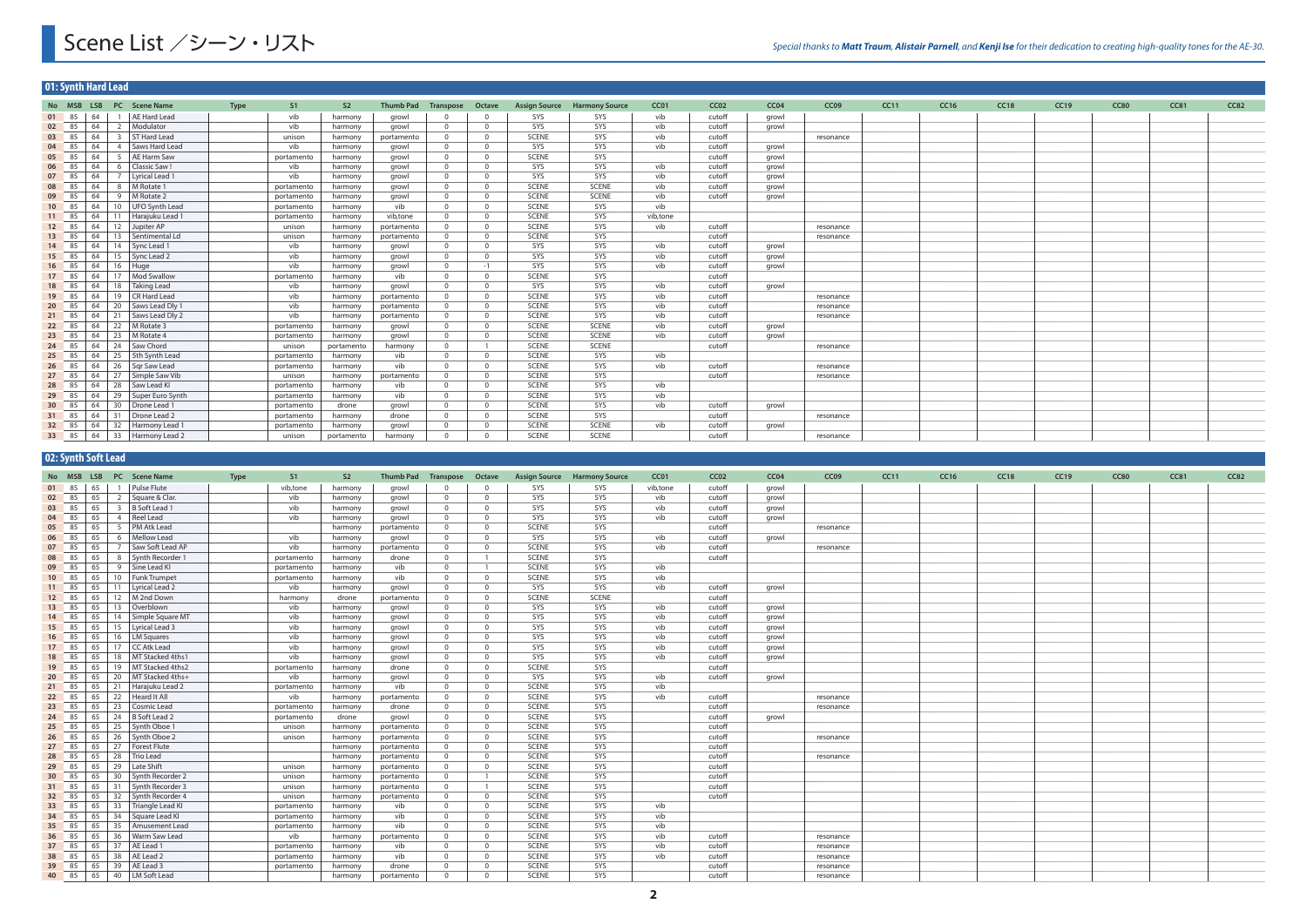# Scene List /シーン・リスト

|       | 01: Synth Hard Lead |                                            |                            |             |            |                |                            |                |                |              |                                     |          |                  |       |           |             |             |             |      |             |             |      |
|-------|---------------------|--------------------------------------------|----------------------------|-------------|------------|----------------|----------------------------|----------------|----------------|--------------|-------------------------------------|----------|------------------|-------|-----------|-------------|-------------|-------------|------|-------------|-------------|------|
|       |                     |                                            | No MSB LSB PC Scene Name   | <b>Type</b> | S1         | S <sub>2</sub> | <b>Thumb Pad Transpose</b> |                | Octave         |              | <b>Assign Source Harmony Source</b> | CC01     | CC <sub>02</sub> | CC04  | CC09      | <b>CC11</b> | <b>CC16</b> | <b>CC18</b> | CC19 | <b>CC80</b> | <b>CC81</b> | CC82 |
| 01 85 |                     | $\vert$ 64                                 | 1 AE Hard Lead             |             | vib        | harmony        | growl                      |                | $\Omega$       | SYS          | SYS                                 | vib      | cutoff           | growl |           |             |             |             |      |             |             |      |
|       | 02 85 64            |                                            | 2 Modulator                |             | vib        | harmony        | growl                      | $\Omega$       | $\overline{0}$ | SYS          | SYS                                 | vib      | cutoff           | growl |           |             |             |             |      |             |             |      |
|       | 03 85 64            |                                            | 3   ST Hard Lead           |             | unison     | harmony        | portamento                 | $\Omega$       | $\overline{0}$ | <b>SCENE</b> | SYS                                 | vib      | cutoff           |       | resonance |             |             |             |      |             |             |      |
| 04 85 |                     | 64                                         | 4   Saws Hard Lead         |             | vib        | harmony        | growl                      | $\Omega$       | $\Omega$       | SYS          | SYS                                 | vib      | cutoff           | growl |           |             |             |             |      |             |             |      |
| 05 85 |                     | 64                                         | 5   AE Harm Saw            |             | portamento | harmony        | growl                      | $\overline{0}$ | $\overline{0}$ | <b>SCENE</b> | SYS                                 |          | cutoff           | growl |           |             |             |             |      |             |             |      |
| 06 85 |                     | 64                                         | 6 Classic Saw!             |             | vib        | harmony        | growl                      | $\overline{0}$ | $\Omega$       | SYS          | SYS                                 | vib      | cutoff           | growl |           |             |             |             |      |             |             |      |
|       | 07 85 64            |                                            | 7 Lyrical Lead 1           |             | vib        | harmony        | growl                      | $\Omega$       | $\Omega$       | SYS          | SYS                                 | vib      | cutoff           | growl |           |             |             |             |      |             |             |      |
| 08 85 |                     | 64                                         | 8   M Rotate 1             |             | portamento | harmony        | growl                      | $\overline{0}$ | $\Omega$       | <b>SCENE</b> | <b>SCENE</b>                        | vib      | cutoff           | growl |           |             |             |             |      |             |             |      |
| 09 85 |                     | 64                                         | 9 M Rotate 2               |             | portamento | harmony        | growl                      | $\Omega$       | $\Omega$       | <b>SCENE</b> | <b>SCENE</b>                        | vib      | cutoff           | growl |           |             |             |             |      |             |             |      |
| 10 85 |                     | 64                                         | 10   UFO Synth Lead        |             | portamento | harmony        | vib                        | $\Omega$       | $\Omega$       | <b>SCENE</b> | SYS                                 | vib      |                  |       |           |             |             |             |      |             |             |      |
| 11 85 |                     | 64                                         | 11 Harajuku Lead 1         |             | portamento | harmony        | vib.tone                   | $\Omega$       | $\Omega$       | <b>SCENE</b> | SYS                                 | vib.tone |                  |       |           |             |             |             |      |             |             |      |
| 12 85 |                     | 64                                         | 12 Jupiter AP              |             | unison     | harmony        | portamento                 | $\Omega$       | $\overline{0}$ | SCENE        | SYS                                 | vib      | cutoff           |       | resonance |             |             |             |      |             |             |      |
| 13 85 |                     | 64                                         | 13   Sentimental Ld        |             | unison     | harmony        | portamento                 | $\Omega$       | $\overline{0}$ | <b>SCENE</b> | SYS                                 |          | cutoff           |       | resonance |             |             |             |      |             |             |      |
| 14 85 |                     | 64                                         | 14 Sync Lead 1             |             | vib        | harmony        | growl                      | $\Omega$       | $\overline{0}$ | SYS          | SYS                                 | vib      | cutoff           | growl |           |             |             |             |      |             |             |      |
|       | 15 85 64            |                                            | 15 Sync Lead 2             |             | vib        | harmony        | growl                      | $\Omega$       | $\overline{0}$ | SYS          | SYS                                 | vib      | cutoff           | growl |           |             |             |             |      |             |             |      |
|       | $16 \t 85 \t 64$    |                                            | 16 Huge                    |             | vib        | harmony        | growl                      | $\Omega$       | $-1$           | SYS          | SYS                                 | vib      | cutoff           | growl |           |             |             |             |      |             |             |      |
| 17 85 |                     | 64                                         | 17 Mod Swallow             |             | portamento | harmony        | vib                        | $\Omega$       | $\overline{0}$ | <b>SCENE</b> | SYS                                 |          | cutoff           |       |           |             |             |             |      |             |             |      |
| 18 85 |                     |                                            | $64$   18   Taking Lead    |             | vib        | harmony        | growl                      | $\Omega$       | $\Omega$       | SYS          | SYS                                 | vib      | cutoff           | growl |           |             |             |             |      |             |             |      |
| 19 85 |                     | 64                                         | 19   CR Hard Lead          |             | vib        | harmony        | portamento                 | $\Omega$       | $\Omega$       | SCENE        | SYS                                 | vib      | cutoff           |       | resonance |             |             |             |      |             |             |      |
| 20 85 |                     |                                            | 64   20   Saws Lead Dly 1  |             | vib        | harmony        | portamento                 |                | $\overline{0}$ | SCENE        | SYS                                 | vib      | cutoff           |       | resonance |             |             |             |      |             |             |      |
| 21 85 |                     | 64                                         | 21 Saws Lead Dly 2         |             | vib        | harmony        | portamento                 | $\Omega$       | $\overline{0}$ | SCENE        | SYS                                 | vib      | cutoff           |       | resonance |             |             |             |      |             |             |      |
| 22 85 |                     | 64                                         | 22 M Rotate 3              |             | portamento | harmony        | growl                      | $\Omega$       | $\overline{0}$ | SCENE        | <b>SCENE</b>                        | vib      | cutoff           | growl |           |             |             |             |      |             |             |      |
| 23 85 |                     | 64                                         | 23   M Rotate 4            |             | portamento | harmony        | growl                      | $\Omega$       | $\overline{0}$ | <b>SCENE</b> | <b>SCENE</b>                        | vib      | cutoff           | growl |           |             |             |             |      |             |             |      |
|       | 24 85 64            |                                            | 24 Saw Chord               |             | unison     | portamento     | harmony                    | $\overline{0}$ |                | SCENE        | <b>SCENE</b>                        |          | cutoff           |       | resonance |             |             |             |      |             |             |      |
|       | $25 \t 85 \t 64$    |                                            | 25 5th Synth Lead          |             | portamento | harmony        | vib                        | $\Omega$       | $\Omega$       | <b>SCENE</b> | SYS                                 | vib      |                  |       |           |             |             |             |      |             |             |      |
| 26 85 |                     | 64                                         | 26   Sqr Saw Lead          |             | portamento | harmony        | vib                        | $\Omega$       | $\Omega$       | <b>SCENE</b> | SYS                                 | vib      | cutoff           |       | resonance |             |             |             |      |             |             |      |
| 27 85 |                     | 64                                         | 27 Simple Saw Vib          |             | unison     | harmony        | portamento                 | $\Omega$       | $\Omega$       | <b>SCENE</b> | SYS                                 |          | cutoff           |       | resonance |             |             |             |      |             |             |      |
| 28 85 |                     | 64                                         | 28 Saw Lead KI             |             | portamento | harmony        | vib                        | $\overline{0}$ | $\overline{0}$ | <b>SCENE</b> | SYS                                 | vib      |                  |       |           |             |             |             |      |             |             |      |
| 29 85 |                     | 64                                         | 29 Super Euro Synth        |             | portamento | harmony        | vib                        | $\Omega$       | $\overline{0}$ | <b>SCENE</b> | SYS                                 | vib      |                  |       |           |             |             |             |      |             |             |      |
| 30 85 |                     | 64                                         | 30 Drone Lead 1            |             | portamento | drone          | growl                      | $\Omega$       | $\overline{0}$ | SCENE        | SYS                                 | vib      | cutoff           | growl |           |             |             |             |      |             |             |      |
| 31 85 |                     | 64                                         | 31 Drone Lead 2            |             | portamento | harmony        | drone                      | $\Omega$       | $\overline{0}$ | SCENE        | SYS                                 |          | cutoff           |       | resonance |             |             |             |      |             |             |      |
| 32 85 |                     | $\begin{array}{ c } \hline \end{array}$ 64 | 32 Harmony Lead 1          |             | portamento | harmony        | growl                      | $\Omega$       | $\overline{0}$ | <b>SCENE</b> | <b>SCENE</b>                        | vib      | cutoff           | growl |           |             |             |             |      |             |             |      |
|       |                     |                                            | 33 85 64 33 Harmony Lead 2 |             | unison     | portamento     | harmony                    |                | $\Omega$       | <b>SCENE</b> | <b>SCENE</b>                        |          | cutoff           |       | resonance |             |             |             |      |             |             |      |

## **02: Synth Soft Lead**

|       |    |          | No MSB LSB PC Scene Name   | Type | S1         | S <sub>2</sub>     | Thumb Pad Transpose      |                | Octave         |                       | <b>Assign Source Harmony Source</b> | CC01     | CCO2   | CC <sub>04</sub> | CC <sub>09</sub> | CC11 | <b>CC16</b> | <b>CC18</b> | <b>CC19</b> | <b>CC80</b> | CC81 | CC82 |
|-------|----|----------|----------------------------|------|------------|--------------------|--------------------------|----------------|----------------|-----------------------|-------------------------------------|----------|--------|------------------|------------------|------|-------------|-------------|-------------|-------------|------|------|
| 01 85 | 65 |          | <b>Pulse Flute</b>         |      | vib,tone   | harmony            | growl                    | $\Omega$       | $\Omega$       | SYS                   | SYS                                 | vib,tone | cutoff | growl            |                  |      |             |             |             |             |      |      |
| 02 85 |    | 65       | 2 Square & Clar.           |      | vib        | harmony            | growl                    | $\overline{0}$ | $\Omega$       | SYS                   | SYS                                 | vib      | cutoff | growl            |                  |      |             |             |             |             |      |      |
| 03 85 |    | 65       | 3 B Soft Lead 1            |      | vib        | harmony            | growl                    | $\overline{0}$ | $\Omega$       | SYS                   | SYS                                 | vib      | cutoff | growl            |                  |      |             |             |             |             |      |      |
| 04 85 |    | 65       | 4 Reel Lead                |      | vib        | harmony            | growl                    | $\overline{0}$ | $\Omega$       | SYS                   | <b>SYS</b>                          | vib      | cutoff | growl            |                  |      |             |             |             |             |      |      |
| 05 85 |    | 65       | 5   PM Atk Lead            |      |            | harmony            | portamento               | $\overline{0}$ | $\overline{0}$ | SCENE                 | SYS                                 |          | cutoff |                  | resonance        |      |             |             |             |             |      |      |
| 06 85 |    | 65       | 6   Mellow Lead            |      | vib        | harmony            | growl                    | $\overline{0}$ | $\Omega$       | SYS                   | SYS                                 | vib      | cutoff | growl            |                  |      |             |             |             |             |      |      |
| 07 85 |    | 65       | 7 Saw Soft Lead AP         |      | vib        | harmony            | portamento               | $\overline{0}$ | $\Omega$       | <b>SCENE</b>          | SYS                                 | vib      | cutoff |                  | resonance        |      |             |             |             |             |      |      |
| 08 85 |    | 65       | 8   Synth Recorder 1       |      | portamento | harmony            | drone                    | $\overline{0}$ |                | <b>SCENE</b>          | SYS                                 |          | cutoff |                  |                  |      |             |             |             |             |      |      |
| 09 85 |    | 65       | 9 Sine Lead KI             |      | portamento | harmony            | vib                      | $\overline{0}$ | $\overline{1}$ | <b>SCENE</b>          | SYS                                 | vib      |        |                  |                  |      |             |             |             |             |      |      |
| 10 85 |    | 65       | 10   Funk Trumpet          |      | portamento | harmony            | vib                      | $\overline{0}$ | $\Omega$       | <b>SCENE</b>          | SYS                                 | vib      |        |                  |                  |      |             |             |             |             |      |      |
| 11 85 |    | 65<br>11 | Lyrical Lead 2             |      | vib        | harmony            | growl                    | $\overline{0}$ | $\Omega$       | SYS                   | SYS                                 | vib      | cutoff | growl            |                  |      |             |             |             |             |      |      |
| 12 85 |    | 65       | 12   M 2nd Down            |      | harmony    | drone              | portamento               | $\overline{0}$ | $\Omega$       | <b>SCENE</b>          | SCENE                               |          | cutoff |                  |                  |      |             |             |             |             |      |      |
| 13 85 |    | 65       | 13 Overblown               |      | vib        | harmony            | growl                    | $\overline{0}$ | $\Omega$       | SYS                   | SYS                                 | vib      | cutoff | growl            |                  |      |             |             |             |             |      |      |
| 14 85 |    | 65       | 14   Simple Square MT      |      | vib        | harmony            | growl                    | $\overline{0}$ | $\Omega$       | SYS                   | SYS                                 | vib      | cutoff | growl            |                  |      |             |             |             |             |      |      |
| 15 85 |    | 65       | 15   Lyrical Lead 3        |      | vib        | harmony            | growl                    | $\overline{0}$ | $\Omega$       | SYS                   | SYS                                 | vib      | cutoff | growl            |                  |      |             |             |             |             |      |      |
| 16 85 |    | 65       | 16   LM Squares            |      | vib        | harmony            | growl                    | $\overline{0}$ | $\Omega$       | SYS                   | SYS                                 | vib      | cutoff | growl            |                  |      |             |             |             |             |      |      |
| 17 85 |    | 65       | 17 CC Atk Lead             |      | vib        | harmony            | growl                    | $\overline{0}$ | $\Omega$       | SYS                   | SYS                                 | vib      | cutoff | growl            |                  |      |             |             |             |             |      |      |
| 18 85 |    | 65       | 18   MT Stacked 4ths1      |      | vib        | harmony            | growl                    | $\overline{0}$ | $\Omega$       | SYS                   | SYS                                 | vib      | cutoff | growl            |                  |      |             |             |             |             |      |      |
| 19 85 |    | 65       | 19   MT Stacked 4ths2      |      | portamento | harmony            | drone                    | $\overline{0}$ | $\Omega$       | <b>SCENE</b>          | SYS                                 |          | cutoff |                  |                  |      |             |             |             |             |      |      |
| 20 85 |    | 65       | 20   MT Stacked 4ths+      |      | vib        | harmony            | growl                    | $\overline{0}$ | $\overline{0}$ | SYS                   | SYS                                 | vib      | cutoff | growl            |                  |      |             |             |             |             |      |      |
| 21 85 |    |          | 65   21   Harajuku Lead 2  |      | portamento | harmony            | vib                      | $\overline{0}$ | $\Omega$       | <b>SCENE</b>          | SYS                                 | vib      |        |                  |                  |      |             |             |             |             |      |      |
| 22 85 |    |          | $65$   22   Heard It All   |      | vib        | harmony            | portamento               | $\overline{0}$ | $\Omega$       | <b>SCENE</b>          | SYS                                 | vib      | cutoff |                  | resonance        |      |             |             |             |             |      |      |
| 23 85 |    |          | 65 23 Cosmic Lead          |      | portamento | harmony            | drone                    | $\overline{0}$ | $\Omega$       | <b>SCENE</b>          | SYS                                 |          | cutoff |                  | resonance        |      |             |             |             |             |      |      |
| 24 85 |    | 65       | $\vert$ 24   B Soft Lead 2 |      | portamento | drone              | growl                    | $\overline{0}$ | $\Omega$       | <b>SCENE</b>          | SYS                                 |          | cutoff | growl            |                  |      |             |             |             |             |      |      |
| 25 85 |    |          | $65$   25   Synth Oboe 1   |      | unison     | harmony            |                          | $\Omega$       | $\Omega$       | <b>SCENE</b>          | SYS                                 |          | cutoff |                  |                  |      |             |             |             |             |      |      |
| 26 85 |    | 65       | 26 Synth Oboe 2            |      | unison     | harmony            | portamento<br>portamento | $\overline{0}$ | $\Omega$       | <b>SCENE</b>          | SYS                                 |          | cutoff |                  | resonance        |      |             |             |             |             |      |      |
| 27 85 |    |          | 65   27   Forest Flute     |      |            |                    |                          | $\overline{0}$ | $\overline{0}$ | <b>SCENE</b>          | SYS                                 |          | cutoff |                  |                  |      |             |             |             |             |      |      |
| 28 85 |    | 65       | 28 Trio Lead               |      |            | harmony<br>harmony | portamento               | $\overline{0}$ | $\Omega$       | SCENE                 | SYS                                 |          | cutoff |                  | resonance        |      |             |             |             |             |      |      |
| 29 85 |    | 65       | 29 Late Shift              |      | unison     |                    | portamento               | $\overline{0}$ | $\overline{0}$ | SCENE                 | SYS                                 |          | cutoff |                  |                  |      |             |             |             |             |      |      |
|       |    |          | 65 30 Synth Recorder 2     |      |            | harmony            | portamento               | $\overline{0}$ | $\overline{1}$ | <b>SCENE</b>          | SYS                                 |          | cutoff |                  |                  |      |             |             |             |             |      |      |
| 30 85 |    |          |                            |      | unison     | harmony            | portamento               |                | $\overline{1}$ | SCENE                 | SYS                                 |          | cutoff |                  |                  |      |             |             |             |             |      |      |
| 31 85 |    |          | 65 31 Synth Recorder 3     |      | unison     | harmony            | portamento               | $\overline{0}$ |                | <b>SCENE</b>          |                                     |          |        |                  |                  |      |             |             |             |             |      |      |
| 32 85 |    |          | 65 32 Synth Recorder 4     |      | unison     | harmony            | portamento               | $\overline{0}$ | $\overline{0}$ |                       | SYS                                 |          | cutoff |                  |                  |      |             |             |             |             |      |      |
| 33 85 |    |          | 65 33 Triangle Lead KI     |      | portamento | harmony            | vib                      | $\overline{0}$ | $\overline{0}$ | SCENE<br><b>SCENE</b> | SYS                                 | vib      |        |                  |                  |      |             |             |             |             |      |      |
| 34 85 |    |          | 65 34 Square Lead KI       |      | portamento | harmony            | vib                      | $\overline{0}$ | $\overline{0}$ |                       | SYS                                 | vib      |        |                  |                  |      |             |             |             |             |      |      |
| 35 85 |    |          | 65 35 Amusement Lead       |      | portamento | harmony            | vib                      | $\overline{0}$ | $\overline{0}$ | SCENE                 | SYS                                 | vib      |        |                  |                  |      |             |             |             |             |      |      |
| 36 85 |    | 65       | 36   Warm Saw Lead         |      | vib        | harmony            | portamento               | $\overline{0}$ | $\Omega$       | <b>SCENE</b>          | SYS                                 | vib      | cutoff |                  | resonance        |      |             |             |             |             |      |      |
| 37 85 |    |          | 65 37 AE Lead 1            |      | portamento | harmony            | vib                      | $\overline{0}$ | $\overline{0}$ | <b>SCENE</b>          | SYS                                 | vib      | cutoff |                  | resonance        |      |             |             |             |             |      |      |
| 38 85 |    | 65<br>38 | AE Lead 2                  |      | portamento | harmony            | vib                      | $\overline{0}$ | $\Omega$       | <b>SCENE</b>          | SYS                                 | vib      | cutoff |                  | resonance        |      |             |             |             |             |      |      |
|       |    |          | 39 85 65 39 AE Lead 3      |      | portamento | harmony            | drone                    | $\overline{0}$ | $\overline{0}$ | <b>SCENE</b>          | SYS                                 |          | cutoff |                  | resonance        |      |             |             |             |             |      |      |
|       |    |          | 40 85 65 40 LM Soft Lead   |      |            | harmony            | portamento               | $\overline{0}$ | $\Omega$       | <b>SCENE</b>          | SYS                                 |          | cutoff |                  | resonance        |      |             |             |             |             |      |      |

### *Special thanks to Matt Traum, Alistair Parnell, and Kenji Ise for their dedication to creating high-quality tones for the AE-30.*

| CC81<br>CC82 |
|--------------|
|              |
|              |
|              |
|              |
|              |
|              |
|              |
|              |
|              |
|              |
|              |
|              |
|              |
|              |
|              |
|              |
|              |
|              |
|              |
|              |
|              |
|              |
|              |
|              |
|              |
|              |
|              |
|              |
|              |
|              |
|              |
|              |
|              |
|              |
|              |
|              |
|              |
|              |
|              |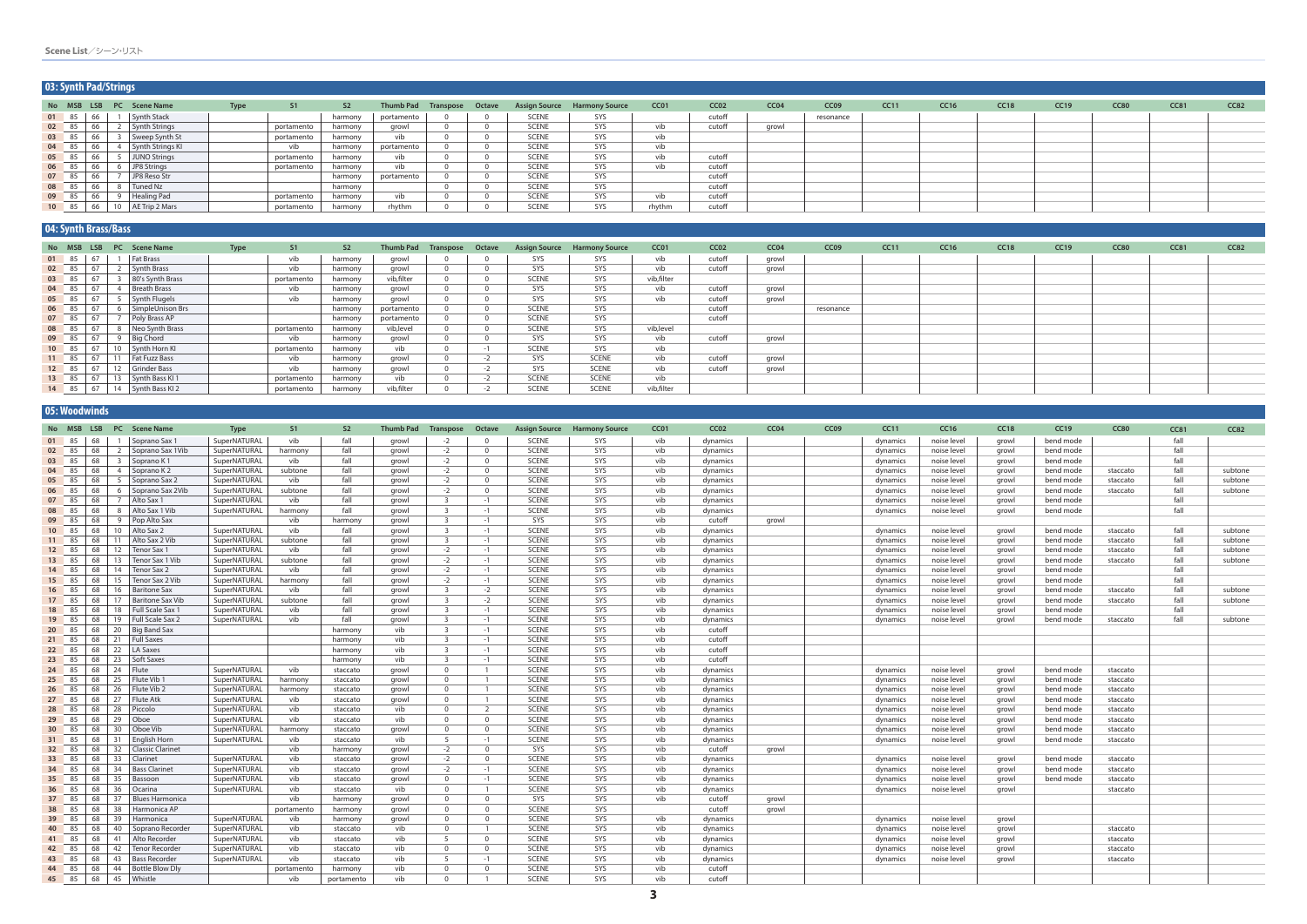| 03: Synth Pad/Strings |    |                          |                      |      |            |                |                            |  |              |                                     |                  |                  |                  |                  |             |             |             |      |             |      |      |
|-----------------------|----|--------------------------|----------------------|------|------------|----------------|----------------------------|--|--------------|-------------------------------------|------------------|------------------|------------------|------------------|-------------|-------------|-------------|------|-------------|------|------|
|                       |    | No MSB LSB PC Scene Name |                      | Type | S1         | S <sub>2</sub> | Thumb Pad Transpose Octave |  |              | <b>Assign Source Harmony Source</b> | CC <sub>01</sub> | CC <sub>02</sub> | CC <sub>04</sub> | CC <sub>09</sub> | <b>CC11</b> | <b>CC16</b> | <b>CC18</b> | CC19 | <b>CC80</b> | CC81 | CC82 |
| 01 85                 | 66 | <b>Synth Stack</b>       |                      |      |            | harmony        | portamento                 |  | <b>SCENE</b> | SYS                                 |                  | cutoff           |                  | resonance        |             |             |             |      |             |      |      |
| 02 85                 | 66 |                          | <b>Synth Strings</b> |      | portamento | harmony        | growl                      |  | <b>SCENE</b> | SYS                                 | vib              | cutoff           | growl            |                  |             |             |             |      |             |      |      |
| 03 85                 | 66 |                          | Sweep Synth St       |      | portamento | harmony        | vib                        |  | <b>SCENE</b> | SYS                                 | vib              |                  |                  |                  |             |             |             |      |             |      |      |
| 04 85                 | 66 |                          | Synth Strings KI     |      | vib        | harmony        | portamento                 |  | <b>SCENE</b> | SYS                                 | vib              |                  |                  |                  |             |             |             |      |             |      |      |
| 05 85                 | 66 |                          | JUNO Strings         |      | portamento | harmony        | vib                        |  | <b>SCENE</b> | SYS                                 | vib              | cutoff           |                  |                  |             |             |             |      |             |      |      |
| 06 85                 | 66 | JP8 Strings              |                      |      | portamento | harmony        | vib                        |  | <b>SCENE</b> | SYS                                 | vib              | cutoff           |                  |                  |             |             |             |      |             |      |      |
| 07 85                 | 66 |                          | JP8 Reso Str         |      |            | harmony        | portamento                 |  | <b>SCENE</b> | SYS                                 |                  | cutoff           |                  |                  |             |             |             |      |             |      |      |
| 08 85                 | 66 | Tuned Nz                 |                      |      |            | harmony        |                            |  | <b>SCENE</b> | SYS                                 |                  | cutoff           |                  |                  |             |             |             |      |             |      |      |
| 09 85                 | 66 | Healing Pad              |                      |      | portamentc | harmony        | vib                        |  | <b>SCENE</b> | SYS                                 | vib              | cutoff           |                  |                  |             |             |             |      |             |      |      |
| 10 85                 | 66 | 10   AE Trip 2 Mars      |                      |      | portamento | harmony        | rhythm                     |  | <b>SCENE</b> | SYS                                 | rhythm           | cutoff           |                  |                  |             |             |             |      |             |      |      |

### **04: Synth Brass/Bass**

|       | المتحافظ المتار المتحافظ المتناقص المتعاقلات المستنقطة والمستنقطة |                                              |                                   |             |            |                |                            |      |              |                                     |                  |                  |       |                  |      |      |      |      |             |             |      |
|-------|-------------------------------------------------------------------|----------------------------------------------|-----------------------------------|-------------|------------|----------------|----------------------------|------|--------------|-------------------------------------|------------------|------------------|-------|------------------|------|------|------|------|-------------|-------------|------|
|       |                                                                   |                                              | No MSB LSB PC Scene Name          | <b>Type</b> | S1         | S <sub>2</sub> | Thumb Pad Transpose Octave |      |              | <b>Assign Source Harmony Source</b> | CC <sub>01</sub> | CC <sub>02</sub> | CC04  | CC <sub>09</sub> | CC11 | CC16 | CC18 | CC19 | <b>CC80</b> | <b>CC81</b> | CC82 |
|       | $01 \t 85 \t 67$                                                  |                                              | <b>Fat Brass</b>                  |             | vib        | harmony        | growl                      |      | SYS          | SYS                                 | vib              | cutoff           | growl |                  |      |      |      |      |             |             |      |
| 02 85 |                                                                   | $\begin{array}{ c c } \hline \end{array}$ 67 | <b>Synth Brass</b>                |             | vib        | harmony        | arowl                      |      | SYS          | SYS                                 | vib              | cutoff           | growl |                  |      |      |      |      |             |             |      |
|       | $03 \t 85 \t 67$                                                  |                                              | 3 80's Synth Brass                |             | portamento | harmony        | vib, filter                |      | <b>SCENE</b> | SYS                                 | vib, filter      |                  |       |                  |      |      |      |      |             |             |      |
|       | $04 \t 85 \t 67$                                                  |                                              | <b>Breath Brass</b>               |             | vib        | harmony        | growl                      |      | SYS          | SYS                                 | vib              | cutoff           | growl |                  |      |      |      |      |             |             |      |
| 05 85 |                                                                   |                                              | Synth Flugels                     |             | vib        | harmony        | growl                      |      | SYS          | SYS                                 | vib              | cutoff           | growl |                  |      |      |      |      |             |             |      |
| 06 85 |                                                                   |                                              | 6   SimpleUnison Brs              |             |            | harmony        | portamento                 |      | <b>SCENE</b> | SYS                                 |                  | cutoff           |       | resonance        |      |      |      |      |             |             |      |
|       | 07 85 67                                                          |                                              | Poly Brass AP                     |             |            | harmony        | portamento                 |      | <b>SCENE</b> | SYS                                 |                  | cutoff           |       |                  |      |      |      |      |             |             |      |
|       | 08 85 67                                                          |                                              | 8 Neo Synth Brass                 |             | portamento | harmony        | vib, level                 |      | <b>SCENE</b> | SYS                                 | vib,level        |                  |       |                  |      |      |      |      |             |             |      |
|       | 09 85 67                                                          |                                              | 9 Big Chord                       |             | vib        | harmony        | growl                      |      | SYS          | SYS                                 | vib              | cutoff           | growl |                  |      |      |      |      |             |             |      |
|       | 10 85 67                                                          |                                              | 10   Synth Horn KI                |             | portamento | harmony        | vib                        |      | <b>SCENE</b> | SYS                                 | vib              |                  |       |                  |      |      |      |      |             |             |      |
|       | 11 85 67                                                          |                                              | 11   Fat Fuzz Bass                |             | vib        | harmony        | growl                      | $-2$ | SYS          | <b>SCENE</b>                        | vib              | cutoff           | growl |                  |      |      |      |      |             |             |      |
|       | 12 85 67                                                          |                                              | 12 Grinder Bass                   |             | vib        | harmony        | growl                      | $-2$ | SYS          | <b>SCENE</b>                        | vib              | cutoff           | growl |                  |      |      |      |      |             |             |      |
|       | 13 85 67                                                          |                                              | 13 Synth Bass KI 1                |             | portamento | harmony        | vib                        | $-2$ | <b>SCENE</b> | <b>SCENE</b>                        | vib              |                  |       |                  |      |      |      |      |             |             |      |
|       |                                                                   |                                              | 14 85   67   14   Synth Bass KI 2 |             | portamento | harmony        | vib,filter                 |      | <b>SCENE</b> | <b>SCENE</b>                        | vib, filter      |                  |       |                  |      |      |      |      |             |             |      |

|                 | 05: Woodwinds  |          |                 |                                 |                              |                |                      |                  |                                     |                        |                              |                                     |            |                      |       |                  |                      |                            |                |                        |                      |              |         |
|-----------------|----------------|----------|-----------------|---------------------------------|------------------------------|----------------|----------------------|------------------|-------------------------------------|------------------------|------------------------------|-------------------------------------|------------|----------------------|-------|------------------|----------------------|----------------------------|----------------|------------------------|----------------------|--------------|---------|
|                 |                |          |                 | No MSB LSB PC Scene Name        | <b>Type</b>                  | S1             | S <sub>2</sub>       | <b>Thumb Pad</b> | Transpose Octave                    |                        |                              | <b>Assign Source Harmony Source</b> | CC01       | CCO2                 | CC04  | CC <sub>09</sub> | CC11                 | <b>CC16</b>                | CC18           | CC19                   | <b>CC80</b>          | CC81         | CC82    |
|                 |                |          |                 | 01 85 68 1 Soprano Sax 1        | SuperNATURAL                 | vib            | fall                 | growl            | $-2$                                | $\Omega$               | <b>SCENE</b>                 | <b>SYS</b>                          | vib        | dynamics             |       |                  | dynamics             | noise level                | growl          | bend mode              |                      | fall         |         |
|                 | 02 85          | 68       |                 | 2 Soprano Sax 1Vib              | SuperNATURAL                 | harmony        | fall                 | growl            | $-2$                                | $\overline{0}$         | <b>SCENE</b>                 | SYS                                 | vib        | dynamics             |       |                  | dynamics             | noise level                | growl          | bend mode              |                      | fall         |         |
| 03              | 85             | 68       |                 | 3 Soprano K 1                   | SuperNATURAL                 | vib            | fall                 | growl            | $-2$                                | $\overline{0}$         | <b>SCENE</b>                 | SYS                                 | vib        | dynamics             |       |                  | dynamics             | noise level                | growl          | bend mode              |                      | fall         |         |
|                 | 04 85          | 68       |                 | 4 Soprano K 2                   | SuperNATURAL                 | subtone        | fall                 | growl            | $-2$                                | $\mathbf{0}$           | <b>SCENE</b>                 | SYS                                 | vib        | dynamics             |       |                  | dynamics             | noise level                | growl          | bend mode              | staccato             | fall         | subtone |
|                 | 05 85          | 68       |                 | 5   Soprano Sax 2               | SuperNATURAL                 | vib            | fall                 | growl            | $-2$                                | $\overline{0}$         | <b>SCENE</b>                 | SYS                                 | vib        | dynamics             |       |                  | dynamics             | noise level                | growl          | bend mode              | staccato             | fall         | subtone |
|                 | 06 85          | 68       |                 | 6 Soprano Sax 2Vib              | SuperNATURAL                 | subtone        | fall                 | arowl            | $-2$                                | $\Omega$               | <b>SCENE</b>                 | SYS                                 | vib        | dynamics             |       |                  | dynamics             | noise level                | growl          | bend mode              | staccato             | fall         | subtone |
|                 | 07 85          | 68       |                 | 7 Alto Sax 1                    | SuperNATURAL                 | vib            | fall                 | growl            | $\overline{\mathbf{3}}$             | $-1$                   | <b>SCENE</b>                 | SYS                                 | vib        | dynamics             |       |                  | dynamics             | noise level                | growl          | bend mode              |                      | fall         |         |
|                 | 08 85          | 68       |                 | 8   Alto Sax 1 Vib              | SuperNATURAL                 | harmony        | fall                 | growl            | $\overline{\mathbf{3}}$             | $-1$                   | <b>SCENE</b>                 | SYS                                 | vib        | dynamics             |       |                  | dynamics             | noise level                | growl          | bend mode              |                      | fall         |         |
|                 | 09 85          | 68       |                 | 9 Pop Alto Sax                  |                              | vib            | harmony              | growl            | $\overline{\mathbf{3}}$             | $-1$                   | SYS                          | SYS                                 | vib        | cutoff               | growl |                  |                      |                            |                |                        |                      |              |         |
|                 | 10 85          | 68       |                 | 10 Alto Sax 2                   | SuperNATURAI                 | vib            | fall                 | growl            | $\overline{\mathbf{3}}$             | $-1$                   | <b>SCENE</b>                 | SYS                                 | vib        | dynamics             |       |                  | dynamics             | noise level                | growl          | bend mode              | staccato             | fall         | subtone |
|                 | 11 85          | 68       |                 | 11   Alto Sax 2 Vib             | SuperNATURAL                 | subtone        | fall                 | growl            | $\overline{\mathbf{3}}$             | $-1$                   | <b>SCENE</b>                 | SYS                                 | vib        | dynamics             |       |                  | dynamics             | noise level                | growl          | bend mode              | staccato             | fall         | subtone |
|                 | 12 85          | 68       |                 | 12   Tenor Sax 1                | SuperNATURAL                 | vib            | fall                 | growl            | $-2$                                | $-1$                   | <b>SCENE</b>                 | SYS                                 | vib        | dynamics             |       |                  | dynamics             | noise level                | growl          | bend mode              | staccato             | fall         | subtone |
|                 | 13 85          | 68       | 13              | Tenor Sax 1 Vib                 | SuperNATURAL                 | subtone        | fall                 | growl            | $-2$                                | $-1$                   | <b>SCENE</b>                 | SYS                                 | vib        | dynamics             |       |                  | dynamics             | noise level                | growl          | bend mode              | staccato             | fall         | subtone |
| 14              | 85             | 68       |                 | 14   Tenor Sax 2                | SuperNATURAL                 | vib            | fall                 | growl            | $-2$                                | $-1$                   | <b>SCENE</b>                 | SYS                                 | vib        | dynamics             |       |                  | dynamics             | noise level                | growl          | bend mode              |                      | fall         |         |
|                 | 15 85          | 68       |                 | 15   Tenor Sax 2 Vib            | SuperNATURAL                 | harmony        | fall                 | arowl            | $-2$                                | $-1$                   | <b>SCENE</b>                 | SYS                                 | vib        | dynamics             |       |                  | dynamics             | noise level                | growl          | bend mode              |                      | fall         |         |
|                 | 16 85          | 68       |                 | 16   Baritone Sax               | SuperNATURAL                 | vib            | fall                 | growl            | $\overline{\mathbf{3}}$             | $-2$                   | <b>SCENE</b>                 | SYS                                 | vib        | dynamics             |       |                  | dynamics             | noise level                | growl          | bend mode              | staccato             | fall         | subtone |
|                 | 17 85          | 68       |                 | 17   Baritone Sax Vib           | SuperNATURAL                 | subtone        | fall                 | growl            | $\overline{\mathbf{3}}$             | $-2$                   | <b>SCENE</b>                 | SYS                                 | vib        | dynamics             |       |                  | dynamics             | noise level                | growl          | bend mode              | staccato             | fall<br>fall | subtone |
|                 | 18 85          | 68       | 18              | Full Scale Sax 1                | SuperNATURAL                 | vib            | fall                 | growl            | $\overline{\mathbf{3}}$             | $-1$                   | <b>SCENE</b>                 | SYS                                 | vib        | dynamics             |       |                  | dynamics             | noise level                | growl          | bend mode              |                      |              |         |
|                 | 19 85          | 68       |                 | 19   Full Scale Sax 2           | SuperNATURAL                 | vib            | fall                 | growl            | $\overline{\mathbf{3}}$             | $-1$                   | <b>SCENE</b>                 | SYS                                 | vib        | dynamics             |       |                  | dynamics             | noise level                | growl          | bend mode              | staccato             | fall         | subtone |
| 20 <sub>2</sub> | 85             | 68       |                 | 20   Big Band Sax               |                              |                | harmony              | vib              | $\overline{\mathbf{3}}$             | $-1$                   | <b>SCENE</b>                 | SYS                                 | vib        | cutoff               |       |                  |                      |                            |                |                        |                      |              |         |
|                 | 21 85          | 68       |                 | 21   Full Saxes                 |                              |                | harmony              | vib              | $\overline{\mathbf{3}}$             | $-1$                   | <b>SCENE</b>                 | SYS                                 | vib        | cutoff               |       |                  |                      |                            |                |                        |                      |              |         |
|                 | 22 85          | 68       |                 | 22   LA Saxes                   |                              |                | harmony              | vib              | $\overline{\mathbf{3}}$             | $-1$                   | <b>SCENE</b>                 | SYS                                 | vib        | cutoff               |       |                  |                      |                            |                |                        |                      |              |         |
| 23              | 85             | 68       |                 | 23   Soft Saxes                 |                              |                | harmony              | vib              | $\overline{\mathbf{3}}$<br>$\Omega$ | $-1$<br>$\overline{1}$ | <b>SCENE</b>                 | SYS<br>SYS                          | vib        | cutoff               |       |                  |                      |                            |                |                        |                      |              |         |
|                 | 24 85          | 68       |                 | 24   Flute                      | SuperNATURAL<br>SuperNATURAL | vib            | staccato             | growl            | $\Omega$                            | $\overline{1}$         | <b>SCENE</b><br><b>SCENE</b> | SYS                                 | vib<br>vib | dynamics             |       |                  | dynamics             | noise level                | growl          | bend mode<br>bend mode | staccato             |              |         |
| 25              | 85             | 68<br>68 |                 | 25   Flute Vib 1<br>Flute Vib 2 | SuperNATURAL                 | harmony        | staccato             | arowl            | $\Omega$                            | $\overline{1}$         | <b>SCENE</b>                 | SYS                                 | vib        | dynamics             |       |                  | dynamics             | noise level                | arowl          | bend mode              | staccato             |              |         |
|                 | 26 85          | 68       | 26<br>27        | Flute Atk                       | SuperNATURAL                 | harmony<br>vib | staccato             | growl<br>growl   | $\Omega$                            | $\overline{1}$         | <b>SCENE</b>                 | SYS                                 | vib        | dynamics             |       |                  | dynamics             | noise level                | growl          |                        | staccato             |              |         |
|                 | 27 85<br>28 85 | 68       | 28              | Piccolo                         | SuperNATURAL                 | vib            | staccato<br>staccato | vib              | $\overline{0}$                      | 2                      | <b>SCENE</b>                 | SYS                                 | vib        | dynamics<br>dynamics |       |                  | dynamics<br>dynamics | noise level<br>noise level | growl<br>growl | bend mode<br>bend mode | staccato<br>staccato |              |         |
|                 | 29 85          | 68       |                 | 29 Oboe                         | SuperNATURAL                 | vib            | staccato             | vib              | $\overline{0}$                      | $\overline{0}$         | <b>SCENE</b>                 | SYS                                 | vib        | dynamics             |       |                  | dynamics             | noise level                | growl          | bend mode              | staccato             |              |         |
|                 | 30 85          | 68       |                 | 30 Oboe Vib                     | SuperNATURAL                 | harmony        | staccato             | growl            | $\overline{0}$                      | $\overline{0}$         | <b>SCENE</b>                 | SYS                                 | vib        | dynamics             |       |                  | dynamics             | noise level                | growl          | bend mode              | staccato             |              |         |
|                 | 31 85          | 68       |                 | 31 English Horn                 | SuperNATURAL                 | vib            | staccato             | vib              | 5                                   | $-1$                   | <b>SCENE</b>                 | SYS                                 | vib        | dynamics             |       |                  | dynamics             | noise level                | growl          | bend mode              | staccato             |              |         |
| 32              | 85             | 68       |                 | 32   Classic Clarinet           |                              | vib            | harmony              | growl            | $-2$                                | $\overline{0}$         | SYS                          | SYS                                 | vib        | cutoff               | growl |                  |                      |                            |                |                        |                      |              |         |
|                 | 33 85          | 68       | 33              | Clarinet                        | SuperNATURAL                 | vib            | staccato             | growl            | $-2$                                | $\overline{0}$         | <b>SCENE</b>                 | SYS                                 | vib        | dynamics             |       |                  | dynamics             | noise level                | growl          | bend mode              | staccato             |              |         |
| 34              | 85             | 68       |                 | 34   Bass Clarinet              | SuperNATURAL                 | vib            | staccato             | growl            | $-2$                                | $-1$                   | <b>SCENE</b>                 | SYS                                 | vib        | dynamics             |       |                  | dynamics             | noise level                | growl          | bend mode              | staccato             |              |         |
|                 | 35 85          | 68       |                 | 35 Bassoon                      | SuperNATURAL                 | vib            | staccato             | growl            | $\overline{0}$                      | $-1$                   | <b>SCENE</b>                 | SYS                                 | vib        | dynamics             |       |                  | dynamics             | noise level                | growl          | bend mode              | staccato             |              |         |
| 36 <sup>2</sup> | 85             | 68       |                 | 36 Ocarina                      | SuperNATURAL                 | vib            | staccato             | vib              | $\overline{0}$                      | $\overline{1}$         | <b>SCENE</b>                 | SYS                                 | vib        | dynamics             |       |                  | dynamics             | noise level                | growl          |                        | staccato             |              |         |
|                 | 37 85          | 68       | 37 <sup>1</sup> | <b>Blues Harmonica</b>          |                              | vib            | harmony              | growl            | $\overline{0}$                      | $\Omega$               | SYS                          | SYS                                 | vib        | cutoff               | growl |                  |                      |                            |                |                        |                      |              |         |
|                 | 38 85          | 68       | 38              | Harmonica AP                    |                              | portamento     | harmony              | growl            | $\overline{0}$                      | $\overline{0}$         | <b>SCENE</b>                 | SYS                                 |            | cutoff               | growl |                  |                      |                            |                |                        |                      |              |         |
|                 | 39 85          | 68       | 39              | Harmonica                       | SuperNATURAL                 | vib            | harmony              | growl            | $\overline{0}$                      | $\overline{0}$         | <b>SCENE</b>                 | SYS                                 | vib        | dynamics             |       |                  | dynamics             | noise level                | growl          |                        |                      |              |         |
| 40              | 85             | 68       | 40              | Soprano Recorder                | SuperNATURAL                 | vib            | staccato             | vib              | $\overline{0}$                      | $\overline{1}$         | <b>SCENE</b>                 | SYS                                 | vib        | dynamics             |       |                  | dynamics             | noise level                | growl          |                        | staccato             |              |         |
|                 | 41 85          | 68       |                 | 41 Alto Recorder                | SuperNATURAL                 | vib            | staccato             | vib              | 5                                   | $\overline{0}$         | <b>SCENE</b>                 | SYS                                 | vib        | dynamics             |       |                  | dynamics             | noise level                | growl          |                        | staccato             |              |         |
|                 | 42 85          | 68       | 42              | Tenor Recorder                  | SuperNATURAL                 | vib            | staccato             | vib              | $\Omega$                            | $\overline{0}$         | <b>SCENE</b>                 | SYS                                 | vib        | dynamics             |       |                  | dynamics             | noise level                | growl          |                        | staccato             |              |         |
|                 | 43 85          | 68       |                 | 43   Bass Recorder              | SuperNATURAL                 | vib            | staccato             | vib              | - 5                                 | $-1$                   | <b>SCENE</b>                 | SYS                                 | vib        | dynamics             |       |                  | dynamics             | noise level                | growl          |                        | staccato             |              |         |
|                 | 44 85          | 68       |                 | 44   Bottle Blow Dly            |                              | portamento     | harmony              | vib              | $\Omega$                            | $\Omega$               | <b>SCENE</b>                 | SYS                                 | vib        | cutoff               |       |                  |                      |                            |                |                        |                      |              |         |
|                 |                |          |                 | 45 85 68 45 Whistle             |                              | vib            | portamento           | vib              | $\Omega$                            | $\overline{1}$         | <b>SCENE</b>                 | SYS                                 | vib        | cutoff               |       |                  |                      |                            |                |                        |                      |              |         |
|                 |                |          |                 |                                 |                              |                |                      |                  |                                     |                        |                              |                                     |            |                      |       |                  |                      |                            |                |                        |                      |              |         |

### **Scene List**/シーン・リスト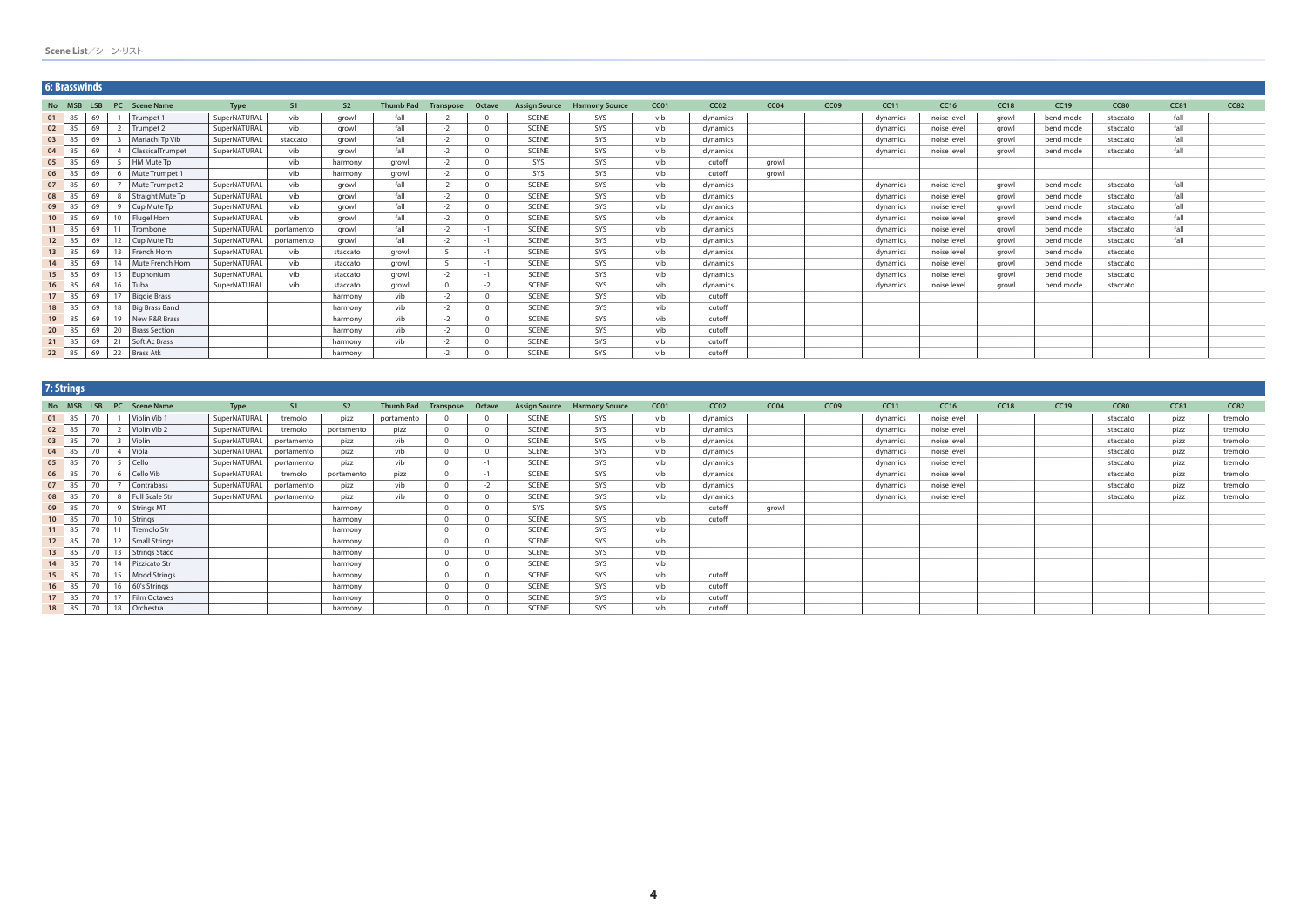|        | <b>6: Brasswinds</b> |    |                         |              |            |                |                  |           |              |                      |                       |      |          |                  |      |          |             |             |             |             |             |             |
|--------|----------------------|----|-------------------------|--------------|------------|----------------|------------------|-----------|--------------|----------------------|-----------------------|------|----------|------------------|------|----------|-------------|-------------|-------------|-------------|-------------|-------------|
| No MSB | <b>LSB</b>           |    | PC Scene Name           | <b>Type</b>  | S1         | S <sub>2</sub> | <b>Thumb Pad</b> | Transpose | Octave       | <b>Assign Source</b> | <b>Harmony Source</b> | CC01 | CCO2     | CC <sub>04</sub> | CC09 | CC11     | <b>CC16</b> | <b>CC18</b> | <b>CC19</b> | <b>CC80</b> | <b>CC81</b> | <b>CC82</b> |
| 01 85  | 69                   |    | Trumpet 1               | SuperNATURAL | vib        | growl          | fall             | $-2$      |              | <b>SCENE</b>         | SYS                   | vib  | dynamics |                  |      | dynamics | noise level | growl       | bend mode   | staccato    | fall        |             |
| 02 85  | 69                   |    | Trumpet 2               | SuperNATURAL | vib        | growl          | fall             | $-2$      | $\Omega$     | <b>SCENE</b>         | SYS                   | vib  | dynamics |                  |      | dynamics | noise level | growl       | bend mode   | staccato    | fall        |             |
| 03 85  | 69                   |    | Mariachi Tp Vib         | SuperNATURAL | staccato   | growl          | fall             | $-2$      | $\Omega$     | <b>SCENE</b>         | SYS                   | vib  | dynamics |                  |      | dynamics | noise level | arowl       | bend mode   | staccato    | fall        |             |
| 04 85  | 69                   |    | <b>ClassicalTrumpet</b> | SuperNATURAL | vib        | growl          | fall             | $-2$      | $\Omega$     | <b>SCENE</b>         | SYS                   | vib  | dynamics |                  |      | dynamics | noise level | growl       | bend mode   | staccato    | fall        |             |
| 05 85  | 69                   |    | HM Mute Tp              |              | vib        | harmony        | growl            |           | $\cap$       | SYS                  | SYS                   | vib  | cutoff   | growl            |      |          |             |             |             |             |             |             |
| 06 85  | 69                   |    | Mute Trumpet 1          |              | vib        | harmony        | arowl            | $-2$      | $\Omega$     | SYS                  | SYS                   | vib  | cutoff   | growl            |      |          |             |             |             |             |             |             |
| 07 85  | 69                   |    | Mute Trumpet 2          | SuperNATURAL | vib        | growl          | fall             | $-2$      | $\Omega$     | <b>SCENE</b>         | SYS                   | vib  | dynamics |                  |      | dynamics | noise level | growl       | bend mode   | staccato    | fall        |             |
| 08 85  | 69                   |    | Straight Mute Tp        | SuperNATURAL | vib        | growl          | fall             | $-2$      | $\Omega$     | <b>SCENE</b>         | SYS                   | vib  | dynamics |                  |      | dynamics | noise level | growl       | bend mode   | staccato    | fall        |             |
| 09 85  | 69                   |    | Cup Mute Tp             | SuperNATURAL | vib        | growl          | fall             |           | $\Omega$     | <b>SCENE</b>         | SYS                   | vib  | dynamics |                  |      | dynamics | noise level | arowl       | bend mode   | staccato    | fall        |             |
| 10 85  | 69                   | 10 | <b>Flugel Horn</b>      | SuperNATURAL | vib        | growl          | fall             | $-2$      | $\Omega$     | <b>SCENE</b>         | SYS                   | vib  | dynamics |                  |      | dynamics | noise level | growl       | bend mode   | staccato    | fall        |             |
| 11 85  | 69                   | 11 | Trombone                | SuperNATURAL | portamento | growl          | fall             | $-2$      | $-1$         | <b>SCENE</b>         | SYS                   | vib  | dynamics |                  |      | dynamics | noise level | arowl       | bend mode   | staccato    | fall        |             |
| 12 85  | 69                   | 12 | Cup Mute Tb             | SuperNATURAL | portamento | growl          | fall             | $-2$      | $-1$         | <b>SCENE</b>         | SYS                   | vib  | dynamics |                  |      | dynamics | noise level | growl       | bend mode   | staccato    | fall        |             |
| 13 85  | 69                   |    | 13 French Horn          | SuperNATURAL | vib        | staccato       | growl            |           | $-1$         | <b>SCENE</b>         | SYS                   | vib  | dynamics |                  |      | dynamics | noise level | growl       | bend mode   | staccato    |             |             |
| 14 85  | 69                   |    | 14 Mute French Horn     | SuperNATURAL | vib        | staccato       | growl            |           | $-1$         | <b>SCENE</b>         | SYS                   | vib  | dynamics |                  |      | dynamics | noise level | growl       | bend mode   | staccato    |             |             |
| 15 85  | 69                   |    | 15 Euphonium            | SuperNATURAL | vib        | staccato       | arowl            | $-2$      | $-1$         | <b>SCENE</b>         | SYS                   | vib  | dynamics |                  |      | dynamics | noise level | arowl       | bend mode   | staccato    |             |             |
| 16 85  | 69                   |    | 16 Tuba                 | SuperNATURAL | vib        | staccato       | growl            | $\Omega$  | $-2$         | <b>SCENE</b>         | SYS                   | vib  | dynamics |                  |      | dynamics | noise level | arowl       | bend mode   | staccato    |             |             |
| 17 85  | 69                   |    | 17 Biggie Brass         |              |            | harmony        | vib              | $-2$      | $\mathbf{0}$ | <b>SCENE</b>         | SYS                   | vib  | cutoff   |                  |      |          |             |             |             |             |             |             |
| 18 85  | 69                   |    | 18   Big Brass Band     |              |            | harmony        | vib              | $-2$      | $\Omega$     | <b>SCENE</b>         | SYS                   | vib  | cutoff   |                  |      |          |             |             |             |             |             |             |
| 19 85  | 69                   |    | 19 New R&R Brass        |              |            | harmony        | vib              | $-2$      | $\Omega$     | <b>SCENE</b>         | SYS                   | vib  | cutoff   |                  |      |          |             |             |             |             |             |             |
| 20 85  | 69                   |    | 20 Brass Section        |              |            | harmony        | vib              | $-2$      | $\Omega$     | <b>SCENE</b>         | SYS                   | vib  | cutoff   |                  |      |          |             |             |             |             |             |             |
| 21 85  | 69                   | 21 | Soft Ac Brass           |              |            | harmony        | vib              | $-2$      | $\Omega$     | <b>SCENE</b>         | SYS                   | vib  | cutoff   |                  |      |          |             |             |             |             |             |             |
|        |                      |    | 22 85 69 22 Brass Atk   |              |            | harmony        |                  |           |              | <b>SCENE</b>         | SYS                   | vib  | cutoff   |                  |      |          |             |             |             |             |             |             |

| 7: Strings |       |                 |    |                      |              |            |                |                  |                  |             |              |                                     |      |                  |                  |      |             |             |      |             |             |             |             |
|------------|-------|-----------------|----|----------------------|--------------|------------|----------------|------------------|------------------|-------------|--------------|-------------------------------------|------|------------------|------------------|------|-------------|-------------|------|-------------|-------------|-------------|-------------|
| No MSB     |       | <b>LSB</b>      |    | PC Scene Name        | <b>Type</b>  | S1         | S <sub>2</sub> | <b>Thumb Pad</b> | <b>Transpose</b> | Octave      |              | <b>Assign Source Harmony Source</b> | CC01 | CC <sub>02</sub> | CC <sub>04</sub> | CC09 | <b>CC11</b> | CC16        | CC18 | <b>CC19</b> | <b>CC80</b> | <b>CC81</b> | <b>CC82</b> |
| 01 85      |       |                 |    | Violin Vib 1         | SuperNATURAL | tremolo    | pizz           | portamento       |                  | $\Omega$    | <b>SCENE</b> | SYS                                 | vib  | dynamics         |                  |      | dynamics    | noise level |      |             | staccato    | pizz        | tremolo     |
| 02 85      |       | 70              |    | Violin Vib 2         | SuperNATURAL | tremolo    | portamento     | pizz             |                  | $\Omega$    | <b>SCENE</b> | SYS                                 | vib  | dynamics         |                  |      | dynamics    | noise level |      |             | staccato    | pizz        | tremolo     |
| 03 85      |       | 70              |    | Violin               | SuperNATURAL | portamento | pizz           | vib              |                  | $\mathbf 0$ | <b>SCENE</b> | SYS                                 | vib  | dynamics         |                  |      | dynamics    | noise level |      |             | staccato    | pizz        | tremolo     |
| 04 85      |       | $\overline{70}$ |    | Viola                | SuperNATURAL | portamento | pizz           | vib              |                  | $\Omega$    | <b>SCENE</b> | SYS                                 | vib  | dynamics         |                  |      | dynamics    | noise level |      |             | staccato    | pizz        | tremolo     |
| 05 85      |       | 70              |    | Cello                | SuperNATURAL | portamento | pizz           | vib              |                  |             | <b>SCENE</b> | SYS                                 | vib  | dynamics         |                  |      | dynamics    | noise level |      |             | staccato    | pizz        | tremolo     |
| 06 85      |       | 70              |    | Cello Vib            | SuperNATURAL | tremolo    | portamento     | pizz             |                  |             | <b>SCENE</b> | SYS                                 | vib  | dynamics         |                  |      | dynamics    | noise level |      |             | staccato    | pizz        | tremolo     |
| 07 85      |       |                 |    | Contrabass           | SuperNATURAL | portamento | pizz           | vib              |                  | $-2$        | <b>SCENE</b> | SYS                                 | vib  | dynamics         |                  |      | dynamics    | noise level |      |             | staccato    | pizz        | tremolo     |
| 08 85      |       | $\overline{70}$ |    | Full Scale Str       | SuperNATURAL | portamento | pizz           | vib              |                  | $\Omega$    | <b>SCENE</b> | SYS                                 | vib  | dynamics         |                  |      | dynamics    | noise level |      |             | staccato    | pizz        | tremolo     |
| 09 85      |       |                 |    | Strings MT           |              |            | harmony        |                  |                  | $\Omega$    | SYS          | SYS                                 |      | cutoff           | growl            |      |             |             |      |             |             |             |             |
| 10 85      |       | 70              | 10 | Strings              |              |            | harmony        |                  |                  | $\Omega$    | <b>SCENE</b> | SYS                                 | vib  | cutoff           |                  |      |             |             |      |             |             |             |             |
| 11 85      |       | 70              |    | Tremolo Str          |              |            | harmony        |                  |                  | $\Omega$    | <b>SCENE</b> | SYS                                 | vib  |                  |                  |      |             |             |      |             |             |             |             |
| 12 85      |       |                 |    | Small Strings        |              |            | harmony        |                  |                  | $\Omega$    | <b>SCENE</b> | SYS                                 | vib  |                  |                  |      |             |             |      |             |             |             |             |
| 13 85      |       | 70              |    | <b>Strings Stacc</b> |              |            | harmony        |                  |                  | $\Omega$    | <b>SCENE</b> | SYS                                 | vib  |                  |                  |      |             |             |      |             |             |             |             |
| 14 85      |       | 70              | 14 | Pizzicato Str        |              |            | harmony        |                  |                  | $\Omega$    | <b>SCENE</b> | SYS                                 | vib  |                  |                  |      |             |             |      |             |             |             |             |
| 15 85      |       |                 | 15 | Mood Strings         |              |            | harmony        |                  |                  | $\Omega$    | <b>SCENE</b> | SYS                                 | vib  | cutoff           |                  |      |             |             |      |             |             |             |             |
| 16 85      |       | 70              | 16 | 60's Strings         |              |            | harmony        |                  |                  | $\Omega$    | <b>SCENE</b> | SYS                                 | vib  | cutoff           |                  |      |             |             |      |             |             |             |             |
| 17 85      |       | 70              | 17 | Film Octaves         |              |            | harmony        |                  |                  | $\Omega$    | <b>SCENE</b> | SYS                                 | vib  | cutoff           |                  |      |             |             |      |             |             |             |             |
|            | 18 85 | 70              |    | 18 Orchestra         |              |            | harmony        |                  |                  | $\bigcap$   | <b>SCENE</b> | SYS                                 | vib  | cutoff           |                  |      |             |             |      |             |             |             |             |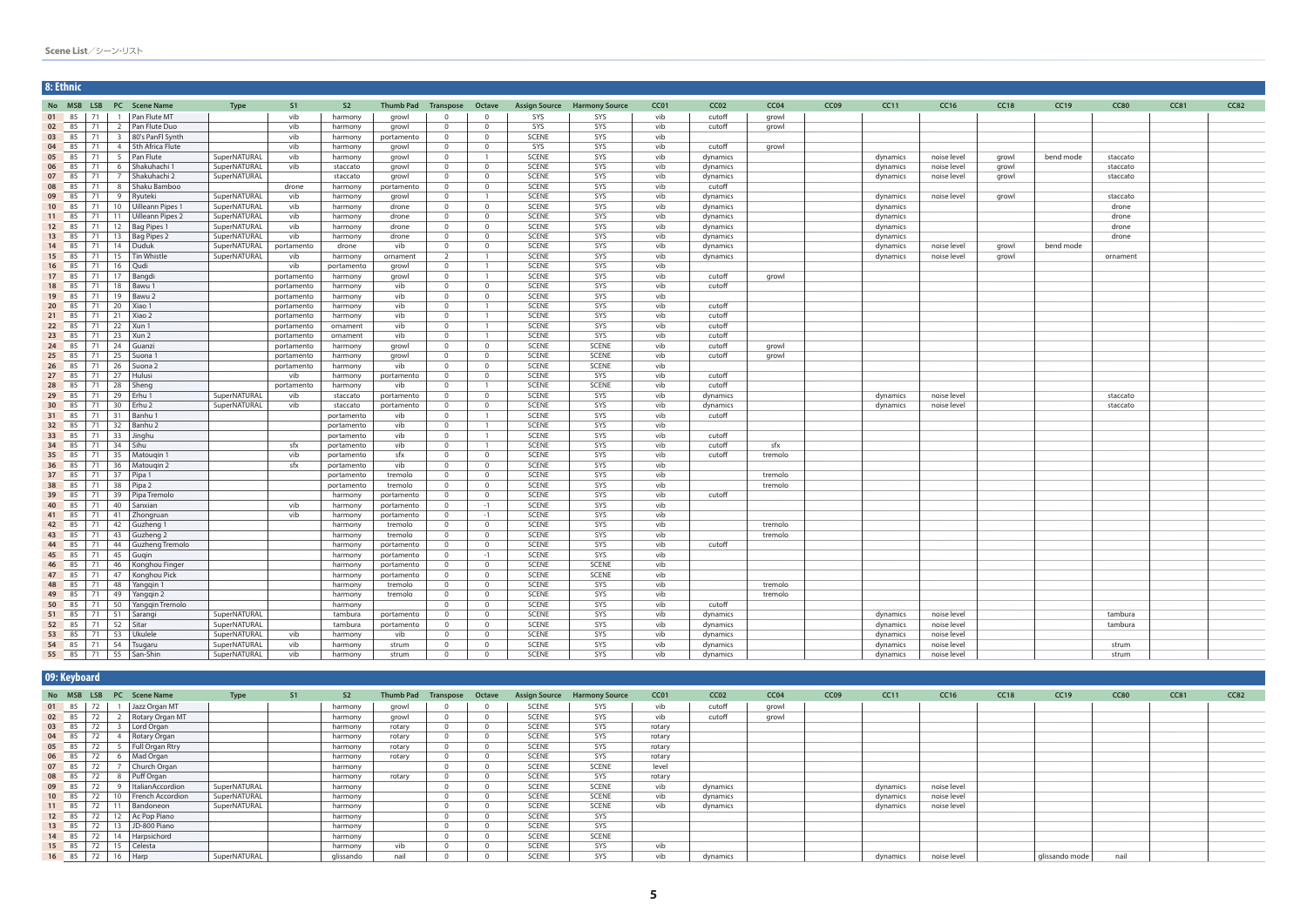| 8: Ethnic |                                   |                                                             |                               |              |                          |                    |                          |                                  |                                  |                              |                                     |                  |                  |                  |                  |             |             |       |           |             |             |      |
|-----------|-----------------------------------|-------------------------------------------------------------|-------------------------------|--------------|--------------------------|--------------------|--------------------------|----------------------------------|----------------------------------|------------------------------|-------------------------------------|------------------|------------------|------------------|------------------|-------------|-------------|-------|-----------|-------------|-------------|------|
|           |                                   |                                                             | No MSB LSB PC Scene Name      | <b>Type</b>  | S1                       | S <sub>2</sub>     | Thumb Pad                | Transpose                        | Octave                           |                              | <b>Assign Source Harmony Source</b> | CC <sub>01</sub> | CC <sub>02</sub> | CC <sub>04</sub> | CC <sub>09</sub> | <b>CC11</b> | CC16        | CC18  | CC19      | <b>CC80</b> | <b>CC81</b> | CC82 |
|           |                                   |                                                             | 01 85 71 1 Pan Flute MT       |              | vib                      | harmony            | growl                    | - 0                              | $\Omega$                         | SYS                          | SYS                                 | vib              | cutoff           | growl            |                  |             |             |       |           |             |             |      |
|           | $02 \t 85 \t 71$                  |                                                             | 2   Pan Flute Duo             |              | vib                      | harmony            | growl                    | $\overline{0}$                   | $\mathbf{0}$                     | SYS                          | SYS                                 | vib              | cutoff           | growl            |                  |             |             |       |           |             |             |      |
|           | $03 \t 85 \t 71$                  |                                                             | 3 80's PanFl Synth            |              | vib                      | harmony            | portamento               | $\overline{0}$                   | $\mathbf{0}$                     | <b>SCENE</b>                 | SYS                                 | vib              |                  |                  |                  |             |             |       |           |             |             |      |
|           | 04 85 71                          |                                                             | 4 5th Africa Flute            |              | vib                      | harmony            | growl                    | $\overline{0}$                   | $\mathbf{0}$                     | SYS                          | SYS                                 | vib              | cutoff           | growl            |                  |             |             |       |           |             |             |      |
|           | 05 85 71                          |                                                             | 5 Pan Flute                   | SuperNATURAL | vib                      | harmony            | growl                    | $\overline{0}$                   | $\overline{1}$                   | <b>SCENE</b>                 | SYS                                 | vib              | dynamics         |                  |                  | dynamics    | noise level | growl | bend mode | staccato    |             |      |
|           | 06 85 71                          |                                                             | 6 Shakuhachi 1                | SuperNATURAL | vib                      | staccato           | growl                    | $\overline{0}$                   | $\overline{0}$                   | <b>SCENE</b>                 | SYS                                 | vib              | dynamics         |                  |                  | dynamics    | noise level | growl |           | staccato    |             |      |
| 07        | 85                                | $\begin{array}{c} \n \overline{21} \\ \end{array}$          | 7 Shakuhachi 2                | SuperNATURAL |                          | staccato           | growl                    | $\overline{0}$                   | $\mathbf{0}$                     | <b>SCENE</b>                 | SYS                                 | vib              | dynamics         |                  |                  | dynamics    | noise level | growl |           | staccato    |             |      |
|           | 08 85 71                          |                                                             | 8   Shaku Bamboo              |              | drone                    | harmony            | portamento               | $\overline{0}$                   | $\mathbf{0}$                     | SCENE                        | SYS                                 | vib              | cutoff           |                  |                  |             |             |       |           |             |             |      |
| 09 85     |                                   | $\begin{array}{c} \begin{array}{c} \end{array} \end{array}$ | 9 Ryuteki                     | SuperNATURAL | vib                      | harmony            | growl                    | $\overline{0}$                   | $\overline{1}$                   | <b>SCENE</b>                 | SYS                                 | vib              | dynamics         |                  |                  | dynamics    | noise level | growl |           | staccato    |             |      |
|           | 10 85                             | $\begin{array}{c} \boxed{71} \end{array}$                   | 10   Uilleann Pipes 1         | SuperNATURAL | vib                      | harmony            | drone                    | $\overline{0}$                   | $\mathbf{0}$                     | <b>SCENE</b>                 | SYS                                 | vib              | dynamics         |                  |                  | dynamics    |             |       |           | drone       |             |      |
| 11 85     |                                   | $\begin{array}{c} \begin{array}{c} \end{array} \end{array}$ | 11   Uilleann Pipes 2         | SuperNATURAL | vib                      | harmony            | drone                    | $\overline{0}$                   | $\overline{0}$                   | <b>SCENE</b>                 | SYS                                 | vib              | dynamics         |                  |                  | dynamics    |             |       |           | drone       |             |      |
|           | $12 \t 85 \t 71$                  |                                                             | 12 Bag Pipes 1                | SuperNATURAL | vib                      | harmony            | drone                    | $\overline{0}$                   | $\mathbf{0}$                     | <b>SCENE</b>                 | SYS                                 | vib              | dynamics         |                  |                  | dynamics    |             |       |           | drone       |             |      |
|           | 13 85                             | $\begin{array}{c} \boxed{71} \end{array}$                   | 13   Bag Pipes 2              | SuperNATURAL | vib                      | harmony            | drone                    | $\overline{0}$                   | $\overline{0}$                   | <b>SCENE</b>                 | SYS                                 | vib              | dynamics         |                  |                  | dynamics    |             |       |           | drone       |             |      |
|           | 14 85 71                          |                                                             | 14 Duduk                      | SuperNATURAL | portamento               | drone              | vib                      | $\overline{0}$                   | $\overline{0}$                   | <b>SCENE</b>                 | SYS                                 | vib              | dynamics         |                  |                  | dynamics    | noise level | growl | bend mode |             |             |      |
|           | 15 85                             | $\begin{array}{c} \boxed{71} \end{array}$                   | 15 Tin Whistle                | SuperNATURAL | vib                      | harmony            | ornament                 | 2                                | $\overline{1}$                   | <b>SCENE</b>                 | SYS                                 | vib              | dynamics         |                  |                  | dynamics    | noise level | growl |           | ornament    |             |      |
|           | $16 \t 85 \t 71$                  |                                                             | 16   Qudi                     |              | vib                      | portamento         | growl                    | $\overline{0}$                   | $\overline{1}$                   | <b>SCENE</b>                 | SYS                                 | vib              |                  |                  |                  |             |             |       |           |             |             |      |
|           | $17 \t 85 \t 71$                  |                                                             | 17   Bangdi                   |              | portamento               | harmony            | growl                    | $\overline{0}$                   | $\overline{1}$<br>$\overline{0}$ | <b>SCENE</b><br><b>SCENE</b> | SYS<br>SYS                          | vib              | cutoff           | growl            |                  |             |             |       |           |             |             |      |
|           | 18 85 71                          |                                                             | $18$   Bawu 1                 |              | portamento               | harmony            | vib                      | $\overline{0}$<br>$\overline{0}$ | $\overline{0}$                   | <b>SCENE</b>                 | SYS                                 | vib              | cutoff           |                  |                  |             |             |       |           |             |             |      |
|           | 19 85<br>$\vert$ 71<br>20 $85$ 71 |                                                             | 19 Bawu 2<br>$20$ Xiao 1      |              | portamento               | harmony            | vib<br>vib               | $\overline{0}$                   | $\overline{1}$                   | <b>SCENE</b>                 | SYS                                 | vib<br>vib       | cutoff           |                  |                  |             |             |       |           |             |             |      |
|           | $21 \t 85 \t 71$                  |                                                             | $\vert$ 21 Xiao 2             |              | portamento<br>portamento | harmony<br>harmony | vib                      | $\overline{0}$                   | $\overline{1}$                   | <b>SCENE</b>                 | SYS                                 | vib              | cutoff           |                  |                  |             |             |       |           |             |             |      |
|           | 22 85 71                          |                                                             | $22$ Xun 1                    |              | portamento               | ornament           | vib                      | $\overline{0}$                   | $\overline{1}$                   | <b>SCENE</b>                 | SYS                                 | vib              | cutoff           |                  |                  |             |             |       |           |             |             |      |
|           | 23 85                             | $\begin{array}{c} \begin{array}{c} \end{array} \end{array}$ | 23<br>Xun 2                   |              | portamento               | ornament           | vib                      | $\overline{0}$                   | $\overline{1}$                   | <b>SCENE</b>                 | SYS                                 | vib              | cutoff           |                  |                  |             |             |       |           |             |             |      |
|           | 24 85 71                          |                                                             | 24 Guanzi                     |              | portamento               | harmony            | growl                    | $\overline{0}$                   | $\overline{0}$                   | <b>SCENE</b>                 | <b>SCENE</b>                        | vib              | cutoff           | growl            |                  |             |             |       |           |             |             |      |
|           | 25 85 71                          |                                                             | 25   Suona 1                  |              | portamento               | harmony            | growl                    | $\overline{0}$                   | $\mathbf{0}$                     | <b>SCENE</b>                 | <b>SCENE</b>                        | vib              | cutoff           | growl            |                  |             |             |       |           |             |             |      |
|           | $26 \t 85 \t 71$                  |                                                             | 26 Suona 2                    |              | portamento               | harmony            | vib                      | $\overline{0}$                   | $\overline{0}$                   | <b>SCENE</b>                 | <b>SCENE</b>                        | vib              |                  |                  |                  |             |             |       |           |             |             |      |
|           | $\vert$ 71<br>27 85               |                                                             | 27 Hulusi                     |              | vib                      | harmony            | portamento               | $\overline{0}$                   | $\overline{0}$                   | <b>SCENE</b>                 | SYS                                 | vib              | cutoff           |                  |                  |             |             |       |           |             |             |      |
|           | 28 85 71                          |                                                             | 28 Sheng                      |              | portamento               | harmony            | vib                      | $\overline{0}$                   | $\overline{1}$                   | <b>SCENE</b>                 | <b>SCENE</b>                        | vib              | cutoff           |                  |                  |             |             |       |           |             |             |      |
|           | 29 85 71                          |                                                             | 29   Erhu 1                   | SuperNATURAL | vib                      | staccato           | portamento               | $\overline{0}$                   | $\overline{0}$                   | <b>SCENE</b>                 | SYS                                 | vib              | dynamics         |                  |                  | dynamics    | noise level |       |           | staccato    |             |      |
|           | 30 85 71                          |                                                             | 30   Erhu 2                   | SuperNATURAL | vib                      | staccato           | portamento               | $\overline{0}$                   | $\overline{0}$                   | <b>SCENE</b>                 | SYS                                 | vib              | dynamics         |                  |                  | dynamics    | noise level |       |           | staccato    |             |      |
|           | 31 85 71                          |                                                             | 31   Banhu 1                  |              |                          | portamento         | vib                      | $\overline{0}$                   | $\overline{1}$                   | <b>SCENE</b>                 | SYS                                 | vib              | cutoff           |                  |                  |             |             |       |           |             |             |      |
|           | 32 85 71                          |                                                             | 32 Banhu 2                    |              |                          | portamento         | vib                      | $\overline{0}$                   | $\overline{1}$                   | <b>SCENE</b>                 | SYS                                 | vib              |                  |                  |                  |             |             |       |           |             |             |      |
|           | 33 85 71                          |                                                             | 33 Jinghu                     |              |                          | portamento         | vib                      | $\overline{0}$                   | $\overline{1}$                   | <b>SCENE</b>                 | SYS                                 | vib              | cutoff           |                  |                  |             |             |       |           |             |             |      |
|           | 34 85 71                          |                                                             | $34$ Sihu                     |              | sfx                      | portamento         | vib                      | $\overline{0}$                   | $\overline{1}$                   | SCENE                        | SYS                                 | vib              | cutoff           | sfx              |                  |             |             |       |           |             |             |      |
|           | 35 85 71                          |                                                             | 35 Matougin 1                 |              | vib                      | portamento         | sfx                      | $\overline{0}$                   | $\overline{0}$                   | <b>SCENE</b>                 | SYS                                 | vib              | cutoff           | tremolo          |                  |             |             |       |           |             |             |      |
|           | 36 85 71                          |                                                             | 36   Matouqin 2               |              | sfx                      | portamento         | vib                      | $\overline{0}$                   | $\mathbf{0}$                     | <b>SCENE</b>                 | SYS                                 | vib              |                  |                  |                  |             |             |       |           |             |             |      |
|           | 37 85 71                          |                                                             | $37$ Pipa 1                   |              |                          | portamento         | tremolo                  | $\overline{0}$                   | $\mathbf{0}$                     | <b>SCENE</b>                 | SYS                                 | vib              |                  | tremolo          |                  |             |             |       |           |             |             |      |
|           | 38 85                             | $\begin{array}{c} \n \overline{21} \\ \end{array}$          | $38$ Pipa 2                   |              |                          | portamento         | tremolo                  | $\overline{0}$                   | $\mathbf{0}$                     | <b>SCENE</b>                 | SYS                                 | vib              |                  | tremolo          |                  |             |             |       |           |             |             |      |
|           | 39 85 71                          |                                                             | 39   Pipa Tremolo             |              |                          | harmony            | portamento               | $\overline{0}$                   | $\overline{0}$                   | <b>SCENE</b>                 | SYS                                 | vib              | cutoff           |                  |                  |             |             |       |           |             |             |      |
| 40        | $85$ 71                           |                                                             | 40 Sanxian                    |              | vib                      | harmony            | portamento               | $\overline{0}$                   | $-1$                             | <b>SCENE</b>                 | SYS                                 | vib              |                  |                  |                  |             |             |       |           |             |             |      |
|           | 41 85 71                          |                                                             | 41 Zhongruan                  |              | vib                      | harmony            | portamento               | $\overline{0}$                   | $-1$                             | <b>SCENE</b>                 | SYS                                 | vib              |                  |                  |                  |             |             |       |           |             |             |      |
|           | 42 85                             | $\begin{array}{c} \begin{array}{c} \end{array} \end{array}$ | 42 Guzheng 1                  |              |                          | harmony            | tremolo                  | $\overline{0}$                   | $\mathbf{0}$                     | <b>SCENE</b>                 | SYS                                 | vib              |                  | tremolo          |                  |             |             |       |           |             |             |      |
|           | 43 85 71                          |                                                             | 43 Guzheng 2                  |              |                          | harmony            | tremolo                  | $\overline{0}$                   | $\mathbf{0}$                     | <b>SCENE</b>                 | SYS                                 | vib              |                  | tremolo          |                  |             |             |       |           |             |             |      |
|           | 44 85 71                          |                                                             | 44 Guzheng Tremolo            |              |                          | harmony            | portamento               | $\overline{0}$                   | $\mathbf{0}$                     | <b>SCENE</b><br><b>SCENE</b> | SYS                                 | vib              | cutoff           |                  |                  |             |             |       |           |             |             |      |
|           | 45 85 71<br>46 85 71              |                                                             | 45 Gugin<br>46 Konghou Finger |              |                          | harmony<br>harmony | portamento<br>portamento | $\overline{0}$<br>$\overline{0}$ | $-1$<br>$\overline{0}$           | <b>SCENE</b>                 | SYS<br><b>SCENE</b>                 | vib<br>vib       |                  |                  |                  |             |             |       |           |             |             |      |
|           |                                   |                                                             | 47 85 71 47 Konghou Pick      |              |                          |                    | portamento               | - 0                              | 0                                | <b>SCENE</b>                 | SCENE                               |                  |                  |                  |                  |             |             |       |           |             |             |      |
|           |                                   |                                                             | 48 85 71 48 Yangqin 1         |              |                          | harmony<br>harmony | tremolo                  | $\overline{0}$                   | $\overline{0}$                   | <b>SCENE</b>                 | SYS                                 | vib<br>vib       |                  | tremolo          |                  |             |             |       |           |             |             |      |
|           |                                   |                                                             | 49 85 71 49 Yanggin 2         |              |                          | harmony            | tremolo                  | $\overline{0}$                   | $\overline{0}$                   | SCENE                        | SYS                                 | vib              |                  | tremolo          |                  |             |             |       |           |             |             |      |
|           |                                   |                                                             | 50 $85$ 71 50 Yangqin Tremolo |              |                          | harmony            |                          | $\overline{0}$                   | $\overline{0}$                   | <b>SCENE</b>                 | SYS                                 | vib              | cutoff           |                  |                  |             |             |       |           |             |             |      |
|           |                                   |                                                             | 51 85 71 51 Sarangi           | SuperNATURAL |                          | tambura            | portamento               | $\overline{0}$                   | $\overline{0}$                   | <b>SCENE</b>                 | SYS                                 | vib              | dynamics         |                  |                  | dynamics    | noise level |       |           | tambura     |             |      |
|           |                                   |                                                             | 52 85 71 52 Sitar             | SuperNATURAL |                          | tambura            | portamento               | $\overline{0}$                   | $\overline{0}$                   | <b>SCENE</b>                 | SYS                                 | vib              | dynamics         |                  |                  | dynamics    | noise level |       |           | tambura     |             |      |
|           |                                   |                                                             | 53 85 71 53 Ukulele           | SuperNATURAL | vib                      | harmony            | vib                      | $\overline{0}$                   | $\overline{0}$                   | SCENE                        | SYS                                 | vib              | dynamics         |                  |                  | dynamics    | noise level |       |           |             |             |      |
|           |                                   |                                                             | 54 85 71 54 Tsugaru           | SuperNATURAL | vib                      | harmony            | strum                    | $\overline{0}$                   | $\mathbf{0}$                     | SCENE                        | SYS                                 | vib              | dynamics         |                  |                  | dynamics    | noise level |       |           | strum       |             |      |
|           |                                   |                                                             | 55 85 71 55 San-Shin          | SuperNATURAL | vib                      | harmony            | strum                    | $\overline{0}$                   | $\mathbf{0}$                     | SCENE                        | SYS                                 | vib              | dynamics         |                  |                  | dynamics    | noise level |       |           | strum       |             |      |

|       | 09: Keyboard |          |                          |              |    |                |                            |          |              |                                     |        |                  |                  |                  |          |             |      |                |             |      |      |
|-------|--------------|----------|--------------------------|--------------|----|----------------|----------------------------|----------|--------------|-------------------------------------|--------|------------------|------------------|------------------|----------|-------------|------|----------------|-------------|------|------|
|       |              |          | No MSB LSB PC Scene Name | <b>Type</b>  | S1 | S <sub>2</sub> | Thumb Pad Transpose Octave |          |              | <b>Assign Source Harmony Source</b> | CC01   | CC <sub>02</sub> | CC <sub>04</sub> | CC <sub>09</sub> | CC11     | CC16        | CC18 | CC19           | <b>CC80</b> | CC81 | CC82 |
|       | 01 85        | 72       | Jazz Organ MT            |              |    | harmony        | growl                      |          | <b>SCENE</b> | SYS                                 | vib    | cutoff           | growl            |                  |          |             |      |                |             |      |      |
| 02 85 |              | 72       | Rotary Organ MT          |              |    | harmony        | growl                      |          | <b>SCENE</b> | SYS                                 | vib    | cutoff           | growl            |                  |          |             |      |                |             |      |      |
| 03 85 |              |          | Lord Organ               |              |    | harmony        | rotary                     | $\Omega$ | <b>SCENE</b> | SYS                                 | rotary |                  |                  |                  |          |             |      |                |             |      |      |
| 04 85 |              | 72       | <b>Rotary Organ</b>      |              |    | harmony        | rotary                     |          | <b>SCENE</b> | SYS                                 | rotary |                  |                  |                  |          |             |      |                |             |      |      |
| 05 85 |              | 72       | Full Organ Rtry          |              |    | harmony        | rotary                     |          | <b>SCENE</b> | SYS                                 | rotary |                  |                  |                  |          |             |      |                |             |      |      |
| 06 85 |              | 72       | Mad Organ                |              |    | harmony        | rotary                     |          | <b>SCENE</b> | SYS                                 | rotary |                  |                  |                  |          |             |      |                |             |      |      |
| 07 85 |              | 72       | Church Organ             |              |    | harmony        |                            |          | <b>SCENE</b> | <b>SCENE</b>                        | level  |                  |                  |                  |          |             |      |                |             |      |      |
| 08 85 |              | 72       | 8 Puff Organ             |              |    | harmony        | rotary                     |          | <b>SCENE</b> | SYS                                 | rotary |                  |                  |                  |          |             |      |                |             |      |      |
| 09 85 |              | 72       | ItalianAccordion         | SuperNATURAL |    | harmony        |                            |          | <b>SCENE</b> | <b>SCENE</b>                        | vib    | dynamics         |                  |                  | dynamics | noise level |      |                |             |      |      |
|       | 10 85        | 72<br>10 | <b>French Accordion</b>  | SuperNATURAL |    | harmony        |                            |          | <b>SCENE</b> | <b>SCENE</b>                        | vib    | dynamics         |                  |                  | dynamics | noise level |      |                |             |      |      |
|       | 11 85        |          | Bandoneon                | SuperNATURAL |    | harmony        |                            |          | <b>SCENE</b> | SCENE                               | vib    | dynamics         |                  |                  | dynamics | noise level |      |                |             |      |      |
|       | 12 85        | 12       | Ac Pop Piano             |              |    | harmony        |                            |          | <b>SCENE</b> | SYS                                 |        |                  |                  |                  |          |             |      |                |             |      |      |
|       | 13 85        | 13       | JD-800 Piano             |              |    | harmony        |                            |          | <b>SCENE</b> | SYS                                 |        |                  |                  |                  |          |             |      |                |             |      |      |
|       | 14 85        | 72       | 14 Harpsichord           |              |    | harmony        |                            |          | <b>SCENE</b> | SCENE                               |        |                  |                  |                  |          |             |      |                |             |      |      |
|       | 15 85        | 72       | 15 Celesta               |              |    | harmony        | vib                        |          | <b>SCENE</b> | SYS                                 | vib    |                  |                  |                  |          |             |      |                |             |      |      |
|       | $16 \t 85$   | 72       | $16$ Harp                | SuperNATURAL |    | glissando      | nail                       |          | <b>SCENE</b> | SYS                                 | vib    | dynamics         |                  |                  | dynamics | noise level |      | glissando mode | nail        |      |      |

| Scene List/シーン・リスト |  |  |  |  |
|--------------------|--|--|--|--|
|--------------------|--|--|--|--|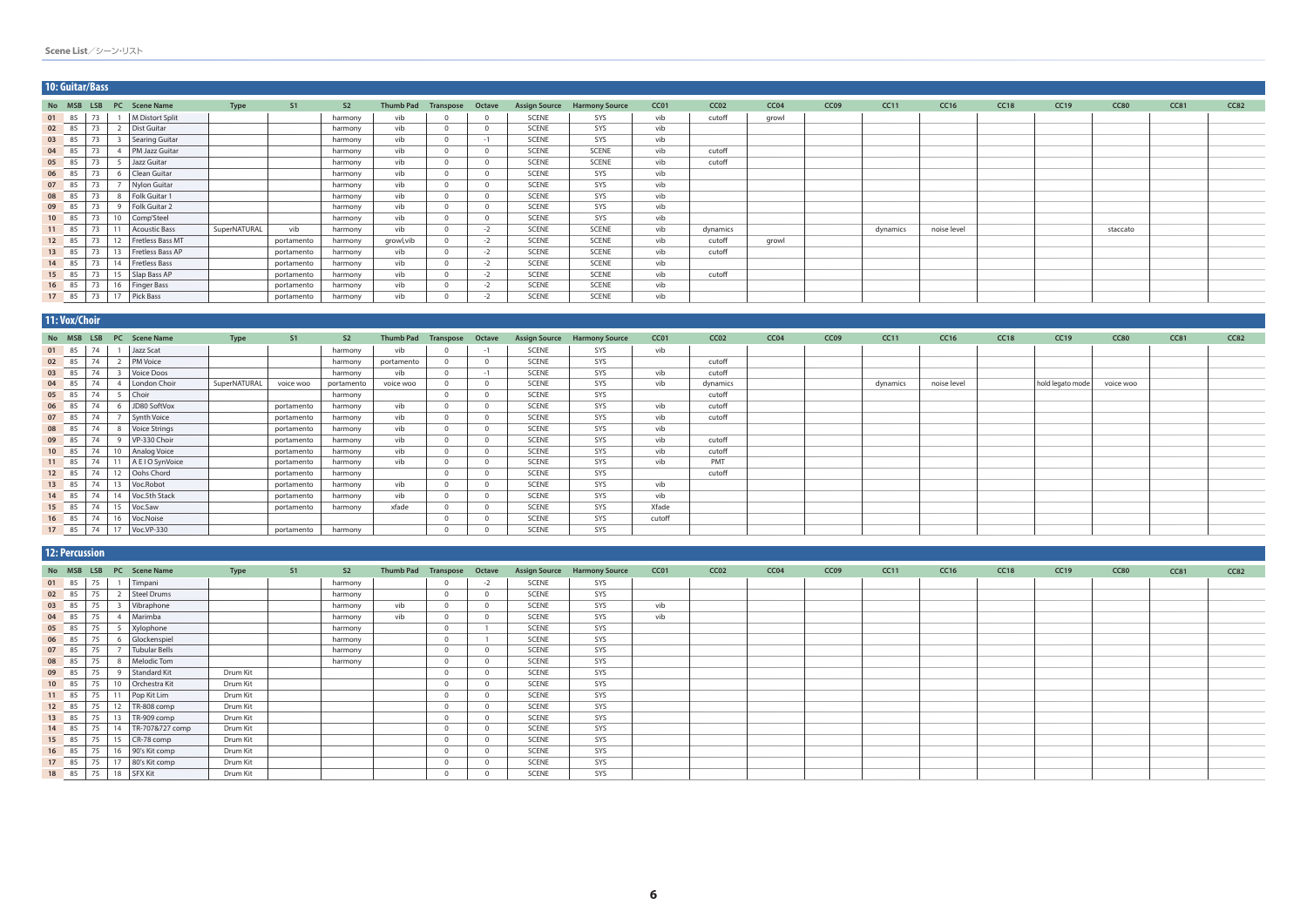|       | 10: Guitar/Bass |    |                 |                          |              |            |                |           |                            |      |              |                                     |      |                  |                  |                  |          |             |             |             |             |      |      |
|-------|-----------------|----|-----------------|--------------------------|--------------|------------|----------------|-----------|----------------------------|------|--------------|-------------------------------------|------|------------------|------------------|------------------|----------|-------------|-------------|-------------|-------------|------|------|
|       |                 |    |                 | No MSB LSB PC Scene Name | <b>Type</b>  | S1         | S <sub>2</sub> |           | Thumb Pad Transpose Octave |      |              | <b>Assign Source Harmony Source</b> | CC01 | CC <sub>02</sub> | CC <sub>04</sub> | CC <sub>09</sub> | CC11     | <b>CC16</b> | <b>CC18</b> | <b>CC19</b> | <b>CC80</b> | CC81 | CC82 |
| 01 85 |                 |    |                 | M Distort Split          |              |            | harmony        | vib       |                            |      | <b>SCENE</b> | SYS                                 | vib  | cutoff           | growl            |                  |          |             |             |             |             |      |      |
| 02 85 |                 | 73 |                 | Dist Guitar              |              |            | harmony        | vib       |                            |      | <b>SCENE</b> | SYS                                 | vib  |                  |                  |                  |          |             |             |             |             |      |      |
| 03 85 |                 | 73 |                 | Searing Guitar           |              |            | harmony        | vib       |                            | $-1$ | <b>SCENE</b> | SYS                                 | vib  |                  |                  |                  |          |             |             |             |             |      |      |
| 04 85 |                 | 73 |                 | <b>PM Jazz Guitar</b>    |              |            | harmony        | vib       |                            |      | <b>SCENE</b> | SCENE                               | vib  | cutoff           |                  |                  |          |             |             |             |             |      |      |
| 05 85 |                 | 73 |                 | Jazz Guitar              |              |            | harmony        | vib       |                            |      | <b>SCENE</b> | <b>SCENE</b>                        | vib  | cutoff           |                  |                  |          |             |             |             |             |      |      |
| 06 85 |                 | 73 |                 | Clean Guitar             |              |            | harmony        | vib       |                            |      | <b>SCENE</b> | SYS                                 | vib  |                  |                  |                  |          |             |             |             |             |      |      |
| 07 85 |                 |    |                 | Nylon Guitar             |              |            | harmony        | vib       |                            |      | <b>SCENE</b> | SYS                                 | vib  |                  |                  |                  |          |             |             |             |             |      |      |
| 08 85 |                 | 72 |                 | Folk Guitar 1            |              |            | harmony        | vib       |                            |      | <b>SCENE</b> | SYS                                 | vib  |                  |                  |                  |          |             |             |             |             |      |      |
| 09 85 |                 | 73 |                 | Folk Guitar 2            |              |            | harmony        | vib       |                            |      | <b>SCENE</b> | SYS                                 | vib  |                  |                  |                  |          |             |             |             |             |      |      |
| 10 85 |                 | 73 | 10 <sup>1</sup> | Comp'Steel               |              |            | harmony        | vib       |                            |      | <b>SCENE</b> | SYS                                 | vib  |                  |                  |                  |          |             |             |             |             |      |      |
| 11 85 |                 | 73 |                 | <b>Acoustic Bass</b>     | SuperNATURAL | vib        | harmony        | vib       |                            | $-2$ | <b>SCENE</b> | <b>SCENE</b>                        | vib  | dynamics         |                  |                  | dynamics | noise level |             |             | staccato    |      |      |
| 12 85 |                 | 73 | 12              | Fretless Bass MT         |              | portamento | harmony        | growl,vib |                            | $-2$ | <b>SCENE</b> | <b>SCENE</b>                        | vib  | cutoff           | growl            |                  |          |             |             |             |             |      |      |
| 13 85 |                 | 73 | 13              | Fretless Bass AP         |              | portamento | harmony        | vib       |                            | $-2$ | <b>SCENE</b> | SCENE                               | vib  | cutoff           |                  |                  |          |             |             |             |             |      |      |
| 14 85 |                 | 73 | 14              | Fretless Bass            |              | portamento | harmony        | vib       |                            | $-2$ | <b>SCENE</b> | SCENE                               | vib  |                  |                  |                  |          |             |             |             |             |      |      |
| 15 85 |                 |    |                 | 15 Slap Bass AP          |              | portamento | harmony        | vib       |                            | $-2$ | <b>SCENE</b> | <b>SCENE</b>                        | vib  | cutoff           |                  |                  |          |             |             |             |             |      |      |
| 16 85 |                 | 73 |                 | 16   Finger Bass         |              | portamento | harmony        | vib       |                            | $-2$ | <b>SCENE</b> | SCENE                               | vib  |                  |                  |                  |          |             |             |             |             |      |      |
|       |                 |    |                 | 17 85 73 17 Pick Bass    |              | portamento | harmony        | vib       |                            | $-2$ | <b>SCENE</b> | SCENE                               | vib  |                  |                  |                  |          |             |             |             |             |      |      |

|       | 11: Vox/Choir |    |                               |              |                |                |                  |           |        |                      |                       |        |                  |                  |                  |          |             |      |                  |             |             |             |
|-------|---------------|----|-------------------------------|--------------|----------------|----------------|------------------|-----------|--------|----------------------|-----------------------|--------|------------------|------------------|------------------|----------|-------------|------|------------------|-------------|-------------|-------------|
|       | No MSB        |    | LSB PC Scene Name             | <b>Type</b>  | S <sub>1</sub> | S <sub>2</sub> | <b>Thumb Pad</b> | Transpose | Octave | <b>Assign Source</b> | <b>Harmony Source</b> | CC01   | CC <sub>02</sub> | CC <sub>04</sub> | CC <sub>09</sub> | CC11     | <b>CC16</b> | CC18 | CC19             | <b>CC80</b> | <b>CC81</b> | <b>CC82</b> |
|       | 01 85<br>____ | 74 | Jazz Scat                     |              |                | harmony        | vib              |           | $-1$   | SCENE                | SYS                   | vib    |                  |                  |                  |          |             |      |                  |             |             |             |
| 02 85 |               | 74 | <b>PM Voice</b>               |              |                | harmony        | portamento       |           |        | <b>SCENE</b>         | SYS                   |        | cutoff           |                  |                  |          |             |      |                  |             |             |             |
| 03 85 |               | 74 | Voice Doos                    |              |                | harmony        | vib              |           | $-1$   | <b>SCENE</b>         | SYS                   | vib    | cutoff           |                  |                  |          |             |      |                  |             |             |             |
| 04 85 | __            | 74 | London Choir                  | SuperNATURAL | voice woo      | portamento     | voice woo        |           |        | SCENE                | SYS                   | vib    | dynamics         |                  |                  | dynamics | noise level |      | hold legato mode | voice woo   |             |             |
| 05 85 | __            | 74 | Choir                         |              |                | harmony        |                  |           |        | SCENE                | SYS                   |        | cutoff           |                  |                  |          |             |      |                  |             |             |             |
| 06 85 |               | 74 | JD80 SoftVox                  |              | portamento     | harmony        | vib              |           |        | SCENE                | SYS                   | vib    | cutoff           |                  |                  |          |             |      |                  |             |             |             |
| 07 85 |               | 74 | <b>Synth Voice</b>            |              | portamento     | harmony        | vib              |           |        | <b>SCENE</b>         | SYS                   | vib    | cutoff           |                  |                  |          |             |      |                  |             |             |             |
| 08    | 85            | 74 | <b>Voice Strings</b>          |              | portamento     | harmony        | vib              |           |        | SCENE                | SYS                   | vib    |                  |                  |                  |          |             |      |                  |             |             |             |
| 09 85 |               | 74 | VP-330 Choir                  |              | portamento     | harmony        | vib              |           |        | SCENE                | SYS                   | vib    | cutoff           |                  |                  |          |             |      |                  |             |             |             |
| 10 85 |               | 74 | Analog Voice                  |              | portamento     | harmony        | vib              |           |        | SCENE                | SYS                   | vib    | cutoff           |                  |                  |          |             |      |                  |             |             |             |
| 11 85 |               | 74 | A E I O SynVoice              |              | portamento     | harmony        | vib              |           |        | <b>SCENE</b>         | SYS                   | vib    | <b>PMT</b>       |                  |                  |          |             |      |                  |             |             |             |
| 12 85 |               | 74 | Oohs Chord                    |              | portamento     | harmony        |                  |           |        | <b>SCENE</b>         | SYS                   |        | cutoff           |                  |                  |          |             |      |                  |             |             |             |
| 13 85 |               | 74 | Voc.Robot                     |              | portamento     | harmony        | vib              |           |        | SCENE                | SYS                   | vib    |                  |                  |                  |          |             |      |                  |             |             |             |
| 14 85 | ___           | 74 | Voc.5th Stack                 |              | portamento     | harmony        | vib              |           |        | <b>SCENE</b>         | SYS                   | vib    |                  |                  |                  |          |             |      |                  |             |             |             |
| 15 85 |               | 74 | Voc.Saw<br>15                 |              | portamento     | harmony        | xfade            |           |        | <b>SCENE</b>         | SYS                   | Xfade  |                  |                  |                  |          |             |      |                  |             |             |             |
|       | 16 85 74      |    | Voc.Noise<br>16               |              |                |                |                  |           |        | SCENE                | SYS                   | cutoff |                  |                  |                  |          |             |      |                  |             |             |             |
|       | 17 85 74      |    | $\vert$ 17 $\vert$ Voc.VP-330 |              | portamento     | harmony        |                  |           |        | <b>SCENE</b>         | SYS                   |        |                  |                  |                  |          |             |      |                  |             |             |             |

**12: Percussion**

|               | IZ: Percussion |                 |                          |             |    |                |                            |          |              |       |                                     |      |                  |      |                  |      |      |             |      |             |             |      |
|---------------|----------------|-----------------|--------------------------|-------------|----|----------------|----------------------------|----------|--------------|-------|-------------------------------------|------|------------------|------|------------------|------|------|-------------|------|-------------|-------------|------|
|               |                |                 | No MSB LSB PC Scene Name | <b>Type</b> | S1 | S <sub>2</sub> | Thumb Pad Transpose Octave |          |              |       | <b>Assign Source Harmony Source</b> | CC01 | CC <sub>02</sub> | CC04 | CC <sub>09</sub> | CC11 | CC16 | <b>CC18</b> | CC19 | <b>CC80</b> | <b>CC81</b> | CC82 |
| 01 85         | 75             |                 | Timpani                  |             |    | harmony        |                            | - 0      | $-2$         | SCENE | SYS                                 |      |                  |      |                  |      |      |             |      |             |             |      |
| 02 85         | 75             |                 | Steel Drums              |             |    | harmony        |                            | $\Omega$ | $\Omega$     | SCENE | SYS                                 |      |                  |      |                  |      |      |             |      |             |             |      |
| 03 85         | 75             |                 | Vibraphone               |             |    | harmony        | vib                        |          | $\mathbf{0}$ | SCENE | SYS                                 | vib  |                  |      |                  |      |      |             |      |             |             |      |
| 04 85         | 75             |                 | Marimba                  |             |    | harmony        | vib                        | $\Omega$ | $\Omega$     | SCENE | SYS                                 | vib  |                  |      |                  |      |      |             |      |             |             |      |
| 05 85         | 75             |                 | Xylophone                |             |    | harmony        |                            | $\Omega$ |              | SCENE | SYS                                 |      |                  |      |                  |      |      |             |      |             |             |      |
| 06 85         | 75             |                 | Glockenspiel             |             |    | harmony        |                            | $\Omega$ |              | SCENE | SYS                                 |      |                  |      |                  |      |      |             |      |             |             |      |
| 07 85         | 75             |                 | Tubular Bells            |             |    | harmony        |                            | $\Omega$ | $\mathbf 0$  | SCENE | SYS                                 |      |                  |      |                  |      |      |             |      |             |             |      |
| 08 85         | 75             |                 | Melodic Tom              |             |    | harmony        |                            |          | $\Omega$     | SCENE | SYS                                 |      |                  |      |                  |      |      |             |      |             |             |      |
| 09 85         | 75             |                 | Standard Kit             | Drum Kit    |    |                |                            |          | $\mathbf 0$  | SCENE | SYS                                 |      |                  |      |                  |      |      |             |      |             |             |      |
| 10 85         | 75             | 10 <sup>1</sup> | Orchestra Kit            | Drum Kit    |    |                |                            |          | $\Omega$     | SCENE | SYS                                 |      |                  |      |                  |      |      |             |      |             |             |      |
| $11 \quad 85$ | 75             |                 | Pop Kit Lim              | Drum Kit    |    |                |                            |          | $\Omega$     | SCENE | SYS                                 |      |                  |      |                  |      |      |             |      |             |             |      |
| 12 85         | 75             |                 | TR-808 comp              | Drum Kit    |    |                |                            |          | $\mathbf 0$  | SCENE | SYS                                 |      |                  |      |                  |      |      |             |      |             |             |      |
| 13 85         | 75             | 13              | TR-909 comp              | Drum Kit    |    |                |                            |          | $\mathbf 0$  | SCENE | SYS                                 |      |                  |      |                  |      |      |             |      |             |             |      |
| 14 85         | 75             | 14              | TR-707&727 comp          | Drum Kit    |    |                |                            |          | $\Omega$     | SCENE | SYS                                 |      |                  |      |                  |      |      |             |      |             |             |      |
| 15 85         | 75             | 15              | CR-78 comp               | Drum Kit    |    |                |                            |          | $\mathbf{0}$ | SCENE | SYS                                 |      |                  |      |                  |      |      |             |      |             |             |      |
| $16 \t 85$    | 75             |                 | 16 90's Kit comp         | Drum Kit    |    |                |                            |          | $\Omega$     | SCENE | SYS                                 |      |                  |      |                  |      |      |             |      |             |             |      |
| 17 85         | 75             | 17              | 80's Kit comp            | Drum Kit    |    |                |                            |          | $\Omega$     | SCENE | SYS                                 |      |                  |      |                  |      |      |             |      |             |             |      |
|               |                |                 | 18 85 75 18 SFX Kit      | Drum Kit    |    |                |                            |          | $\Omega$     | SCENE | SYS                                 |      |                  |      |                  |      |      |             |      |             |             |      |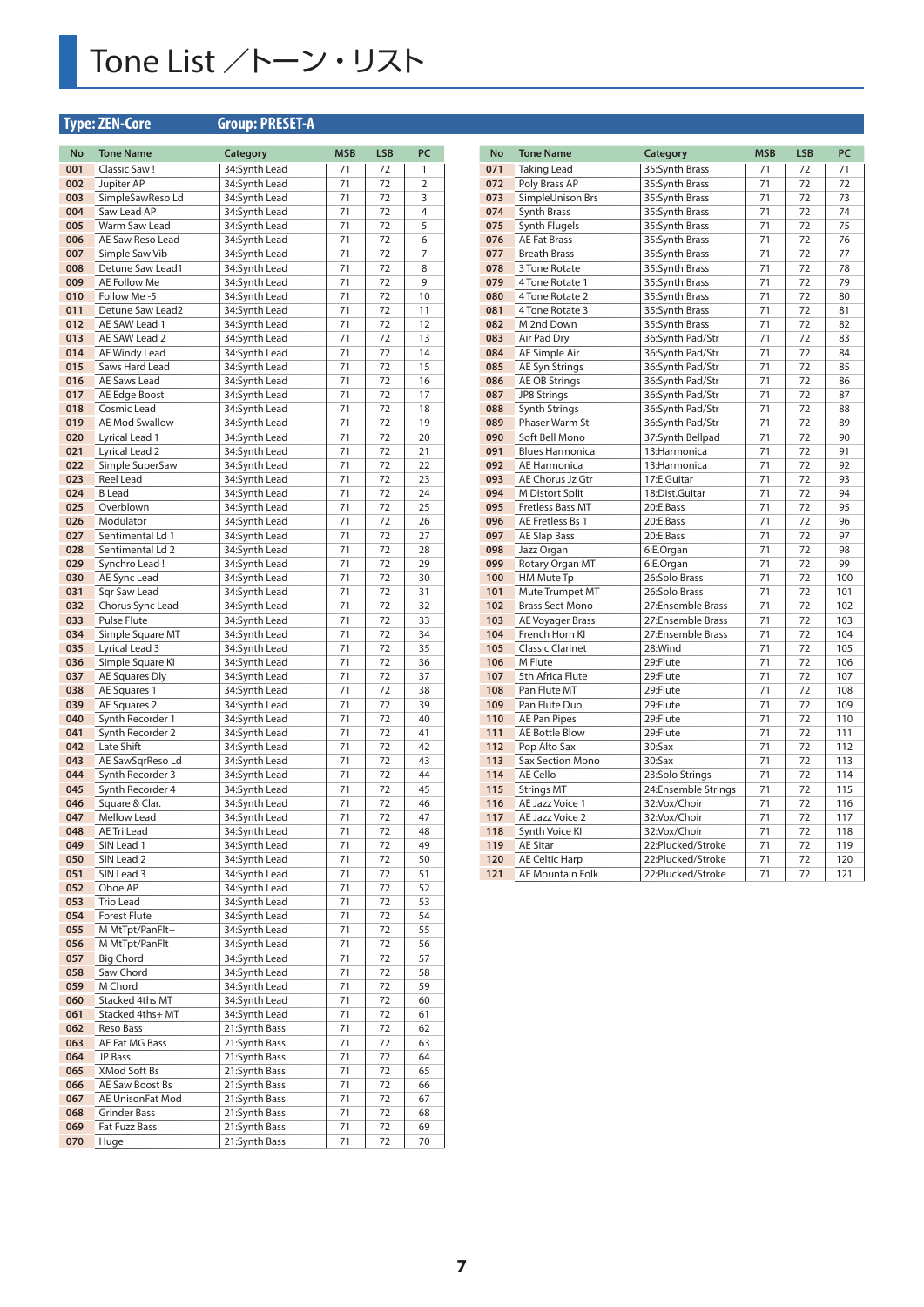## Tone List /トーン・リスト

## **Type: ZEN-Core Group: PRESET-A**

| No  | <b>Tone Name</b>      | <b>Category</b> | <b>MSB</b> | <b>LSB</b> | PC             |
|-----|-----------------------|-----------------|------------|------------|----------------|
| 001 | Classic Saw!          | 34:Synth Lead   | 71         | 72         | 1              |
| 002 | Jupiter AP            | 34:Synth Lead   | 71         | 72         | $\overline{2}$ |
| 003 | SimpleSawReso Ld      | 34:Synth Lead   | 71         | 72         | 3              |
| 004 | Saw Lead AP           | 34:Synth Lead   | 71         | 72         | 4              |
| 005 | Warm Saw Lead         | 34:Synth Lead   | 71         | 72         | 5              |
| 006 | AE Saw Reso Lead      | 34:Synth Lead   | 71         | 72         | 6              |
| 007 | Simple Saw Vib        | 34:Synth Lead   | 71         | 72         | 7              |
| 008 | Detune Saw Lead1      | 34:Synth Lead   | 71         | 72         | 8              |
| 009 | AE Follow Me          | 34:Synth Lead   | 71         | 72         | 9              |
|     |                       |                 |            |            |                |
| 010 | Follow Me-5           | 34:Synth Lead   | 71         | 72         | 10             |
| 011 | Detune Saw Lead2      | 34:Synth Lead   | 71         | 72         | 11             |
| 012 | AE SAW Lead 1         | 34:Synth Lead   | 71         | 72         | 12             |
| 013 | AE SAW Lead 2         | 34:Synth Lead   | 71         | 72         | 13             |
| 014 | AE Windy Lead         | 34:Synth Lead   | 71         | 72         | 14             |
| 015 | Saws Hard Lead        | 34:Synth Lead   | 71         | 72         | 15             |
| 016 | AE Saws Lead          | 34:Synth Lead   | 71         | 72         | 16             |
| 017 | AE Edge Boost         | 34:Synth Lead   | 71         | 72         | 17             |
| 018 | Cosmic Lead           | 34:Synth Lead   | 71         | 72         | 18             |
| 019 | <b>AE Mod Swallow</b> | 34:Synth Lead   | 71         | 72         | 19             |
| 020 | Lyrical Lead 1        | 34:Synth Lead   | 71         | 72         | 20             |
| 021 | Lyrical Lead 2        | 34:Synth Lead   | 71         | 72         | 21             |
| 022 | Simple SuperSaw       | 34:Synth Lead   | 71         | 72         | 22             |
| 023 | Reel Lead             | 34:Synth Lead   | 71         | 72         | 23             |
| 024 | <b>B</b> Lead         | 34:Synth Lead   | 71         | 72         | 24             |
| 025 | Overblown             | 34:Synth Lead   | 71         | 72         | 25             |
|     |                       | 34:Synth Lead   |            |            |                |
| 026 | Modulator             |                 | 71         | 72         | 26             |
| 027 | Sentimental Ld 1      | 34:Synth Lead   | 71         | 72         | 27             |
| 028 | Sentimental Ld 2      | 34:Synth Lead   | 71         | 72         | 28             |
| 029 | Synchro Lead!         | 34:Synth Lead   | 71         | 72         | 29             |
| 030 | AE Sync Lead          | 34:Synth Lead   | 71         | 72         | 30             |
| 031 | Sqr Saw Lead          | 34:Synth Lead   | 71         | 72         | 31             |
| 032 | Chorus Sync Lead      | 34:Synth Lead   | 71         | 72         | 32             |
| 033 | Pulse Flute           | 34:Synth Lead   | 71         | 72         | 33             |
| 034 | Simple Square MT      | 34:Synth Lead   | 71         | 72         | 34             |
| 035 | Lyrical Lead 3        | 34:Synth Lead   | 71         | 72         | 35             |
| 036 | Simple Square KI      | 34:Synth Lead   | 71         | 72         | 36             |
| 037 | AE Squares Dly        | 34:Synth Lead   | 71         | 72         | 37             |
| 038 | AE Squares 1          | 34:Synth Lead   | 71         | 72         | 38             |
| 039 | AE Squares 2          | 34:Synth Lead   | 71         | 72         | 39             |
| 040 | Synth Recorder 1      | 34:Synth Lead   | 71         | 72         | 40             |
| 041 | Synth Recorder 2      | 34:Synth Lead   | 71         | 72         | 41             |
| 042 |                       |                 | 71         |            | 42             |
|     | Late Shift            | 34:Synth Lead   |            | 72         |                |
| 043 | AE SawSqrReso Ld      | 34:Synth Lead   | 71         | 72         | 43             |
| 044 | Synth Recorder 3      | 34:Synth Lead   | 71         | 72         | 44             |
| 045 | Synth Recorder 4      | 34:Synth Lead   | 71         | 72         | 45             |
| 046 | Square & Clar.        | 34:Synth Lead   | 71         | 72         | 46             |
| 047 | Mellow Lead           | 34:Synth Lead   | 71         | 72         | 47             |
| 048 | AE Tri Lead           | 34:Synth Lead   | 71         | 72         | 48             |
| 049 | SIN Lead 1            | 34:Synth Lead   | 71         | 72         | 49             |
| 050 | SIN Lead 2            | 34:Synth Lead   | 71         | 72         | 50             |
| 051 | SIN Lead 3            | 34:Synth Lead   | 71         | 72         | 51             |
| 052 | Oboe AP               | 34:Synth Lead   | 71         | 72         | 52             |
| 053 | Trio Lead             | 34:Synth Lead   | 71         | 72         | 53             |
| 054 | <b>Forest Flute</b>   | 34:Synth Lead   | 71         | 72         | 54             |
| 055 | M MtTpt/PanFlt+       | 34:Synth Lead   | 71         | 72         | 55             |
| 056 | M MtTpt/PanFlt        | 34:Synth Lead   | 71         | 72         | 56             |
| 057 | <b>Big Chord</b>      | 34:Synth Lead   | 71         | 72         | 57             |
| 058 | Saw Chord             | 34:Synth Lead   | 71         | 72         | 58             |
| 059 | M Chord               | 34:Synth Lead   | 71         | 72         | 59             |
|     |                       |                 |            | 72         |                |
| 060 | Stacked 4ths MT       | 34:Synth Lead   | 71         |            | 60             |
| 061 | Stacked 4ths+ MT      | 34:Synth Lead   | 71         | 72         | 61             |
| 062 | Reso Bass             | 21:Synth Bass   | 71         | 72         | 62             |
| 063 | AE Fat MG Bass        | 21:Synth Bass   | 71         | 72         | 63             |
| 064 | JP Bass               | 21:Synth Bass   | 71         | 72         | 64             |
| 065 | XMod Soft Bs          | 21:Synth Bass   | 71         | 72         | 65             |
| 066 | AE Saw Boost Bs       | 21:Synth Bass   | 71         | 72         | 66             |
| 067 | AE UnisonFat Mod      | 21:Synth Bass   | 71         | 72         | 67             |
| 068 | <b>Grinder Bass</b>   | 21:Synth Bass   | 71         | 72         | 68             |
| 069 | Fat Fuzz Bass         | 21:Synth Bass   | 71         | 72         | 69             |
| 070 | Huge                  | 21:Synth Bass   | 71         | 72         | 70             |
|     |                       |                 |            |            |                |

| <b>No</b>  | <b>Tone Name</b>                      | Category            | <b>MSB</b> | <b>LSB</b> | PC         |
|------------|---------------------------------------|---------------------|------------|------------|------------|
| 071        | <b>Taking Lead</b>                    | 35:Synth Brass      | 71         | 72         | 71         |
| 072        | Poly Brass AP                         | 35:Synth Brass      | 71         | 72         | 72         |
| 073        | SimpleUnison Brs                      | 35:Synth Brass      | 71         | 72         | 73         |
| 074        | Synth Brass                           | 35:Synth Brass      | 71         | 72         | 74         |
| 075        | <b>Synth Flugels</b>                  | 35:Synth Brass      | 71         | 72         | 75         |
| 076        | <b>AE Fat Brass</b>                   | 35:Synth Brass      | 71         | 72         | 76         |
| 077        | <b>Breath Brass</b>                   | 35:Synth Brass      | 71         | 72         | 77         |
| 078        | 3 Tone Rotate                         | 35:Synth Brass      | 71         | 72         | 78         |
| 079        | 4 Tone Rotate 1                       | 35:Synth Brass      | 71         | 72         | 79         |
| 080        | 4 Tone Rotate 2                       | 35:Synth Brass      | 71         | 72         | 80         |
| 081        | 4 Tone Rotate 3                       | 35:Synth Brass      | 71         | 72         | 81         |
| 082        | M 2nd Down                            | 35:Synth Brass      | 71         | 72         | 82         |
| 083        | Air Pad Dry                           | 36:Synth Pad/Str    | 71         | 72         | 83         |
| 084        | AE Simple Air                         | 36:Synth Pad/Str    | 71         | 72         | 84         |
| 085        | <b>AE Syn Strings</b>                 | 36:Synth Pad/Str    | 71         | 72         | 85         |
| 086        | <b>AE OB Strings</b>                  | 36:Synth Pad/Str    | 71         | 72         | 86         |
| 087        | <b>JP8 Strings</b>                    | 36:Synth Pad/Str    | 71         | 72         | 87         |
| 088        | Synth Strings                         | 36:Synth Pad/Str    | 71         | 72         | 88         |
| 089        | Phaser Warm St                        | 36:Synth Pad/Str    | 71         | 72         | 89         |
| 090        | Soft Bell Mono                        | 37:Synth Bellpad    | 71         | 72         | 90         |
| 091        | <b>Blues Harmonica</b>                | 13: Harmonica       | 71         | 72         | 91         |
| 092        | <b>AE Harmonica</b>                   | 13:Harmonica        | 71         | 72         | 92         |
| 093        | AE Chorus Jz Gtr                      | 17:E.Guitar         | 71         | 72         | 93         |
| 094        | M Distort Split                       | 18:Dist.Guitar      | 71         | 72         | 94         |
| 095        | <b>Fretless Bass MT</b>               | 20:E.Bass           | 71         | 72         | 95         |
| 096        | AE Fretless Bs 1                      | 20:E.Bass           | 71         | 72         | 96         |
| 097        | <b>AE Slap Bass</b>                   | 20:E.Bass           | 71         | 72         | 97         |
| 098        | Jazz Organ                            | 6:E.Organ           | 71         | 72         | 98         |
| 099        | Rotary Organ MT                       | 6:E.Organ           | 71         | 72         | 99         |
| 100        | HM Mute Tp                            | 26:Solo Brass       | 71         | 72         | 100        |
| 101        | Mute Trumpet MT                       | 26:Solo Brass       | 71         | 72         | 101        |
| 102        | <b>Brass Sect Mono</b>                | 27:Ensemble Brass   | 71         | 72         | 102        |
| 103        | AE Voyager Brass                      | 27:Ensemble Brass   | 71         | 72         | 103        |
| 104        | French Horn KI                        | 27:Ensemble Brass   | 71         | 72         | 104        |
| 105        | <b>Classic Clarinet</b>               | 28:Wind             | 71         | 72         | 105        |
| 106        | M Flute                               | 29:Flute            | 71         | 72         | 106        |
| 107        | 5th Africa Flute                      | 29:Flute            | 71         | 72         | 107        |
| 108        | Pan Flute MT                          | 29:Flute            | 71         | 72         | 108        |
| 109        | Pan Flute Duo                         | 29:Flute            | 71         | 72         | 109        |
| 110        | <b>AE Pan Pipes</b>                   | 29:Flute            | 71         | 72         | 110        |
| 111<br>112 | <b>AE Bottle Blow</b><br>Pop Alto Sax | 29:Flute<br>30:Sax  | 71<br>71   | 72<br>72   | 111<br>112 |
| 113        | <b>Sax Section Mono</b>               | $30:$ Sax           | 71         | 72         | 113        |
| 114        | AE Cello                              | 23:Solo Strings     | 71         | 72         | 114        |
| 115        | <b>Strings MT</b>                     | 24:Ensemble Strings | 71         | 72         | 115        |
| 116        | AE Jazz Voice 1                       | 32:Vox/Choir        | 71         | 72         | 116        |
| 117        | AE Jazz Voice 2                       | 32:Vox/Choir        | 71         | 72         | 117        |
| 118        | Synth Voice KI                        | 32:Vox/Choir        | 71         | 72         | 118        |
| 119        | <b>AE Sitar</b>                       | 22:Plucked/Stroke   | 71         | 72         | 119        |
| 120        | <b>AE Celtic Harp</b>                 | 22:Plucked/Stroke   | 71         | 72         | 120        |
| 121        | AE Mountain Folk                      | 22:Plucked/Stroke   | 71         | 72         | 121        |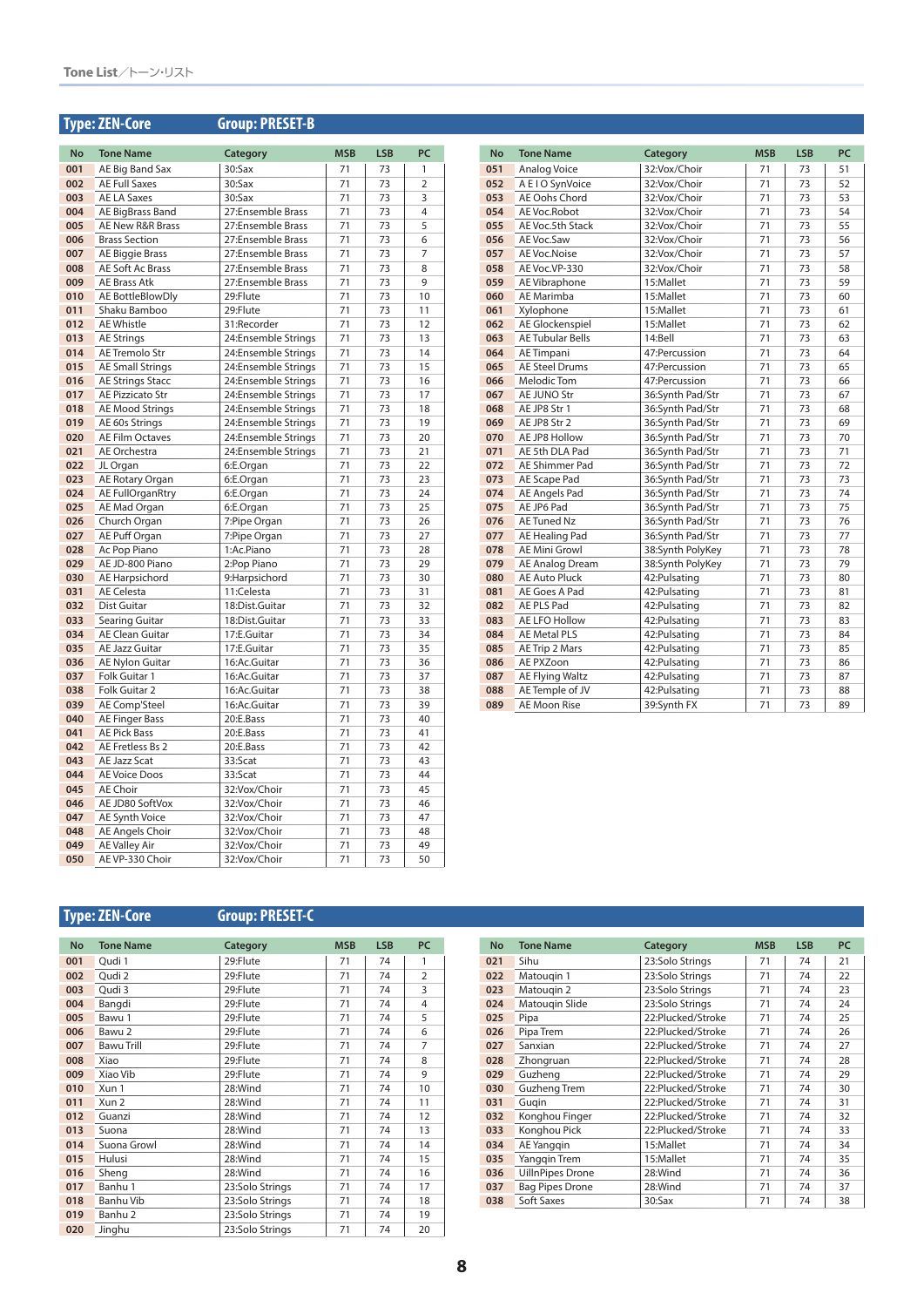## **Type: ZEN-Core Group: PRESET-B**

| No         | <b>Tone Name</b>                  | Category                     | <b>MSB</b> | <b>LSB</b> | PC             |
|------------|-----------------------------------|------------------------------|------------|------------|----------------|
| 001        | AE Big Band Sax                   | $30:$ Sax                    | 71         | 73         | 1              |
| 002        | <b>AE Full Saxes</b>              | $30:$ Sax                    | 71         | 73         | $\overline{2}$ |
| 003        | <b>AE LA Saxes</b>                | $30:$ Sax                    | 71         | 73         | 3              |
| 004        | AE BigBrass Band                  | 27:Ensemble Brass            | 71         | 73         | $\overline{4}$ |
| 005        | AE New R&R Brass                  | 27:Ensemble Brass            | 71         | 73         | 5              |
| 006        | <b>Brass Section</b>              | 27:Ensemble Brass            | 71         | 73         | 6              |
| 007        | AE Biggie Brass                   | 27:Ensemble Brass            | 71         | 73         | 7              |
| 008        | AE Soft Ac Brass                  | 27:Ensemble Brass            | 71         | 73         | 8              |
| 009        | <b>AE Brass Atk</b>               | 27:Ensemble Brass            | 71         | 73         | 9              |
| 010        | AE BottleBlowDly                  | 29:Flute                     | 71         | 73         | 10             |
| 011        | Shaku Bamboo                      | 29:Flute                     | 71         | 73         | 11             |
| 012        | <b>AE Whistle</b>                 | 31:Recorder                  | 71         | 73         | 12             |
| 013        | AE Strings                        | 24:Ensemble Strings          | 71         | 73         | 13             |
| 014        | AE Tremolo Str                    | 24:Ensemble Strings          | 71         | 73         | 14             |
| 015        | <b>AE Small Strings</b>           | 24:Ensemble Strings          | 71         | 73         | 15             |
| 016        | <b>AE Strings Stacc</b>           | 24:Ensemble Strings          | 71         | 73         | 16             |
| 017        | <b>AE Pizzicato Str</b>           | 24:Ensemble Strings          | 71         | 73         | 17             |
| 018        | <b>AE Mood Strings</b>            | 24:Ensemble Strings          | 71         | 73         | 18             |
| 019        | AE 60s Strings                    | 24:Ensemble Strings          | 71         | 73         | 19             |
| 020        | <b>AE Film Octaves</b>            | 24:Ensemble Strings          | 71         | 73         | 20             |
| 021        | AE Orchestra                      | 24:Ensemble Strings          | 71         | 73         | 21             |
| 022        | JL Organ                          | 6:E.Organ                    | 71         | 73         | 22             |
| 023        | AE Rotary Organ                   | 6:E.Organ                    | 71         | 73         | 23             |
| 024        | AE FullOrganRtry                  | 6:E.Organ                    | 71         | 73         | 24             |
| 025        | AE Mad Organ                      | 6:E.Organ                    | 71         | 73         | 25             |
| 026        | Church Organ                      | 7:Pipe Organ                 | 71         | 73         | 26             |
| 027        | AE Puff Organ                     | 7:Pipe Organ                 | 71         | 73         | 27             |
| 028        | Ac Pop Piano                      | 1:Ac.Piano                   | 71         | 73         | 28             |
| 029        | AE JD-800 Piano                   | 2:Pop Piano                  | 71         | 73         | 29             |
| 030        | <b>AE Harpsichord</b>             | 9:Harpsichord                | 71         | 73         | 30             |
| 031        | <b>AE Celesta</b>                 | 11:Celesta                   | 71         | 73         | 31             |
| 032        | Dist Guitar                       | 18:Dist.Guitar               | 71         | 73         | 32             |
| 033        | Searing Guitar                    | 18:Dist.Guitar               | 71         | 73         | 33             |
| 034        | <b>AE Clean Guitar</b>            | 17:E.Guitar                  | 71         | 73         | 34             |
| 035        | <b>AE Jazz Guitar</b>             | 17:E.Guitar                  | 71         | 73         | 35             |
| 036        | AE Nylon Guitar                   | 16:Ac.Guitar                 | 71         | 73         | 36             |
| 037        | Folk Guitar 1                     | 16:Ac.Guitar                 | 71         | 73         | 37             |
| 038        | Folk Guitar 2                     | 16:Ac.Guitar                 | 71         | 73         | 38             |
| 039        | <b>AE Comp'Steel</b>              | 16:Ac.Guitar                 | 71         | 73         | 39             |
| 040        | <b>AE Finger Bass</b>             | 20:E.Bass                    | 71         | 73         | 40             |
| 041        | <b>AE Pick Bass</b>               | 20:E.Bass                    | 71         | 73         | 41<br>42       |
| 042        | AE Fretless Bs 2                  | 20:E.Bass                    | 71         | 73         |                |
| 043        | AE Jazz Scat                      | 33:Scat                      | 71         | 73         | 43             |
| 044        | <b>AE Voice Doos</b>              | 33:Scat                      | 71         | 73         | 44             |
| 045        | <b>AE Choir</b>                   | 32:Vox/Choir                 | 71         | 73         | 45             |
| 046<br>047 | AE JD80 SoftVox                   | 32:Vox/Choir                 | 71<br>71   | 73         | 46<br>47       |
| 048        | AE Synth Voice<br>AE Angels Choir | 32:Vox/Choir<br>32:Vox/Choir | 71         | 73<br>73   | 48             |
| 049        | <b>AE Valley Air</b>              | 32:Vox/Choir                 | 71         | 73         | 49             |
| 050        | AE VP-330 Choir                   | 32:Vox/Choir                 | 71         | 73         | 50             |
|            |                                   |                              |            |            |                |

| <b>No</b> | <b>Tone Name</b>        | Category         | <b>MSB</b> | <b>LSB</b> | PC |
|-----------|-------------------------|------------------|------------|------------|----|
| 051       | Analog Voice            | 32:Vox/Choir     | 71         | 73         | 51 |
| 052       | A E I O SynVoice        | 32:Vox/Choir     | 71         | 73         | 52 |
| 053       | AE Oohs Chord           | 32:Vox/Choir     | 71         | 73         | 53 |
| 054       | AE Voc.Robot            | 32:Vox/Choir     | 71         | 73         | 54 |
| 055       | AE Voc.5th Stack        | 32:Vox/Choir     | 71         | 73         | 55 |
| 056       | AE Voc.Saw              | 32:Vox/Choir     | 71         | 73         | 56 |
| 057       | AE Voc.Noise            | 32:Vox/Choir     | 71         | 73         | 57 |
| 058       | AE Voc.VP-330           | 32:Vox/Choir     | 71         | 73         | 58 |
| 059       | AE Vibraphone           | 15:Mallet        | 71         | 73         | 59 |
| 060       | AE Marimba              | 15:Mallet        | 71         | 73         | 60 |
| 061       | Xylophone               | 15:Mallet        | 71         | 73         | 61 |
| 062       | AE Glockenspiel         | 15:Mallet        | 71         | 73         | 62 |
| 063       | <b>AE Tubular Bells</b> | 14:Bell          | 71         | 73         | 63 |
| 064       | AE Timpani              | 47:Percussion    | 71         | 73         | 64 |
| 065       | <b>AE Steel Drums</b>   | 47:Percussion    | 71         | 73         | 65 |
| 066       | Melodic Tom             | 47:Percussion    | 71         | 73         | 66 |
| 067       | <b>AE JUNO Str</b>      | 36:Svnth Pad/Str | 71         | 73         | 67 |
| 068       | AE JP8 Str 1            | 36:Synth Pad/Str | 71         | 73         | 68 |
| 069       | AE JP8 Str 2            | 36:Synth Pad/Str | 71         | 73         | 69 |
| 070       | AE JP8 Hollow           | 36:Synth Pad/Str | 71         | 73         | 70 |
| 071       | AE 5th DLA Pad          | 36:Svnth Pad/Str | 71         | 73         | 71 |
| 072       | AE Shimmer Pad          | 36:Synth Pad/Str | 71         | 73         | 72 |
| 073       | AE Scape Pad            | 36:Synth Pad/Str | 71         | 73         | 73 |
| 074       | <b>AE Angels Pad</b>    | 36:Synth Pad/Str | 71         | 73         | 74 |
| 075       | AE JP6 Pad              | 36:Svnth Pad/Str | 71         | 73         | 75 |
| 076       | <b>AE Tuned Nz</b>      | 36:Synth Pad/Str | 71         | 73         | 76 |
| 077       | AE Healing Pad          | 36:Synth Pad/Str | 71         | 73         | 77 |
| 078       | <b>AE Mini Growl</b>    | 38:Synth PolyKey | 71         | 73         | 78 |
| 079       | <b>AE Analog Dream</b>  | 38:Synth PolyKey | 71         | 73         | 79 |
| 080       | <b>AE Auto Pluck</b>    | 42: Pulsating    | 71         | 73         | 80 |
| 081       | AE Goes A Pad           | 42: Pulsating    | 71         | 73         | 81 |
| 082       | <b>AE PLS Pad</b>       | 42: Pulsating    | 71         | 73         | 82 |
| 083       | AE LFO Hollow           | 42:Pulsating     | 71         | 73         | 83 |
| 084       | <b>AE Metal PLS</b>     | 42: Pulsating    | 71         | 73         | 84 |
| 085       | AE Trip 2 Mars          | 42: Pulsating    | 71         | 73         | 85 |
| 086       | AE PXZoon               | 42: Pulsating    | 71         | 73         | 86 |
| 087       | <b>AE Flying Waltz</b>  | 42:Pulsating     | 71         | 73         | 87 |
| 088       | AE Temple of JV         | 42: Pulsating    | 71         | 73         | 88 |
| 089       | <b>AE Moon Rise</b>     | 39:Svnth FX      | 71         | 73         | 89 |

## **Type: ZEN-Core Group: PRESET-C**

| <b>No</b> | <b>Tone Name</b>   | Category        | <b>MSB</b> | <b>LSB</b> | PC             |
|-----------|--------------------|-----------------|------------|------------|----------------|
| 001       | Qudi 1             | 29:Flute        | 71         | 74         | 1              |
| 002       | Qudi 2             | 29:Flute        | 71         | 74         | $\overline{2}$ |
| 003       | Qudi 3             | 29:Flute        | 71         | 74         | 3              |
| 004       | Bangdi             | 29:Flute        | 71         | 74         | 4              |
| 005       | Bawu 1             | 29:Flute        | 71         | 74         | 5              |
| 006       | Bawu 2             | 29:Flute        | 71         | 74         | 6              |
| 007       | <b>Bawu Trill</b>  | 29:Flute        | 71         | 74         | 7              |
| 008       | Xiao               | 29:Flute        | 71         | 74         | 8              |
| 009       | Xiao Vib           | 29:Flute        | 71         | 74         | 9              |
| 010       | Xun 1              | 28:Wind         | 71         | 74         | 10             |
| 011       | Xun 2              | 28:Wind         | 71         | 74         | 11             |
| 012       | Guanzi             | 28:Wind         | 71         | 74         | 12             |
| 013       | Suona              | 28:Wind         | 71         | 74         | 13             |
| 014       | Suona Growl        | 28:Wind         | 71         | 74         | 14             |
| 015       | Hulusi             | 28:Wind         | 71         | 74         | 15             |
| 016       | Sheng              | 28:Wind         | 71         | 74         | 16             |
| 017       | Banhu 1            | 23:Solo Strings | 71         | 74         | 17             |
| 018       | Banhu Vib          | 23:Solo Strings | 71         | 74         | 18             |
| 019       | Banhu <sub>2</sub> | 23:Solo Strings | 71         | 74         | 19             |
| 020       | Jinghu             | 23:Solo Strings | 71         | 74         | 20             |

| <b>No</b> | <b>Tone Name</b>        | Category          | <b>MSB</b> | <b>LSB</b> | <b>PC</b> |
|-----------|-------------------------|-------------------|------------|------------|-----------|
| 021       | Sihu                    | 23:Solo Strings   | 71         | 74         | 21        |
| 022       | Matougin 1              | 23:Solo Strings   | 71         | 74         | 22        |
| 023       | Matougin 2              | 23:Solo Strings   | 71         | 74         | 23        |
| 024       | Matougin Slide          | 23:Solo Strings   | 71         | 74         | 24        |
| 025       | Pipa                    | 22:Plucked/Stroke | 71         | 74         | 25        |
| 026       | Pipa Trem               | 22:Plucked/Stroke | 71         | 74         | 26        |
| 027       | Sanxian                 | 22:Plucked/Stroke | 71         | 74         | 27        |
| 028       | Zhongruan               | 22:Plucked/Stroke | 71         | 74         | 28        |
| 029       | Guzheng                 | 22:Plucked/Stroke | 71         | 74         | 29        |
| 030       | Guzheng Trem            | 22:Plucked/Stroke | 71         | 74         | 30        |
| 031       | Gugin                   | 22:Plucked/Stroke | 71         | 74         | 31        |
| 032       | Konghou Finger          | 22:Plucked/Stroke | 71         | 74         | 32        |
| 033       | Konghou Pick            | 22:Plucked/Stroke | 71         | 74         | 33        |
| 034       | AE Yanggin              | 15:Mallet         | 71         | 74         | 34        |
| 035       | <b>Yanggin Trem</b>     | 15:Mallet         | 71         | 74         | 35        |
| 036       | <b>UillnPipes Drone</b> | 28:Wind           | 71         | 74         | 36        |
| 037       | <b>Bag Pipes Drone</b>  | 28:Wind           | 71         | 74         | 37        |
| 038       | Soft Saxes              | $30:$ Sax         | 71         | 74         | 38        |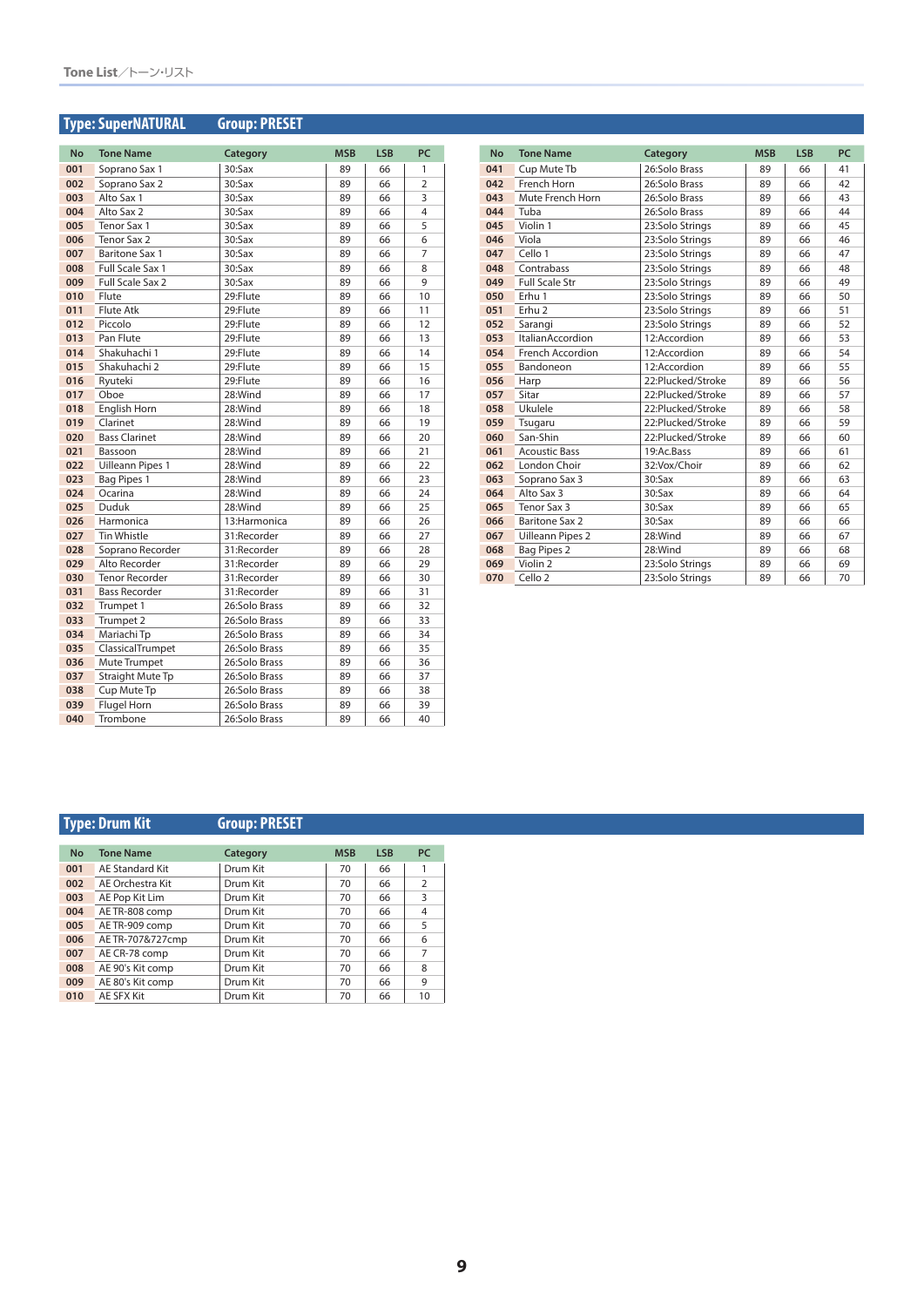## **Type: SuperNATURAL Group: PRESET**

| <b>No</b> | <b>Tone Name</b>        | Category      | <b>MSB</b> | <b>LSB</b> | PC             |
|-----------|-------------------------|---------------|------------|------------|----------------|
| 001       | Soprano Sax 1           | $30:$ Sax     | 89         | 66         | 1              |
| 002       | Soprano Sax 2           | $30:$ Sax     | 89         | 66         | $\overline{2}$ |
| 003       | Alto Sax 1              | 30:Sax        | 89         | 66         | 3              |
| 004       | Alto Sax 2              | $30:$ Sax     | 89         | 66         | 4              |
| 005       | Tenor Sax 1             | $30:$ Sax     | 89         | 66         | 5              |
| 006       | Tenor Sax 2             | $30:$ Sax     | 89         | 66         | 6              |
| 007       | <b>Baritone Sax 1</b>   | $30:$ Sax     | 89         | 66         | 7              |
| 008       | Full Scale Sax 1        | 30:Sax        | 89         | 66         | 8              |
| 009       | Full Scale Sax 2        | $30:$ Sax     | 89         | 66         | 9              |
| 010       | Flute                   | 29:Flute      | 89         | 66         | 10             |
| 011       | <b>Flute Atk</b>        | 29:Flute      | 89         | 66         | 11             |
| 012       | Piccolo                 | 29:Flute      | 89         | 66         | 12             |
| 013       | Pan Flute               | 29:Flute      | 89         | 66         | 13             |
| 014       | Shakuhachi 1            | 29:Flute      | 89         | 66         | 14             |
| 015       | Shakuhachi 2            | 29:Flute      | 89         | 66         | 15             |
| 016       | Ryuteki                 | 29:Flute      | 89         | 66         | 16             |
| 017       | Oboe                    | 28:Wind       | 89         | 66         | 17             |
| 018       | English Horn            | 28:Wind       | 89         | 66         | 18             |
| 019       | Clarinet                | 28:Wind       | 89         | 66         | 19             |
| 020       | <b>Bass Clarinet</b>    | 28:Wind       | 89         | 66         | 20             |
| 021       | Bassoon                 | 28:Wind       | 89         | 66         | 21             |
| 022       | <b>Uilleann Pipes 1</b> | 28:Wind       | 89         | 66         | 22             |
| 023       | Bag Pipes 1             | 28:Wind       | 89         | 66         | 23             |
| 024       | Ocarina                 | 28:Wind       | 89         | 66         | 24             |
| 025       | Duduk                   | 28:Wind       | 89         | 66         | 25             |
| 026       | Harmonica               | 13:Harmonica  | 89         | 66         | 26             |
| 027       | <b>Tin Whistle</b>      | 31:Recorder   | 89         | 66         | 27             |
| 028       | Soprano Recorder        | 31:Recorder   | 89         | 66         | 28             |
| 029       | Alto Recorder           | 31:Recorder   | 89         | 66         | 29             |
| 030       | <b>Tenor Recorder</b>   | 31:Recorder   | 89         | 66         | 30             |
| 031       | <b>Bass Recorder</b>    | 31:Recorder   | 89         | 66         | 31             |
| 032       | Trumpet 1               | 26:Solo Brass | 89         | 66         | 32             |
| 033       | Trumpet 2               | 26:Solo Brass | 89         | 66         | 33             |
| 034       | Mariachi Tp             | 26:Solo Brass | 89         | 66         | 34             |
| 035       | ClassicalTrumpet        | 26:Solo Brass | 89         | 66         | 35             |
| 036       | Mute Trumpet            | 26:Solo Brass | 89         | 66         | 36             |
| 037       | Straight Mute Tp        | 26:Solo Brass | 89         | 66         | 37             |
| 038       | Cup Mute Tp             | 26:Solo Brass | 89         | 66         | 38             |
| 039       | Flugel Horn             | 26:Solo Brass | 89         | 66         | 39             |
| 040       | Trombone                | 26:Solo Brass | 89         | 66         | 40             |

| <b>No</b> | <b>Tone Name</b>        | Category          | <b>MSB</b> | <b>LSB</b> | PC |
|-----------|-------------------------|-------------------|------------|------------|----|
| 041       | Cup Mute Tb             | 26:Solo Brass     | 89         | 66         | 41 |
| 042       | French Horn             | 26:Solo Brass     | 89         | 66         | 42 |
| 043       | Mute French Horn        | 26:Solo Brass     | 89         | 66         | 43 |
| 044       | Tuba                    | 26:Solo Brass     | 89         | 66         | 44 |
| 045       | Violin 1                | 23:Solo Strings   | 89         | 66         | 45 |
| 046       | Viola                   | 23:Solo Strings   | 89         | 66         | 46 |
| 047       | Cello 1                 | 23:Solo Strings   | 89         | 66         | 47 |
| 048       | Contrabass              | 23:Solo Strings   | 89         | 66         | 48 |
| 049       | <b>Full Scale Str</b>   | 23:Solo Strings   | 89         | 66         | 49 |
| 050       | Erhu 1                  | 23:Solo Strings   | 89         | 66         | 50 |
| 051       | Erhu <sub>2</sub>       | 23:Solo Strings   | 89         | 66         | 51 |
| 052       | Sarangi                 | 23:Solo Strings   | 89         | 66         | 52 |
| 053       | ItalianAccordion        | 12:Accordion      | 89         | 66         | 53 |
| 054       | French Accordion        | 12:Accordion      | 89         | 66         | 54 |
| 055       | Bandoneon               | 12:Accordion      | 89         | 66         | 55 |
| 056       | Harp                    | 22:Plucked/Stroke | 89         | 66         | 56 |
| 057       | Sitar                   | 22:Plucked/Stroke | 89         | 66         | 57 |
| 058       | Ukulele                 | 22:Plucked/Stroke | 89         | 66         | 58 |
| 059       | Tsugaru                 | 22:Plucked/Stroke | 89         | 66         | 59 |
| 060       | San-Shin                | 22:Plucked/Stroke | 89         | 66         | 60 |
| 061       | <b>Acoustic Bass</b>    | 19:Ac.Bass        | 89         | 66         | 61 |
| 062       | London Choir            | 32:Vox/Choir      | 89         | 66         | 62 |
| 063       | Soprano Sax 3           | $30:$ Sax         | 89         | 66         | 63 |
| 064       | Alto Sax 3              | 30:Sax            | 89         | 66         | 64 |
| 065       | Tenor Sax 3             | $30:$ Sax         | 89         | 66         | 65 |
| 066       | <b>Baritone Sax 2</b>   | 30:Sax            | 89         | 66         | 66 |
| 067       | <b>Uilleann Pipes 2</b> | 28:Wind           | 89         | 66         | 67 |
| 068       | <b>Bag Pipes 2</b>      | 28:Wind           | 89         | 66         | 68 |
| 069       | Violin <sub>2</sub>     | 23:Solo Strings   | 89         | 66         | 69 |
| 070       | Cello <sub>2</sub>      | 23:Solo Strinas   | 89         | 66         | 70 |

## **Type: Drum Kit Group: PRESET**

| <b>No</b>               | <b>Tone Name</b> | Category | <b>MSB</b> | <b>LSB</b> | <b>PC</b>      |
|-------------------------|------------------|----------|------------|------------|----------------|
| 001                     | AE Standard Kit  | Drum Kit | 70         | 66         |                |
| AE Orchestra Kit<br>002 |                  | Drum Kit | 70         | 66         | $\overline{2}$ |
| 003                     | AE Pop Kit Lim   | Drum Kit | 70         | 66         | 3              |
| 004                     | AE TR-808 comp   | Drum Kit | 70         | 66         | 4              |
| 005                     | AE TR-909 comp   | Drum Kit | 70         | 66         | 5              |
| 006                     | AE TR-707&727cmp | Drum Kit | 70         | 66         | 6              |
| 007                     | AE CR-78 comp    | Drum Kit | 70         | 66         | 7              |
| 008                     | AE 90's Kit comp | Drum Kit | 70         | 66         | 8              |
| 009                     | AE 80's Kit comp | Drum Kit | 70         | 66         | 9              |
| 010                     | AE SFX Kit       | Drum Kit | 70         | 66         | 10             |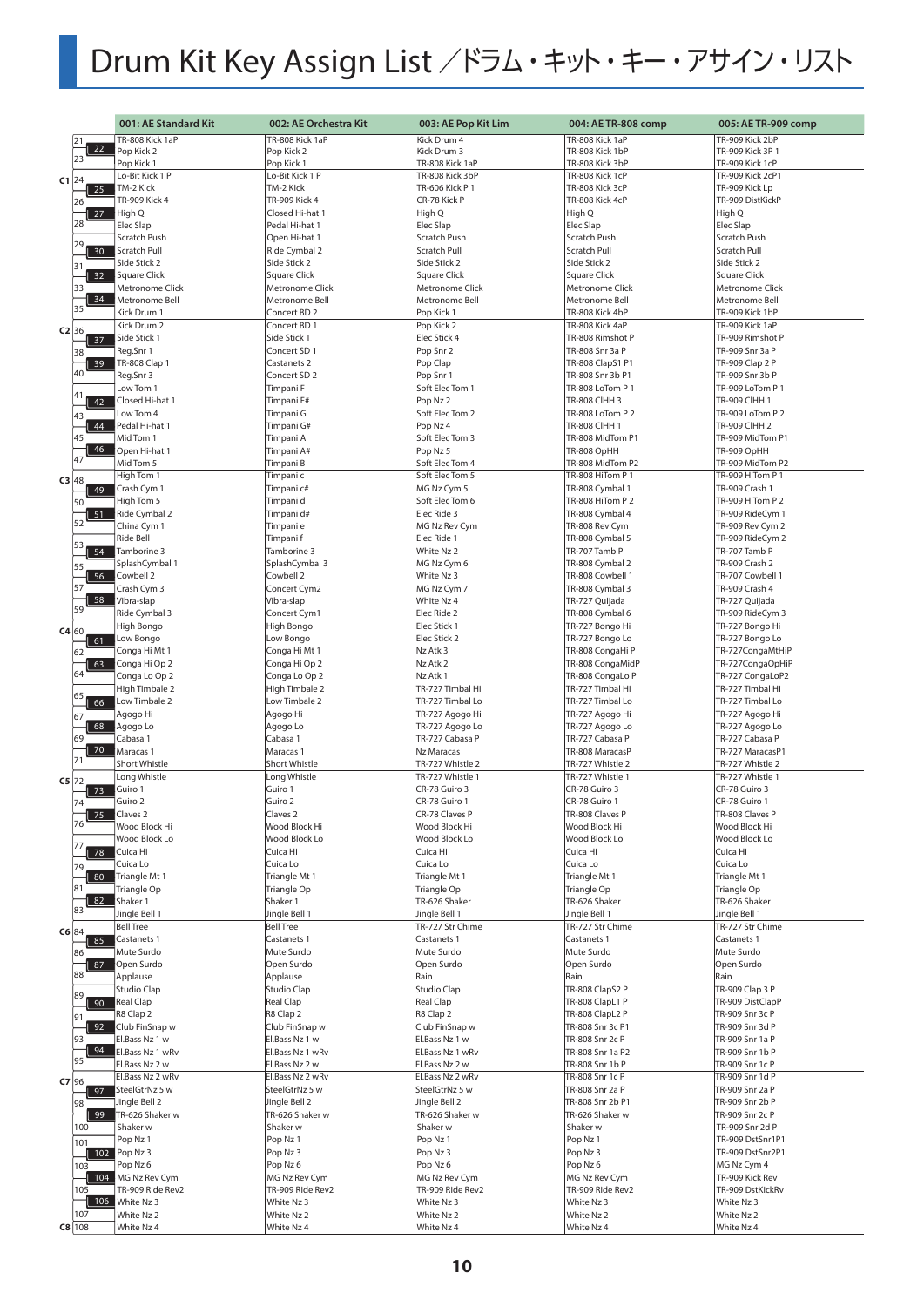# Drum Kit Key Assign List /ドラム・キット・キー・アサイン・リスト

|         |                       | 001: AE Standard Kit                 | 002: AE Orchestra Kit                | 003: AE Pop Kit Lim                | 004: AE TR-808 comp                | 005: AE TR-909 comp                |
|---------|-----------------------|--------------------------------------|--------------------------------------|------------------------------------|------------------------------------|------------------------------------|
|         | 21                    | TR-808 Kick 1aP                      | TR-808 Kick 1aP                      | Kick Drum 4                        | TR-808 Kick 1aP                    | TR-909 Kick 2bP                    |
|         | 22                    | Pop Kick 2                           | Pop Kick 2                           | Kick Drum 3                        | TR-808 Kick 1bP                    | TR-909 Kick 3P 1                   |
|         | 23                    | Pop Kick 1                           | Pop Kick 1                           | TR-808 Kick 1aP                    | TR-808 Kick 3bP                    | TR-909 Kick 1cP                    |
|         |                       | Lo-Bit Kick 1 P                      | Lo-Bit Kick 1 P                      | TR-808 Kick 3bP                    | TR-808 Kick 1cP                    | TR-909 Kick 2cP1                   |
| $C1$ 24 | 25                    | TM-2 Kick                            | TM-2 Kick                            | TR-606 Kick P 1                    | TR-808 Kick 3cP                    | TR-909 Kick Lp                     |
|         | 26                    | TR-909 Kick 4                        | TR-909 Kick 4                        | CR-78 Kick P                       | TR-808 Kick 4cP                    | TR-909 DistKickP                   |
|         | 27                    | High Q                               | Closed Hi-hat 1                      | High Q                             | High Q                             | High Q                             |
|         | 28                    | Elec Slap                            | Pedal Hi-hat 1                       | Elec Slap                          | Elec Slap                          | Elec Slap                          |
|         |                       | Scratch Push                         | Open Hi-hat 1                        | Scratch Push                       | Scratch Push                       | Scratch Push                       |
|         | 29<br>30 <sub>o</sub> | Scratch Pull                         | Ride Cymbal 2                        | <b>Scratch Pull</b>                | Scratch Pull                       | Scratch Pull                       |
|         | 31                    | Side Stick 2                         | Side Stick 2                         | Side Stick 2                       | Side Stick 2                       | Side Stick 2                       |
|         | 32                    | Square Click                         | Square Click                         | <b>Square Click</b>                | Square Click                       | <b>Square Click</b>                |
|         | 33                    | Metronome Click                      | <b>Metronome Click</b>               | <b>Metronome Click</b>             | <b>Metronome Click</b>             | Metronome Click                    |
|         | 34                    | Metronome Bell                       | Metronome Bell                       | Metronome Bell                     | Metronome Bell                     | Metronome Bell                     |
|         | 35                    | Kick Drum 1                          | Concert BD 2                         | Pop Kick 1                         | TR-808 Kick 4bP                    | TR-909 Kick 1bP                    |
| C2 36   |                       | Kick Drum 2                          | Concert BD 1                         | Pop Kick 2                         | TR-808 Kick 4aP                    | TR-909 Kick 1aP                    |
|         | 37                    | Side Stick 1                         | Side Stick 1                         | Elec Stick 4                       | TR-808 Rimshot P                   | TR-909 Rimshot P                   |
|         | 38                    | Reg.Snr 1                            | Concert SD 1                         | Pop Snr 2                          | TR-808 Snr 3a P                    | TR-909 Snr 3a P                    |
|         | 39                    | <b>TR-808 Clap 1</b>                 | Castanets 2                          | Pop Clap                           | TR-808 ClapS1 P1                   | TR-909 Clap 2 P                    |
|         | 40                    | Reg.Snr 3                            | Concert SD <sub>2</sub>              | Pop Snr 1                          | TR-808 Snr 3b P1                   | TR-909 Snr 3b P                    |
|         | 141                   | Low Tom 1                            | Timpani F                            | Soft Elec Tom 1                    | TR-808 LoTom P 1                   | TR-909 LoTom P 1                   |
|         | 42                    | Closed Hi-hat 1                      | Timpani F#                           | Pop Nz 2                           | TR-808 CIHH 3                      | <b>TR-909 CIHH 1</b>               |
|         | 43                    | Low Tom 4                            | Timpani G                            | Soft Elec Tom 2                    | TR-808 LoTom P 2                   | TR-909 LoTom P 2                   |
|         | 44                    | Pedal Hi-hat 1                       | Timpani G#                           | Pop Nz 4                           | TR-808 CIHH 1                      | TR-909 CIHH 2                      |
|         | 45                    | Mid Tom 1                            | Timpani A                            | Soft Elec Tom 3                    | TR-808 MidTom P1                   | TR-909 MidTom P1                   |
|         | 46<br>47              | Open Hi-hat 1                        | Timpani A#                           | Pop Nz 5                           | TR-808 OpHH                        | TR-909 OpHH                        |
|         |                       | Mid Tom 5                            | Timpani B                            | Soft Elec Tom 4                    | TR-808 MidTom P2                   | TR-909 MidTom P2                   |
| $C3$ 48 |                       | High Tom 1                           | Timpani c                            | Soft Elec Tom 5                    | TR-808 HiTom P 1                   | TR-909 HiTom P 1                   |
|         | 49                    | Crash Cym 1                          | Timpani c#                           | MG Nz Cym 5                        | TR-808 Cymbal 1                    | TR-909 Crash 1                     |
|         | 50                    | High Tom 5                           | Timpani d                            | Soft Elec Tom 6                    | TR-808 HiTom P 2                   | TR-909 HiTom P 2                   |
|         | 51<br>52              | Ride Cymbal 2                        | Timpani d#                           | Elec Ride 3                        | TR-808 Cymbal 4                    | TR-909 RideCym 1                   |
|         |                       | China Cym 1                          | Timpani e                            | MG Nz Rev Cym                      | TR-808 Rev Cym                     | TR-909 Rev Cym 2                   |
|         | 53                    | Ride Bell                            | Timpani f                            | Elec Ride 1                        | TR-808 Cymbal 5                    | TR-909 RideCym 2                   |
|         | 54                    | Tamborine 3<br>SplashCymbal 1        | Tamborine 3<br>SplashCymbal 3        | White Nz 2<br>MG Nz Cym 6          | TR-707 Tamb P<br>TR-808 Cymbal 2   | TR-707 Tamb P<br>TR-909 Crash 2    |
|         | 55<br>56              | Cowbell 2                            | Cowbell 2                            | White Nz 3                         | TR-808 Cowbell 1                   | TR-707 Cowbell 1                   |
|         | 57                    | Crash Cym 3                          | Concert Cym2                         | MG Nz Cym 7                        | TR-808 Cymbal 3                    | TR-909 Crash 4                     |
|         | 58                    | Vibra-slap                           | Vibra-slap                           | White Nz 4                         | TR-727 Quijada                     | TR-727 Quijada                     |
|         | 59                    | Ride Cymbal 3                        | Concert Cym1                         | Elec Ride 2                        | TR-808 Cymbal 6                    | TR-909 RideCym 3                   |
|         |                       | High Bongo                           | High Bongo                           | Elec Stick 1                       | TR-727 Bongo Hi                    | TR-727 Bongo Hi                    |
| C4 60   | 61                    | Low Bongo                            | Low Bongo                            | Elec Stick 2                       | TR-727 Bongo Lo                    | TR-727 Bongo Lo                    |
|         | 62                    | Conga Hi Mt 1                        | Conga Hi Mt 1                        | Nz Atk 3                           | TR-808 CongaHi P                   | TR-727 CongaMtHiP                  |
|         | 63                    | Conga Hi Op 2                        | Conga Hi Op 2                        | Nz Atk 2                           | TR-808 CongaMidP                   | TR-727CongaOpHiP                   |
|         | 64                    | Conga Lo Op 2                        | Conga Lo Op 2                        | Nz Atk 1                           | TR-808 CongaLo P                   | TR-727 CongaLoP2                   |
|         |                       | High Timbale 2                       | High Timbale 2                       | TR-727 Timbal Hi                   | TR-727 Timbal Hi                   | TR-727 Timbal Hi                   |
|         | 65<br>66              | Low Timbale 2                        | Low Timbale 2                        | TR-727 Timbal Lo                   | TR-727 Timbal Lo                   | TR-727 Timbal Lo                   |
|         | 67                    | Agogo Hi                             | Agogo Hi                             | TR-727 Agogo Hi                    | TR-727 Agogo Hi                    | TR-727 Agogo Hi                    |
|         | 68                    | Agogo Lo                             | Agogo Lo                             | TR-727 Agogo Lo                    | TR-727 Agogo Lo                    | TR-727 Agogo Lo                    |
|         | 69                    | Cabasa 1                             | Cabasa 1                             | TR-727 Cabasa P                    | TR-727 Cabasa P                    | TR-727 Cabasa P                    |
|         | 70<br>71              | Maracas 1                            | Maracas 1                            | Nz Maracas                         | TR-808 MaracasP                    | TR-727 MaracasP1                   |
|         |                       | Short Whistle                        | Short Whistle                        | TR-727 Whistle 2                   | TR-727 Whistle 2                   | TR-727 Whistle 2                   |
| $C5$ 72 |                       | Long Whistle                         | Long Whistle                         | TR-727 Whistle 1                   | TR-727 Whistle 1                   | TR-727 Whistle 1                   |
|         | 73                    | Guiro 1                              | Guiro 1                              | CR-78 Guiro 3                      | CR-78 Guiro 3                      | CR-78 Guiro 3                      |
|         | 74                    | Guiro 2                              | Guiro 2                              | CR-78 Guiro 1                      | CR-78 Guiro 1                      | CR-78 Guiro 1<br>TR-808 Claves P   |
|         | 75<br>76              | Claves <sub>2</sub><br>Wood Block Hi | Claves <sub>2</sub><br>Wood Block Hi | CR-78 Claves P<br>Wood Block Hi    | TR-808 Claves P<br>Wood Block Hi   | Wood Block Hi                      |
|         |                       | Wood Block Lo                        | Wood Block Lo                        | Wood Block Lo                      | Wood Block Lo                      | Wood Block Lo                      |
|         | 78                    | Cuica Hi                             | Cuica Hi                             | Cuica Hi                           | Cuica Hi                           | Cuica Hi                           |
|         | 79                    | Cuica Lo                             | Cuica Lo                             | Cuica Lo                           | Cuica Lo                           | Cuica Lo                           |
|         | 80                    | Triangle Mt 1                        | Triangle Mt 1                        | Triangle Mt 1                      | Triangle Mt 1                      | Triangle Mt 1                      |
|         | 81                    | Triangle Op                          | Triangle Op                          | Triangle Op                        | Triangle Op                        | Triangle Op                        |
|         | 82                    | Shaker 1                             | Shaker 1                             | TR-626 Shaker                      | TR-626 Shaker                      | TR-626 Shaker                      |
|         | 83                    | Jingle Bell 1                        | Jingle Bell 1                        | Jingle Bell 1                      | Jingle Bell 1                      | Jingle Bell 1                      |
| C6 84   |                       | <b>Bell Tree</b>                     | <b>Bell Tree</b>                     | TR-727 Str Chime                   | TR-727 Str Chime                   | TR-727 Str Chime                   |
|         | 85                    | Castanets 1                          | Castanets 1                          | Castanets 1                        | Castanets 1                        | Castanets 1                        |
|         | 86                    | Mute Surdo                           | Mute Surdo                           | Mute Surdo                         | Mute Surdo                         | Mute Surdo                         |
|         | 87                    | Open Surdo                           | Open Surdo                           | Open Surdo                         | Open Surdo                         | Open Surdo                         |
|         | 88                    | Applause                             | Applause                             | Rain                               | Rain                               | Rain                               |
|         | 89                    | Studio Clap                          | Studio Clap                          | Studio Clap                        | TR-808 ClapS2 P                    | TR-909 Clap 3 P                    |
|         | 90                    | <b>Real Clap</b>                     | Real Clap                            | Real Clap                          | TR-808 ClapL1 P                    | TR-909 DistClapP                   |
|         | 91                    | R8 Clap 2                            | R8 Clap 2                            | R8 Clap 2                          | TR-808 ClapL2 P                    | TR-909 Snr 3c P                    |
|         | 92                    | Club FinSnap w                       | Club FinSnap w                       | Club FinSnap w                     | TR-808 Snr 3c P1                   | TR-909 Snr 3d P                    |
|         | 93<br>94              | El.Bass Nz 1 w                       | El.Bass Nz 1 w                       | El.Bass Nz 1 w                     | TR-808 Snr 2c P                    | TR-909 Snr 1a P                    |
|         | 95                    | El.Bass Nz 1 wRv                     | El.Bass Nz 1 wRv                     | El.Bass Nz 1 wRv                   | TR-808 Snr 1a P2                   | TR-909 Snr 1b P                    |
|         |                       | El.Bass Nz 2 w<br>El.Bass Nz 2 wRv   | El.Bass Nz 2 w                       | El.Bass Nz 2 w                     | TR-808 Snr 1b P                    | TR-909 Snr 1c P                    |
| $C7$ 96 |                       | SteelGtrNz 5 w                       | El.Bass Nz 2 wRv<br>SteelGtrNz 5 w   | El.Bass Nz 2 wRv<br>SteelGtrNz 5 w | TR-808 Snr 1c P<br>TR-808 Snr 2a P | TR-909 Snr 1d P<br>TR-909 Snr 2a P |
|         | 97                    | Jingle Bell 2                        | Jingle Bell 2                        | Jingle Bell 2                      | TR-808 Snr 2b P1                   | TR-909 Snr 2b P                    |
|         | 98<br>  99            | TR-626 Shaker w                      | TR-626 Shaker w                      | TR-626 Shaker w                    | TR-626 Shaker w                    | TR-909 Snr 2c P                    |
|         | 100                   | Shaker w                             | Shaker w                             | Shaker w                           | Shaker w                           | TR-909 Snr 2d P                    |
|         | 101                   | Pop Nz 1                             | Pop Nz 1                             | Pop Nz 1                           | Pop Nz 1                           | TR-909 DstSnr1P1                   |
|         |                       | 102 Pop Nz 3                         | Pop Nz 3                             | Pop Nz 3                           | Pop Nz 3                           | TR-909 DstSnr2P1                   |
|         | 103                   | Pop Nz 6                             | Pop Nz 6                             | Pop Nz 6                           | Pop Nz 6                           | MG Nz Cym 4                        |
|         |                       | 104 MG Nz Rev Cym                    | MG Nz Rev Cym                        | MG Nz Rev Cym                      | MG Nz Rev Cym                      | TR-909 Kick Rev                    |
|         | 105                   | TR-909 Ride Rev2                     | TR-909 Ride Rev2                     | TR-909 Ride Rev2                   | TR-909 Ride Rev2                   | TR-909 DstKickRv                   |
|         |                       | 106 White Nz 3                       | White Nz 3                           | White Nz 3                         | White Nz 3                         | White Nz 3                         |
|         | 107                   | White Nz 2                           | White Nz 2                           | White Nz 2                         | White Nz 2                         | White Nz 2                         |
|         | $C8$ 108              | White Nz 4                           | White Nz 4                           | White Nz 4                         | White Nz 4                         | White Nz 4                         |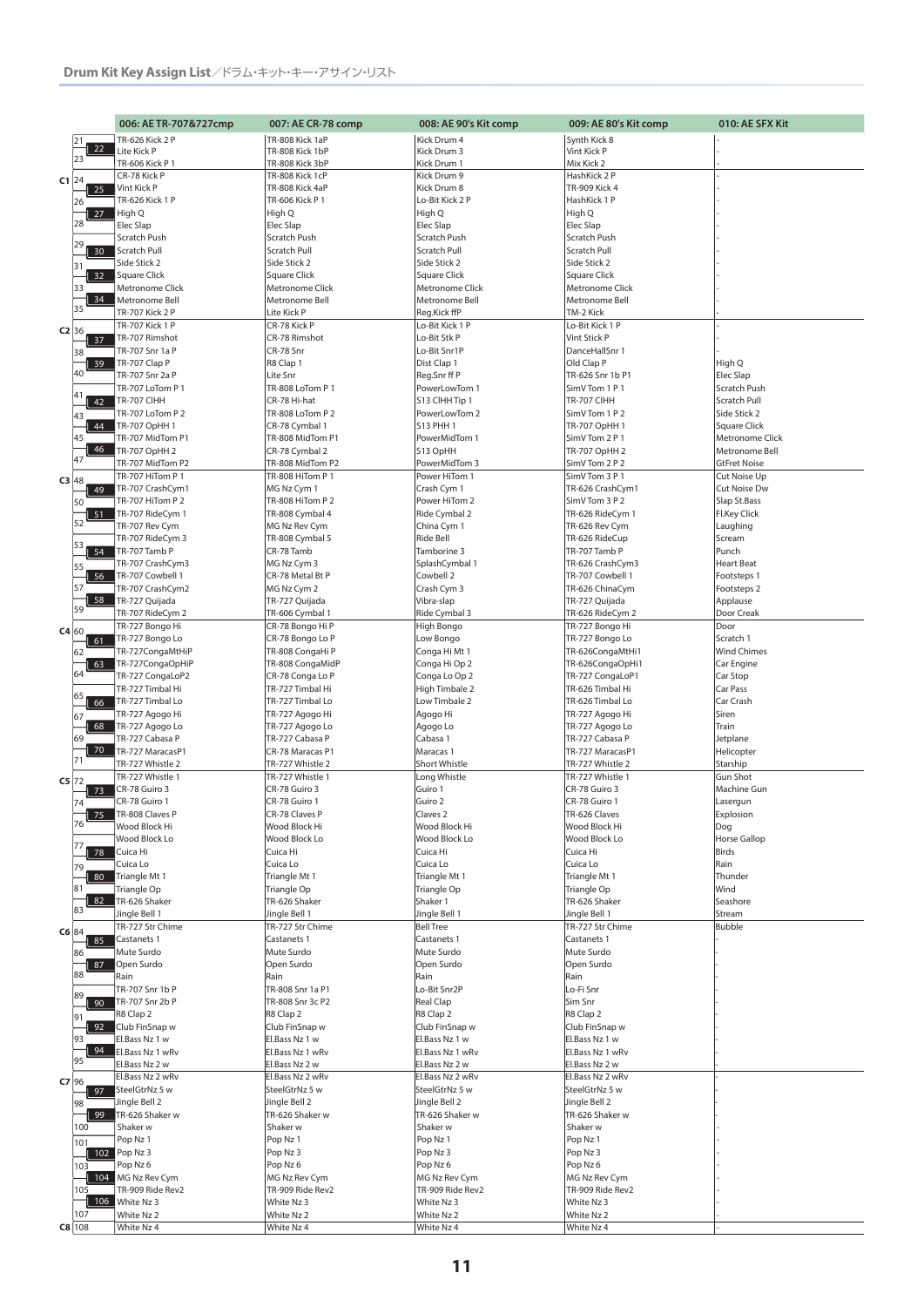|         |           | 006: AE TR-707&727cmp               | 007: AE CR-78 comp                   | 008: AE 90's Kit comp              | 009: AE 80's Kit comp               | 010: AE SFX Kit                   |
|---------|-----------|-------------------------------------|--------------------------------------|------------------------------------|-------------------------------------|-----------------------------------|
|         | 21        | TR-626 Kick 2 P                     | TR-808 Kick 1aP                      | Kick Drum 4                        | Synth Kick 8                        |                                   |
|         | 22        | Lite Kick P                         | TR-808 Kick 1bP                      | Kick Drum 3                        | Vint Kick P                         |                                   |
|         | 23        | TR-606 Kick P 1                     | TR-808 Kick 3bP                      | Kick Drum 1                        | Mix Kick 2                          |                                   |
| $C1$ 24 |           | CR-78 Kick P                        | TR-808 Kick 1cP                      | Kick Drum 9                        | HashKick 2 P                        |                                   |
|         | 25        | Vint Kick P                         | TR-808 Kick 4aP                      | Kick Drum 8                        | TR-909 Kick 4                       |                                   |
|         | 26        | TR-626 Kick 1 P                     | TR-606 Kick P 1                      | Lo-Bit Kick 2 P                    | HashKick 1 P                        |                                   |
|         | 27<br>28  | High Q<br>Elec Slap                 | High Q<br>Elec Slap                  | High Q<br><b>Elec Slap</b>         | High Q<br>Elec Slap                 |                                   |
|         |           | Scratch Push                        | Scratch Push                         | <b>Scratch Push</b>                | Scratch Push                        |                                   |
|         | 29<br>30  | Scratch Pull                        | Scratch Pull                         | <b>Scratch Pull</b>                | Scratch Pull                        |                                   |
|         | 31        | Side Stick 2                        | Side Stick 2                         | Side Stick 2                       | Side Stick 2                        |                                   |
|         | 32        | Square Click                        | Square Click                         | <b>Square Click</b>                | <b>Square Click</b>                 |                                   |
|         | 33        | Metronome Click                     | Metronome Click                      | Metronome Click                    | <b>Metronome Click</b>              |                                   |
|         | 34<br>35  | Metronome Bell                      | Metronome Bell                       | Metronome Bell                     | Metronome Bell                      |                                   |
|         |           | TR-707 Kick 2 P                     | Lite Kick P                          | Reg.Kick ffP                       | TM-2 Kick                           |                                   |
| $C2$ 36 |           | <b>TR-707 Kick 1 P</b>              | CR-78 Kick P<br>CR-78 Rimshot        | Lo-Bit Kick 1 P<br>Lo-Bit Stk P    | Lo-Bit Kick 1 P<br>Vint Stick P     |                                   |
|         | 37<br>38  | TR-707 Rimshot<br>TR-707 Snr 1a P   | CR-78 Snr                            | Lo-Bit Snr1P                       | DanceHallSnr 1                      |                                   |
|         | 39        | TR-707 Clap P                       | R8 Clap 1                            | Dist Clap 1                        | Old Clap P                          | High Q                            |
|         | 40        | TR-707 Snr 2a P                     | Lite Snr                             | Reg.Snr ff P                       | TR-626 Snr 1b P1                    | Elec Slap                         |
|         |           | TR-707 LoTom P 1                    | TR-808 LoTom P 1                     | PowerLowTom 1                      | SimV Tom 1 P 1                      | Scratch Push                      |
|         | 41<br>42  | TR-707 CIHH                         | CR-78 Hi-hat                         | S13 CIHH Tip 1                     | TR-707 CIHH                         | Scratch Pull                      |
|         | 43        | TR-707 LoTom P 2                    | TR-808 LoTom P 2                     | PowerLowTom 2                      | SimV Tom 1 P 2                      | Side Stick 2                      |
|         | 44<br>45  | TR-707 OpHH 1                       | CR-78 Cymbal 1                       | <b>S13 PHH 1</b>                   | TR-707 OpHH 1                       | Square Click                      |
|         | 46        | TR-707 MidTom P1<br>TR-707 OpHH 2   | TR-808 MidTom P1<br>CR-78 Cymbal 2   | PowerMidTom 1<br>S13 OpHH          | SimV Tom 2 P 1<br>TR-707 OpHH 2     | Metronome Click<br>Metronome Bell |
|         | 47        | TR-707 MidTom P2                    | TR-808 MidTom P2                     | PowerMidTom 3                      | SimV Tom 2 P 2                      | <b>GtFret Noise</b>               |
|         |           | TR-707 HiTom P 1                    | TR-808 HiTom P 1                     | Power HiTom 1                      | SimV Tom 3 P 1                      | Cut Noise Up                      |
| $C3$ 48 | 49        | TR-707 CrashCym1                    | MG Nz Cym 1                          | Crash Cym 1                        | TR-626 CrashCym1                    | Cut Noise Dw                      |
|         | 50        | TR-707 HiTom P 2                    | TR-808 HiTom P 2                     | Power HiTom 2                      | SimV Tom 3 P 2                      | Slap St.Bass                      |
|         | 51        | TR-707 RideCym 1                    | TR-808 Cymbal 4                      | Ride Cymbal 2                      | TR-626 RideCym 1                    | <b>Fl.Key Click</b>               |
|         | 52        | TR-707 Rev Cym                      | MG Nz Rev Cym                        | China Cym 1                        | TR-626 Rev Cym                      | Laughing                          |
|         | 53        | TR-707 RideCym 3                    | TR-808 Cymbal 5<br>CR-78 Tamb        | <b>Ride Bell</b>                   | TR-626 RideCup                      | Scream                            |
|         | 54        | TR-707 Tamb P<br>TR-707 CrashCym3   | MG Nz Cym 3                          | Tamborine 3<br>SplashCymbal 1      | TR-707 Tamb P<br>TR-626 CrashCym3   | Punch<br><b>Heart Beat</b>        |
|         | 55<br>56  | TR-707 Cowbell 1                    | CR-78 Metal Bt P                     | Cowbell 2                          | TR-707 Cowbell 1                    | Footsteps 1                       |
|         | 57        | TR-707 CrashCym2                    | MG Nz Cym 2                          | Crash Cym 3                        | TR-626 ChinaCym                     | Footsteps 2                       |
|         | 59        | 58 TR-727 Quijada                   | TR-727 Quijada                       | Vibra-slap                         | TR-727 Quijada                      | Applause                          |
|         |           | TR-707 RideCym 2                    | TR-606 Cymbal 1                      | Ride Cymbal 3                      | TR-626 RideCym 2                    | Door Creak                        |
| C4 60   |           | TR-727 Bongo Hi<br>TR-727 Bongo Lo  | CR-78 Bongo Hi P<br>CR-78 Bongo Lo P | High Bongo<br>Low Bongo            | TR-727 Bongo Hi<br>TR-727 Bongo Lo  | Door<br>Scratch 1                 |
|         | 61<br>62  | TR-727CongaMtHiP                    | TR-808 CongaHi P                     | Conga Hi Mt 1                      | TR-626CongaMtHi1                    | <b>Wind Chimes</b>                |
|         | 63        | TR-727CongaOpHiP                    | TR-808 CongaMidP                     | Conga Hi Op 2                      | TR-626CongaOpHi1                    | Car Engine                        |
|         | 64        | TR-727 CongaLoP2                    | CR-78 Conga Lo P                     | Conga Lo Op 2                      | TR-727 CongaLoP1                    | Car Stop                          |
|         | 65        | TR-727 Timbal Hi                    | TR-727 Timbal Hi                     | High Timbale 2                     | TR-626 Timbal Hi                    | Car Pass                          |
|         | 66        | TR-727 Timbal Lo<br>TR-727 Agogo Hi | TR-727 Timbal Lo<br>TR-727 Agogo Hi  | Low Timbale 2<br>Agogo Hi          | TR-626 Timbal Lo<br>TR-727 Agogo Hi | Car Crash<br>Siren                |
|         | 67<br>68  | TR-727 Agogo Lo                     | TR-727 Agogo Lo                      | Agogo Lo                           | TR-727 Agogo Lo                     | Train                             |
|         | 69        | TR-727 Cabasa P                     | TR-727 Cabasa P                      | Cabasa 1                           | TR-727 Cabasa P                     | Jetplane                          |
|         | 70        | TR-727 MaracasP1                    | CR-78 Maracas P1                     | Maracas 1                          | TR-727 MaracasP1                    | Helicopter                        |
|         |           | TR-727 Whistle 2                    | TR-727 Whistle 2                     | Short Whistle                      | TR-727 Whistle 2                    | Starship                          |
| $C5$ 72 |           | TR-727 Whistle 1                    | TR-727 Whistle 1                     | Long Whistle                       | TR-727 Whistle 1                    | Gun Shot                          |
|         | 73<br>74  | CR-78 Guiro 3<br>CR-78 Guiro 1      | CR-78 Guiro 3<br>CR-78 Guiro 1       | Guiro 1<br>Guiro 2                 | CR-78 Guiro 3<br>CR-78 Guiro 1      | Machine Gun<br>Lasergun           |
|         | 75        | TR-808 Claves P                     | CR-78 Claves P                       | Claves <sub>2</sub>                | TR-626 Claves                       | Explosion                         |
|         | 76        | Wood Block Hi                       | Wood Block Hi                        | Wood Block Hi                      | Wood Block Hi                       | Dog                               |
|         | 77        | Wood Block Lo                       | Wood Block Lo                        | Wood Block Lo                      | Wood Block Lo                       | <b>Horse Gallop</b>               |
|         | 78        | Cuica Hi                            | Cuica Hi                             | Cuica Hi                           | Cuica Hi                            | <b>Birds</b>                      |
|         | 79        | Cuica Lo                            | Cuica Lo                             | Cuica Lo                           | Cuica Lo                            | Rain                              |
|         | 80<br>81  | Triangle Mt 1<br>Triangle Op        | Triangle Mt 1<br>Triangle Op         | Triangle Mt 1<br>Triangle Op       | Triangle Mt 1<br>Triangle Op        | Thunder<br>Wind                   |
|         | 82        | TR-626 Shaker                       | TR-626 Shaker                        | Shaker 1                           | TR-626 Shaker                       | Seashore                          |
|         | 83        | Jingle Bell 1                       | Jingle Bell 1                        | Jingle Bell 1                      | Jingle Bell 1                       | Stream                            |
| C6 84   |           | TR-727 Str Chime                    | TR-727 Str Chime                     | <b>Bell Tree</b>                   | TR-727 Str Chime                    | <b>Bubble</b>                     |
|         | 85        | Castanets 1                         | Castanets 1                          | Castanets 1                        | Castanets 1                         |                                   |
|         | 86        | Mute Surdo<br>Open Surdo            | Mute Surdo<br>Open Surdo             | Mute Surdo<br>Open Surdo           | Mute Surdo<br>Open Surdo            |                                   |
|         | 87<br>88  | Rain                                | Rain                                 | Rain                               | Rain                                |                                   |
|         |           | TR-707 Snr 1b P                     | TR-808 Snr 1a P1                     | Lo-Bit Snr2P                       | Lo-Fi Snr                           |                                   |
|         | 89<br>90  | TR-707 Snr 2b P                     | TR-808 Snr 3c P2                     | <b>Real Clap</b>                   | Sim Snr                             |                                   |
|         | 91        | R8 Clap 2                           | R8 Clap 2                            | R8 Clap 2                          | R8 Clap 2                           |                                   |
|         | 92<br>93  | Club FinSnap w<br>El.Bass Nz 1 w    | Club FinSnap w                       | Club FinSnap w                     | Club FinSnap w                      |                                   |
|         | 94        | El.Bass Nz 1 wRv                    | El.Bass Nz 1 w<br>El.Bass Nz 1 wRv   | El.Bass Nz 1 w<br>El.Bass Nz 1 wRv | El.Bass Nz 1 w<br>El.Bass Nz 1 wRv  |                                   |
|         | 95        | El.Bass Nz 2 w                      | El.Bass Nz 2 w                       | El.Bass Nz 2 w                     | El.Bass Nz 2 w                      |                                   |
| $C7$ 96 |           | El.Bass Nz 2 wRv                    | El.Bass Nz 2 wRv                     | El.Bass Nz 2 wRv                   | El.Bass Nz 2 wRv                    |                                   |
|         | 97        | SteelGtrNz 5 w                      | SteelGtrNz 5 w                       | SteelGtrNz 5 w                     | SteelGtrNz 5 w                      |                                   |
|         | 98        | Jingle Bell 2                       | Jingle Bell 2                        | Jingle Bell 2                      | Jingle Bell 2                       |                                   |
|         | 99<br>100 | TR-626 Shaker w<br>Shaker w         | TR-626 Shaker w<br>Shaker w          | TR-626 Shaker w<br>Shaker w        | TR-626 Shaker w<br>Shaker w         |                                   |
|         | 101       | Pop Nz 1                            | Pop Nz 1                             | Pop Nz 1                           | Pop Nz 1                            |                                   |
|         |           | 102 Pop Nz 3                        | Pop Nz 3                             | Pop Nz 3                           | Pop Nz 3                            |                                   |
|         | 103       | Pop Nz 6                            | Pop Nz 6                             | Pop Nz 6                           | Pop Nz 6                            |                                   |
|         |           | 104 MG Nz Rev Cym                   | MG Nz Rev Cym                        | MG Nz Rev Cym                      | MG Nz Rev Cym                       |                                   |
|         | 105       | TR-909 Ride Rev2                    | TR-909 Ride Rev2                     | TR-909 Ride Rev2                   | TR-909 Ride Rev2                    |                                   |
|         | 107       | 106 White Nz 3<br>White Nz 2        | White Nz 3<br>White Nz 2             | White Nz 3<br>White Nz 2           | White Nz 3<br>White Nz 2            |                                   |
|         | $C8$ 108  | White Nz 4                          | White Nz 4                           | White Nz 4                         | White Nz 4                          |                                   |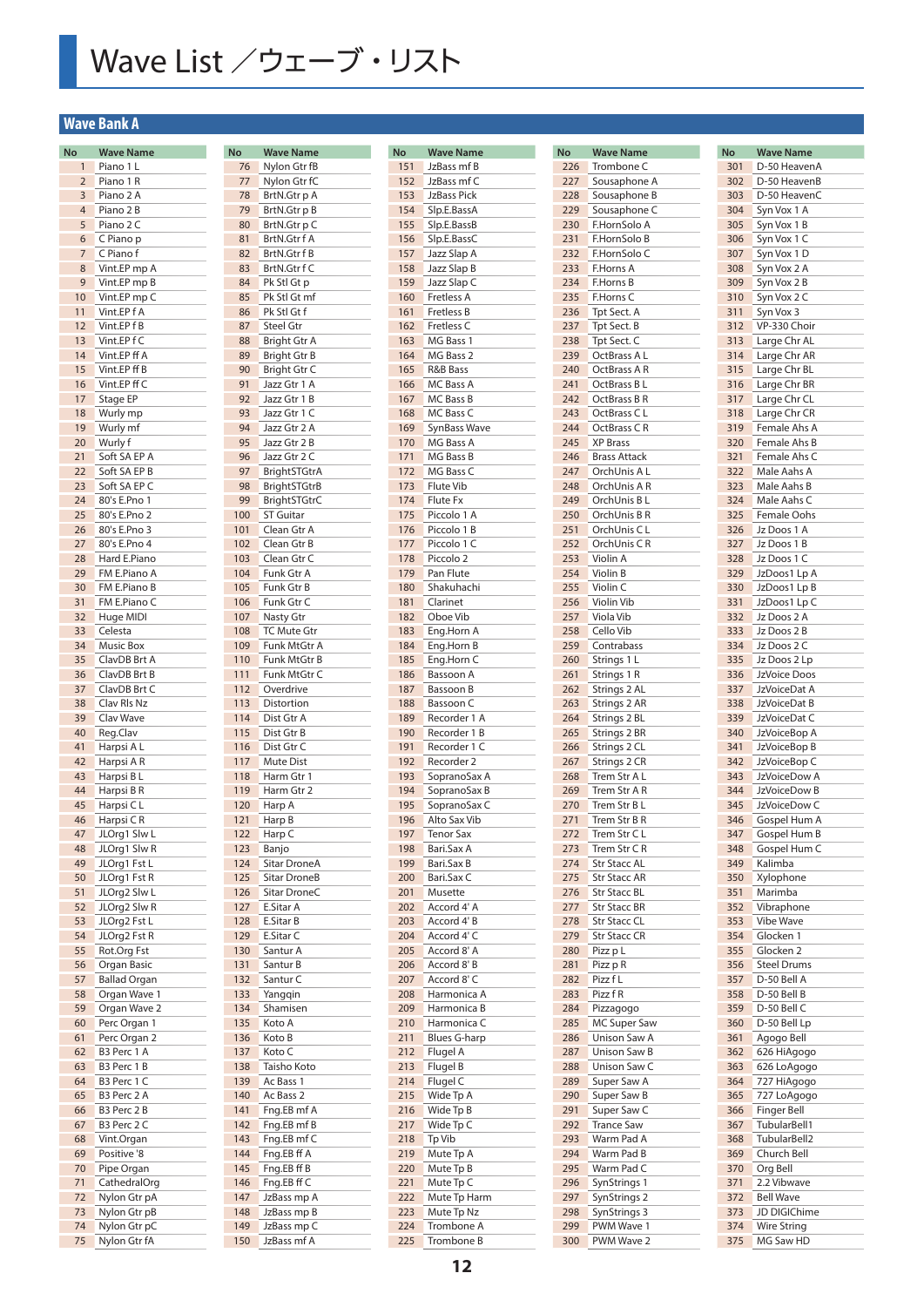## Wave List /ウェーブ・リスト

**No Wave Name**  $\overline{15}$ 

### **Wave Bank A**

| No             | <b>Wave Name</b>          |
|----------------|---------------------------|
| $\mathbf{1}$   | Piano 1 L                 |
| $\overline{2}$ | Piano 1 R                 |
| 3              | Piano 2 A                 |
| 4              | Piano 2 B                 |
| 5              | Piano 2 C                 |
| 6              | C Piano p                 |
| 7              | C Piano f                 |
| 8              | Vint.EP mp A              |
| 9              | Vint.EP mp B              |
| 10             | Vint.EP mp C              |
| 11             | Vint.EPfA<br>Vint.EPfB    |
| 12<br>13       | Vint.EPfC                 |
| 14             | Vint.EP ff A              |
| 15             | Vint.EP ff B              |
| 16             | Vint.EP ff C              |
| 17             | Stage EP                  |
| 18             | Wurly mp                  |
| 19             | Wurly mf                  |
| 20             | Wurly f                   |
| 21             | Soft SA EP A              |
| 22             | Soft SA EP B              |
| 23             | Soft SA EP C              |
| 24             | 80's E.Pno 1              |
| 25             | 80's E.Pno 2              |
| 26             | 80's E.Pno 3              |
| 27             | 80's E.Pno 4              |
| 28             | Hard E.Piano              |
| 29             | FM E.Piano A              |
| 30             | FM E.Piano B              |
| 31             | FM E.Piano C              |
| 32             | Huge MIDI                 |
| 33             | Celesta                   |
| 34             | Music Box                 |
| 35             | ClavDB Brt A              |
| 36             | ClavDB Brt B              |
| 37             | ClavDB Brt C              |
| 38             | Clav Rls Nz               |
| 39             | Clav Wave                 |
| 40             | Reg.Clav                  |
| 41             | Harpsi A L                |
| 42             | Harpsi A R                |
| 43             | Harpsi B L                |
| 44             | Harpsi B R                |
| 45             | Harpsi C L                |
| 46             | Harpsi C R                |
| 47             | JLOrg1 Slw L              |
| 48             | JLOrg1 Slw R              |
| 49             | JLOrg1 Fst L              |
| 50             | JLOrg1 Fst R              |
| 51             | JLOrg2 Slw L              |
| 52             | JLOrg2 Slw R              |
| 53             | JLOrg2 Fst L              |
| 54             | JLOrg2 Fst R              |
| 55             | Rot.Org Fst               |
| 56             | Organ Basic               |
| 57             | <b>Ballad Organ</b>       |
| 58             | Organ Wave 1              |
| 59             | Organ Wave 2              |
| 60             | Perc Organ 1              |
| 61             | Perc Organ 2              |
| 62             | B3 Perc 1 A               |
| 63             | B3 Perc 1 B               |
| 64             | B3 Perc 1 C               |
| 65             | B3 Perc 2 A               |
| 66             | B3 Perc 2 B               |
| 67             | B3 Perc 2 C               |
| 68             | Vint.Organ<br>Positive '8 |
| 69<br>70       | Pipe Organ                |
| 71             | CathedralOrg              |
| 72             | Nylon Gtr pA              |
| 73             | Nylon Gtr pB              |
| 74             | Nylon Gtr pC              |
| 75             | Nylon Gtr fA              |
|                |                           |

| <b>No</b>  | <b>Wave Name</b>                       |
|------------|----------------------------------------|
| 76         | Nylon Gtr fB                           |
| 77         | Nylon Gtr fC                           |
| 78         | BrtN.Gtr p A                           |
| 79         | BrtN.Gtr p B                           |
| 80<br>81   | BrtN.Gtr p C<br>BrtN.Gtr f A           |
| 82         | BrtN.Gtr f B                           |
| 83         | BrtN.Gtr f C                           |
| 84         | Pk Stl Gt p                            |
| 85         | Pk Stl Gt mf                           |
| 86         | Pk Stl Gt f                            |
| 87         | <b>Steel Gtr</b>                       |
| 88         | Bright Gtr A                           |
| 89         | Bright Gtr B                           |
| 90         | Bright Gtr C                           |
| 91         | Jazz Gtr 1 A                           |
| 92         | Jazz Gtr 1<br>B                        |
| 93<br>94   | Jazz Gtr 1 C<br>Jazz Gtr 2 A           |
| 95         | Jazz Gtr 2 B                           |
| 96         | Jazz Gtr 2 C                           |
| 97         | <b>BrightSTGtrA</b>                    |
| 98         | <b>BrightSTGtrB</b>                    |
| 99         | BrightSTGtrC                           |
| 100        | <b>ST Guitar</b>                       |
| 101        | Clean Gtr A                            |
| 102        | Clean Gtr B                            |
| 103        | Clean Gtr C                            |
| 104        | Funk Gtr A                             |
| 105        | Funk Gtr B                             |
| 106<br>107 | Funk Gtr C                             |
| 108        | <b>Nasty Gtr</b><br><b>TC Mute Gtr</b> |
| 109        | Funk MtGtr A                           |
| 110        | Funk MtGtr B                           |
| 111        | Funk MtGtr C                           |
| 112        | Overdrive                              |
| 113        | Distortion                             |
| 114        | Dist Gtr A                             |
| 115        | Dist Gtr B                             |
| 116        | Dist Gtr C                             |
| 117<br>118 | <b>Mute Dist</b><br>Harm Gtr 1         |
| 119        | Harm Gtr 2                             |
| 120        | Harp A                                 |
| 121        | Harp B                                 |
| 122        | Harp C                                 |
| 123        | Banjo                                  |
| 124        | <b>Sitar DroneA</b>                    |
| 125        | <b>Sitar DroneB</b>                    |
| 126        | Sitar DroneC                           |
| 127<br>128 | E.Sitar A<br>E.Sitar B                 |
| 129        | E.Sitar C                              |
| 130        | Santur A                               |
| 131        | Santur B                               |
| 132        | Santur C                               |
| 133        | Yanggin                                |
| 134        | Shamisen                               |
| 135        | Koto A                                 |
| 136        | Koto B                                 |
| 137        | Koto C                                 |
| 138        | Taisho Koto                            |
| 139<br>140 | Ac Bass 1<br>Ac Bass 2                 |
| 141        | Fng.EB mf A                            |
| 142        | Fng.EB mf B                            |
| 143        | Fng.EB mf C                            |
| 144        | Fng.EB ff A                            |
| 145        | Fng.EB ff B                            |
| 146        | Fng.EB ff C                            |
| 147        | JzBass mp A                            |
| 148        | JzBass mp B                            |
| 149        | JzBass mp C                            |
| 150        | JzBass mf A                            |

| <b>No</b> | <b>Wave Name</b>             |
|-----------|------------------------------|
| 151       | JzBass mf B                  |
| 152       | JzBass mf C                  |
| 153       | <b>JzBass Pick</b>           |
| 154       | Slp.E.BassA                  |
| 155       | Slp.E.BassB                  |
| 156       | Slp.E.BassC                  |
| 157       | Jazz Slap A                  |
| 158       | Jazz Slap B                  |
| 159       | Jazz Slap C                  |
| 160       | <b>Fretless A</b>            |
| 161       | <b>Fretless B</b>            |
| 162       | Fretless <sub>C</sub>        |
| 163       | MG Bass 1                    |
| 164       | MG Bass 2                    |
| 165       | <b>R&amp;B Bass</b>          |
| 166       | MC Bass A                    |
| 167       | MC Bass B                    |
| 168       | MC Bass C                    |
| 169       | SynBass Wave                 |
| 170       | MG Bass A                    |
| 171       | MG Bass B                    |
| 172       | MG Bass C                    |
| 173       | <b>Flute Vib</b>             |
| 174       | <b>Flute Fx</b>              |
| 175       | Piccolo 1<br>Α               |
| 176       | Piccolo 1<br>B               |
| 177       | Piccolo 1<br>C               |
| 178       | Piccolo <sub>2</sub>         |
| 179       | Pan Flute                    |
| 180       | Shakuhachi                   |
| 181       | Clarinet                     |
| 182       | Oboe Vib                     |
| 183       | Eng.Horn A                   |
| 184       | Eng.Horn B                   |
| 185       | Eng.Horn C                   |
| 186       | Bassoon A                    |
| 187       | Bassoon B                    |
| 188       | Bassoon C                    |
| 189       | Recorder 1 A                 |
| 190       | Recorder 1<br>B              |
| 191       | Recorder 1<br>C              |
| 192       | Recorder 2                   |
| 193       | SopranoSax A                 |
| 194       | SopranoSax B                 |
| 195       |                              |
| 196       | SopranoSax C<br>Alto Sax Vib |
| 197       |                              |
| 198       | Tenor Sax                    |
|           | Bari.Sax A                   |
| 199       | Bari.Sax B                   |
| 200       | Bari.Sax C                   |
| 201       | Musette                      |
| 202       | Accord 4' A                  |
| 203       | Accord 4' B                  |
| 204       | Accord 4' C                  |
| 205       | Accord 8' A                  |
| 206       | Accord 8' B                  |
| 207       | Accord 8' C                  |
| 208       | Harmonica A                  |
| 209       | Harmonica B                  |
| 210       | Harmonica C                  |
| 211       | <b>Blues G-harp</b>          |
| 212       | Flugel A                     |
| 213       | Flugel B                     |
| 214       | Flugel C                     |
| 215       | Wide Tp A                    |
| 216       | Wide Tp B                    |
| 217       | Wide Tp C                    |
| 218       | Tp Vib                       |
| 219       | Mute Tp A                    |
| 220       | Mute Tp B                    |
| 221       | Mute Tp C                    |
| 222       | Mute Tp Harm                 |
| 223       | Mute Tp Nz                   |
| 224       | Trombone A                   |
| 225       | Trombone B                   |

| No  | <b>Wave Name</b>      |
|-----|-----------------------|
| 226 | Trombone C            |
| 227 | Sousaphone A          |
| 228 | Sousaphone B          |
| 229 | Sousaphone C          |
| 230 | F.HornSolo A          |
| 231 | F.HornSolo B          |
| 232 | F.HornSolo C          |
| 233 | F.Horns A             |
| 234 | F.Horns B             |
| 235 | F.Horns C             |
| 236 | Tpt Sect. A           |
| 237 | Tpt Sect. B           |
| 238 | Tpt Sect. C           |
| 239 | OctBrass A L          |
| 240 | OctBrass A R          |
| 241 | OctBrass BL           |
| 242 | OctBrass B R          |
| 243 | OctBrass CL           |
| 244 | OctBrass CR           |
| 245 | <b>XP Brass</b>       |
| 246 | <b>Brass Attack</b>   |
| 247 | OrchUnis A L          |
| 248 | OrchUnis A R          |
| 249 | OrchUnis B L          |
| 250 | OrchUnis B R          |
| 251 | OrchUnis CL           |
| 252 | OrchUnis CR           |
| 253 | Violin A              |
| 254 | Violin B              |
| 255 | Violin $\overline{C}$ |
| 256 | Violin Vib            |
| 257 | Viola Vib             |
| 258 | Cello Vib             |
| 259 | Contrabass            |
| 260 | Strings 1 L           |
| 261 | Strings 1 R           |
| 262 | Strings 2 AL          |
| 263 | Strings 2 AR          |
| 264 | Strings 2 BL          |
| 265 | Strings 2 BR          |
| 266 | Strings 2 CL          |
| 267 | Strings 2 CR          |
| 268 | Trem Str A L          |
| 269 | Trem Str A R          |
| 270 | Trem Str B L          |
| 271 | Trem Str B R          |
| 272 | Trem Str C L          |
| 273 | Trem Str C R          |
| 274 | <b>Str Stacc AL</b>   |
| 275 | <b>Str Stacc AR</b>   |
| 276 | <b>Str Stacc BL</b>   |
| 277 | <b>Str Stacc BR</b>   |
| 278 | <b>Str Stacc CL</b>   |
| 279 | Str Stacc CR          |
| 280 | Pizz p L              |
| 281 | Pizz p R              |
| 282 | Pizz f L              |
| 283 | Pizz f R              |
| 284 | Pizzagogo             |
| 285 | MC Super Saw          |
| 286 | Unison Saw A          |
| 287 | Unison Saw B          |
| 288 | Unison Saw C          |
| 289 | Super Saw A           |
| 290 | Super Saw B           |
| 291 | Super Saw C           |
| 292 | <b>Trance Saw</b>     |
| 293 | Warm Pad A            |
| 294 | Warm Pad B            |
| 295 | Warm Pad C            |
| 296 | SynStrings 1          |
| 297 | SynStrings 2          |
| 298 | SynStrings 3          |
| 299 | PWM Wave 1            |
| 300 | PWM Wave 2            |
|     |                       |

| No  | <b>Wave Name</b>   |
|-----|--------------------|
| 301 | D-50 HeavenA       |
| 302 | D-50 HeavenB       |
| 303 | D-50 HeavenC       |
| 304 | Syn Vox 1 A        |
| 305 | Syn Vox 1 B        |
| 306 | Syn Vox 1 C        |
| 307 | Syn Vox 1 D        |
| 308 | Syn Vox 2 A        |
| 309 | Syn Vox 2 B        |
|     |                    |
| 310 | Syn Vox 2 C        |
| 311 | Syn Vox 3          |
| 312 | VP-330 Choir       |
| 313 | Large Chr AL       |
| 314 | Large Chr AR       |
| 315 | Large Chr BL       |
| 316 | Large Chr BR       |
| 317 | Large Chr CL       |
| 318 | Large Chr CR       |
| 319 | Female Ahs A       |
| 320 | Female Ahs B       |
| 321 | Female Ahs C       |
| 322 | Male Aahs A        |
|     |                    |
| 323 | Male Aahs B        |
| 324 | Male Aahs C        |
| 325 | Female Oohs        |
| 326 | Jz Doos 1 A        |
| 327 | Jz Doos 1 B        |
| 328 | Jz Doos 1 C        |
| 329 | JzDoos1 Lp A       |
| 330 | JzDoos1 Lp B       |
| 331 | JzDoos1 Lp C       |
| 332 | Jz Doos 2 A        |
| 333 | Jz Doos 2 B        |
| 334 | Jz Doos 2 C        |
| 335 | Jz Doos 2 Lp       |
| 336 | JzVoice Doos       |
|     |                    |
| 337 | JzVoiceDat A       |
| 338 | JzVoiceDat B       |
| 339 | JzVoiceDat C       |
| 340 | JzVoiceBop A       |
| 341 | JzVoiceBop B       |
| 342 | JzVoiceBop C       |
| 343 | JzVoiceDow A       |
| 344 | JzVoiceDow B       |
| 345 | JzVoiceDow C       |
| 346 | Gospel Hum A       |
| 347 | Gospel Hum B       |
| 348 | Gospel Hum C       |
| 349 | Kalimba            |
| 350 | Xylophone          |
| 351 | Marimba            |
|     | Vibraphone         |
| 352 |                    |
| 353 | <b>Vibe Wave</b>   |
| 354 | Glocken 1          |
| 355 | Glocken 2          |
| 356 | <b>Steel Drums</b> |
| 357 | D-50 Bell A        |
| 358 | D-50 Bell B        |
| 359 | D-50 Bell C        |
| 360 | D-50 Bell Lp       |
| 361 | Agogo Bell         |
| 362 | 626 HiAgogo        |
| 363 | 626 LoAgogo        |
| 364 | 727 HiAgogo        |
| 365 | 727 LoAgogo        |
|     |                    |
| 366 | <b>Finger Bell</b> |
| 367 | TubularBell1       |
| 368 | TubularBell2       |
| 369 | Church Bell        |
| 370 | Org Bell           |
| 371 | 2.2 Vibwave        |
| 372 | <b>Bell Wave</b>   |
| 373 | JD DIGIChime       |
| 374 | <b>Wire String</b> |
| 375 | MG Saw HD          |
|     |                    |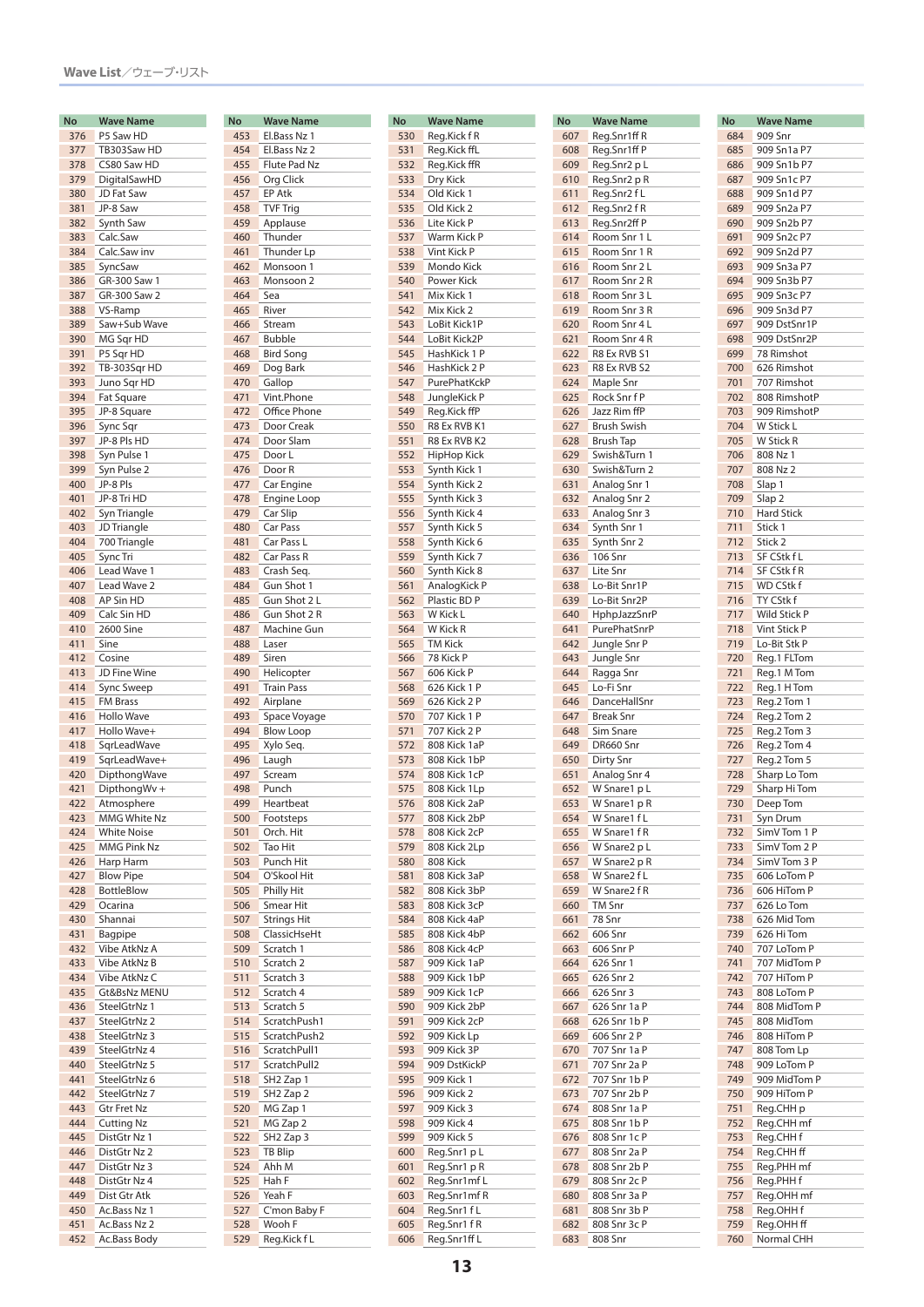| No  | <b>Wave Name</b>   |
|-----|--------------------|
| 376 | P5 Saw HD          |
| 377 | TB303Saw HD        |
| 378 | CS80 Saw HD        |
| 379 | DigitalSawHD       |
| 380 | JD Fat Saw         |
| 381 | JP-8 Saw           |
|     |                    |
| 382 | Synth Saw          |
| 383 | Calc.Saw           |
| 384 | Calc.Saw inv       |
| 385 | SyncSaw            |
| 386 | GR-300 Saw 1       |
| 387 | GR-300 Saw 2       |
| 388 | VS-Ramp            |
| 389 |                    |
|     | Saw+Sub Wave       |
| 390 | MG Sqr HD          |
| 391 | P5 Sqr HD          |
| 392 | TB-303Sqr HD       |
| 393 | Juno Sqr HD        |
| 394 | Fat Square         |
| 395 | JP-8 Square        |
| 396 | Sync Sqr           |
|     |                    |
| 397 | JP-8 Pls HD        |
| 398 | Syn Pulse 1        |
| 399 | Syn Pulse 2        |
| 400 | JP-8 Pls           |
| 401 | JP-8 Tri HD        |
| 402 | Syn Triangle       |
| 403 | JD Triangle        |
| 404 | 700 Triangle       |
|     |                    |
| 405 | Sync Tri           |
| 406 | Lead Wave 1        |
| 407 | Lead Wave 2        |
| 408 | AP Sin HD          |
| 409 | Calc Sin HD        |
| 410 | 2600 Sine          |
| 411 | Sine               |
|     |                    |
| 412 | Cosine             |
| 413 | JD Fine Wine       |
| 414 | Sync Sweep         |
| 415 | <b>FM Brass</b>    |
| 416 | Hollo Wave         |
| 417 | Hollo Wave+        |
| 418 | SqrLeadWave        |
| 419 | SqrLeadWave+       |
| 420 | DipthongWave       |
| 421 |                    |
|     | DipthongWv +       |
| 422 | Atmosphere         |
| 423 | MMG White Nz       |
| 424 | <b>White Noise</b> |
| 425 | MMG Pink Nz        |
| 426 | Harp Harm          |
| 427 | <b>Blow Pipe</b>   |
| 428 | <b>BottleBlow</b>  |
|     |                    |
| 429 | Ocarina            |
| 430 | Shannai            |
| 431 | Bagpipe            |
| 432 | Vibe AtkNz A       |
| 433 | Vibe AtkNz B       |
| 434 | Vibe AtkNz C       |
| 435 | Gt&BsNz MENU       |
| 436 | SteelGtrNz 1       |
| 437 | SteelGtrNz 2       |
|     |                    |
| 438 | SteelGtrNz 3       |
| 439 | SteelGtrNz 4       |
| 440 | SteelGtrNz 5       |
| 441 | SteelGtrNz 6       |
| 442 | SteelGtrNz 7       |
| 443 | <b>Gtr Fret Nz</b> |
| 444 | <b>Cutting Nz</b>  |
|     |                    |
| 445 | DistGtr Nz 1       |
| 446 | DistGtr Nz 2       |
| 447 | DistGtr Nz 3       |
| 448 | DistGtr Nz 4       |
| 449 | Dist Gtr Atk       |
| 450 | Ac.Bass Nz 1       |
| 451 | Ac.Bass Nz 2       |
| 452 | Ac.Bass Body       |
|     |                    |

| No         | <b>Wave Name</b>              |
|------------|-------------------------------|
| 453        | El.Bass Nz 1                  |
| 454        | El.Bass Nz 2                  |
| 455        | Flute Pad Nz                  |
| 456        | Org Click                     |
| 457<br>458 | EP Atk<br><b>TVF Trig</b>     |
| 459        | Applause                      |
| 460        | Thunder                       |
| 461        | Thunder Lp                    |
| 462        | Monsoon 1                     |
| 463        | Monsoon 2                     |
| 464        | Sea                           |
| 465        | River                         |
| 466        | Stream                        |
| 467        | <b>Bubble</b>                 |
| 468<br>469 | <b>Bird Song</b><br>Dog Bark  |
| 470        | Gallop                        |
| 471        | Vint.Phone                    |
| 472        | Office Phone                  |
| 473        | Door Creak                    |
| 474        | Door Slam                     |
| 475        | Door L                        |
| 476        | Door R                        |
| 477        | Car Engine                    |
| 478        | Engine Loop                   |
| 479<br>480 | Car Slip<br>Car Pass          |
| 481        | Car Pass L                    |
| 482        | Car Pass R                    |
| 483        | Crash Seq.                    |
| 484        | Gun Shot 1                    |
| 485        | Gun Shot 2 L                  |
| 486        | Gun Shot 2 R                  |
| 487        | Machine Gun                   |
| 488        | Laser                         |
| 489        | Siren                         |
| 490        | Helicopter                    |
| 491<br>492 | <b>Train Pass</b><br>Airplane |
| 493        | Space Voyage                  |
| 494        | <b>Blow Loop</b>              |
| 495        | Xylo Seq.                     |
| 496        | Laugh                         |
| 497        | Scream                        |
| 498        | Punch                         |
| 499        | Heartbeat                     |
| 500        | Footsteps                     |
| 501<br>502 | Orch. Hit<br>Tao Hit          |
| 503        | Punch Hit                     |
| 504        | O'Skool Hit                   |
| 505        | Philly Hit                    |
| 506        | Smear Hit                     |
| 507        | <b>Strings Hit</b>            |
| 508        | ClassicHseHt                  |
| 509        | Scratch 1                     |
| 510        | Scratch <sub>2</sub>          |
| 511        | Scratch 3                     |
| 512<br>513 | Scratch 4<br>Scratch 5        |
| 514        | ScratchPush1                  |
| 515        | ScratchPush2                  |
| 516        | ScratchPull1                  |
| 517        | ScratchPull2                  |
| 518        | SH <sub>2</sub> Zap 1         |
| 519        | SH <sub>2</sub> Zap 2         |
| 520        | MG Zap 1                      |
| 521        | MG Zap 2                      |
| 522        | SH <sub>2</sub> Zap 3         |
| 523        | TB Blip                       |
| 524<br>525 | Ahh M<br>Hah F                |
| 526        | Yeah F                        |
| 527        | C'mon Baby F                  |
| 528        | Wooh F                        |
| 529        | Reg.Kick f L                  |

| No         | <b>Wave Name</b>             |
|------------|------------------------------|
| 530        | Reg.Kick f R                 |
| 531        | Reg.Kick ffL                 |
| 532        | Reg.Kick ffR                 |
| 533<br>534 | Dry Kick<br>Old Kick 1       |
| 535        | Old Kick 2                   |
| 536        | Lite Kick P                  |
| 537        | Warm Kick P                  |
| 538        | Vint Kick P                  |
| 539        | Mondo Kick                   |
| 540        | Power Kick                   |
| 541        | Mix Kick 1                   |
| 542        | Mix Kick 2                   |
| 543        | LoBit Kick1P                 |
| 544        | LoBit Kick2P                 |
| 545        | HashKick 1 P                 |
| 546        | HashKick 2 P                 |
| 547<br>548 | PurePhatKckP<br>JungleKick P |
| 549        | Reg.Kick ffP                 |
| 550        | R8 Ex RVB K1                 |
| 551        | R8 Ex RVB K2                 |
| 552        | HipHop Kick                  |
| 553        | Synth Kick 1                 |
| 554        | Synth Kick 2                 |
| 555        | Synth Kick 3                 |
| 556        | Synth Kick 4                 |
| 557        | Synth Kick 5                 |
| 558        | Synth Kick 6                 |
| 559        | Synth Kick 7                 |
| 560        | Synth Kick 8                 |
| 561        | AnalogKick P                 |
| 562        | Plastic BD P                 |
| 563<br>564 | W Kick L<br>W Kick R         |
| 565        | <b>TM Kick</b>               |
| 566        | 78 Kick P                    |
| 567        | 606 Kick P                   |
| 568        | 626 Kick 1 P                 |
| 569        | 626 Kick 2 P                 |
| 570        | 707 Kick 1 P                 |
| 571        | 707 Kick 2 P                 |
| 572        | 808 Kick 1aP                 |
| 573        | 808 Kick 1bP                 |
| 574        | 808 Kick 1cP                 |
| 575<br>576 | 808 Kick 1Lp<br>808 Kick 2aP |
| 577        | 808 Kick 2bP                 |
| 578        | 808 Kick 2cP                 |
| 579        | 808 Kick 2Lp                 |
| 580        | 808 Kick                     |
| 581        | 808 Kick 3aP                 |
| 582        | 808 Kick 3bP                 |
| 583        | 808 Kick 3cP                 |
| 584        | 808 Kick 4aP                 |
| 585        | 808 Kick 4bP                 |
| 586        | 808 Kick 4cP                 |
| 587        | 909 Kick 1aP                 |
| 588<br>589 | 909 Kick 1bP<br>909 Kick 1cP |
| 590        | 909 Kick 2bP                 |
| 591        | 909 Kick 2cP                 |
| 592        | 909 Kick Lp                  |
| 593        | 909 Kick 3P                  |
| 594        | 909 DstKickP                 |
| 595        | 909 Kick 1                   |
| 596        | 909 Kick 2                   |
| 597        | 909 Kick 3                   |
| 598        | 909 Kick 4                   |
| 599        | 909 Kick 5                   |
| 600        | Reg.Snr1 p L                 |
| 601        | Reg.Snr1 pR                  |
| 602        | Reg.Snr1mfL                  |
| 603        | Reg.Snr1mfR                  |
| 604<br>605 | Reg.Snr1 fL<br>Reg.Snr1 f R  |
| 606        | Reg.Snr1ff L                 |
|            |                              |

| No  | <b>Wave Name</b>             |
|-----|------------------------------|
| 607 | Reg.Snr1ff R                 |
| 608 | Reg.Snr1ff P                 |
| 609 | Reg.Snr2 p L                 |
| 610 | Reg.Snr2 p R                 |
| 611 | Reg.Snr2fL                   |
| 612 | Reg.Snr2fR                   |
| 613 | Reg.Snr2ff P                 |
| 614 | Room Snr 1 L                 |
| 615 | Room Snr 1 R                 |
| 616 | Room Snr 2 L                 |
| 617 | Room Snr 2 R                 |
| 618 | Room Snr 3 L                 |
| 619 | Room Snr 3 R                 |
| 620 | Room Snr 4 L                 |
| 621 | Room Snr 4 R                 |
| 622 | R8 Ex RVB S1                 |
| 623 | R8 Ex RVB S2                 |
| 624 | Maple Snr                    |
| 625 | Rock Snr f P                 |
| 626 | Jazz Rim ffP                 |
| 627 | <b>Brush Swish</b>           |
| 628 | <b>Brush Tap</b>             |
| 629 | Swish&Turn 1                 |
| 630 | Swish&Turn 2                 |
| 631 | Analog Snr 1                 |
| 632 | Analog Snr 2                 |
| 633 | Analog Snr 3                 |
| 634 | Synth Snr 1                  |
| 635 | Synth Snr 2                  |
| 636 | 106 Snr                      |
| 637 | Lite Snr                     |
| 638 | Lo-Bit Snr1P                 |
| 639 | Lo-Bit Snr2P                 |
| 640 | HphpJazzSnrP                 |
| 641 | PurePhatSnrP                 |
| 642 | Jungle Snr P                 |
| 643 | Jungle Snr                   |
| 644 | Ragga Snr                    |
| 645 | Lo-Fi Snr                    |
| 646 | DanceHallSnr                 |
| 647 | <b>Break Snr</b>             |
| 648 | Sim Snare                    |
| 649 | DR660 Snr                    |
| 650 | Dirty Snr                    |
| 651 | Analog Snr 4                 |
| 652 | W Snare1 p L                 |
| 653 | W Snare1 p R                 |
| 654 | W Snare1 f L                 |
| 655 | W Snare1 f R                 |
| 656 | W Snare2 p L                 |
| 657 | W Snare2 p R                 |
| 658 | W Snare2 f L                 |
| 659 | W Snare2 f R                 |
| 660 | <b>TM Snr</b>                |
| 661 | 78 Snr                       |
| 662 | 606 Snr                      |
| 663 | 606 Snr P                    |
| 664 | 626 Snr 1                    |
| 665 | 626 Snr 2                    |
| 666 | 626 Snr 3                    |
| 667 | 626 Snr 1a P                 |
| 668 | 626 Snr 1b P                 |
| 669 | 606 Snr 2 P                  |
| 670 | 707 Snr 1a P                 |
| 671 | 707 Snr 2a P                 |
| 672 | 707 Snr 1b P                 |
| 673 | 707 Snr 2b P                 |
| 674 | 808 Snr 1a P                 |
| 675 | 808 Snr 1b P                 |
| 676 | 808 Snr 1c P                 |
| 677 | 808 Snr 2a P                 |
| 678 | 808 Snr 2b P                 |
| 679 | 808 Snr 2c P                 |
| 680 | 808 Snr 3a P                 |
| 681 |                              |
| 682 | 808 Snr 3b P<br>808 Snr 3c P |
| 683 | 808 Snr                      |
|     |                              |

| No  | <b>Wave Name</b>   |
|-----|--------------------|
| 684 | 909 Snr            |
| 685 | 909 Sn1a P7        |
|     |                    |
| 686 | 909 Sn1b P7        |
| 687 | 909 Sn1c P7        |
| 688 | 909 Sn1d P7        |
| 689 | 909 Sn2a P7        |
| 690 | 909 Sn2b P7        |
|     |                    |
| 691 | 909 Sn2c P7        |
| 692 | 909 Sn2d P7        |
| 693 | 909 Sn3a P7        |
| 694 | 909 Sn3b P7        |
| 695 | 909 Sn3c P7        |
|     |                    |
| 696 | 909 Sn3d P7        |
| 697 | 909 DstSnr1P       |
| 698 | 909 DstSnr2P       |
| 699 | 78 Rimshot         |
| 700 | 626 Rimshot        |
|     | 707 Rimshot        |
| 701 |                    |
| 702 | 808 RimshotP       |
| 703 | 909 RimshotP       |
| 704 | W Stick L          |
| 705 | W Stick R          |
| 706 |                    |
|     | 808 Nz 1           |
| 707 | 808 Nz 2           |
| 708 | Slap <sub>1</sub>  |
| 709 | Slap 2             |
| 710 | <b>Hard Stick</b>  |
| 711 | Stick 1            |
|     |                    |
| 712 | Stick <sub>2</sub> |
| 713 | SF CStk f L        |
| 714 | SF CStk f R        |
| 715 | WD CStk f          |
| 716 | TY CStk f          |
|     | Wild Stick P       |
| 717 |                    |
| 718 | Vint Stick P       |
| 719 | Lo-Bit Stk P       |
| 720 | Reg.1 FLTom        |
| 721 | Reg.1 M Tom        |
| 722 | Reg.1 H Tom        |
| 723 | Reg.2 Tom 1        |
| 724 | Reg.2 Tom 2        |
| 725 | Reg.2 Tom 3        |
|     |                    |
| 726 | Reg.2 Tom 4        |
| 727 | Reg.2 Tom 5        |
| 728 | Sharp Lo Tom       |
| 729 | Sharp Hi Tom       |
| 730 | Deep Tom           |
| 731 | Syn Drum           |
| 732 | SimV Tom 1 P       |
|     |                    |
| 733 | SimV Tom 2 P       |
| 734 | SimV Tom 3 P       |
| 735 | 606 LoTom P        |
| 736 | 606 HiTom P        |
| 737 | 626 Lo Tom         |
| 738 | 626 Mid Tom        |
|     |                    |
| 739 | 626 Hi Tom         |
| 740 | 707 LoTom P        |
| 741 | 707 MidTom P       |
| 742 | 707 HiTom P        |
| 743 | 808 LoTom P        |
| 744 | 808 MidTom P       |
| 745 | 808 MidTom         |
|     |                    |
| 746 | 808 HiTom P        |
| 747 | 808 Tom Lp         |
| 748 | 909 LoTom P        |
| 749 | 909 MidTom P       |
| 750 | 909 HiTom P        |
| 751 | Reg.CHH p          |
| 752 | Reg.CHH mf         |
| 753 | Reg.CHH f          |
| 754 | Reg.CHH ff         |
| 755 | Reg.PHH mf         |
|     |                    |
| 756 | Reg.PHH f          |
| 757 | Reg.OHH mf         |
| 758 | Reg.OHH f          |
| 759 | Reg.OHH ff         |
| 760 | Normal CHH         |
|     |                    |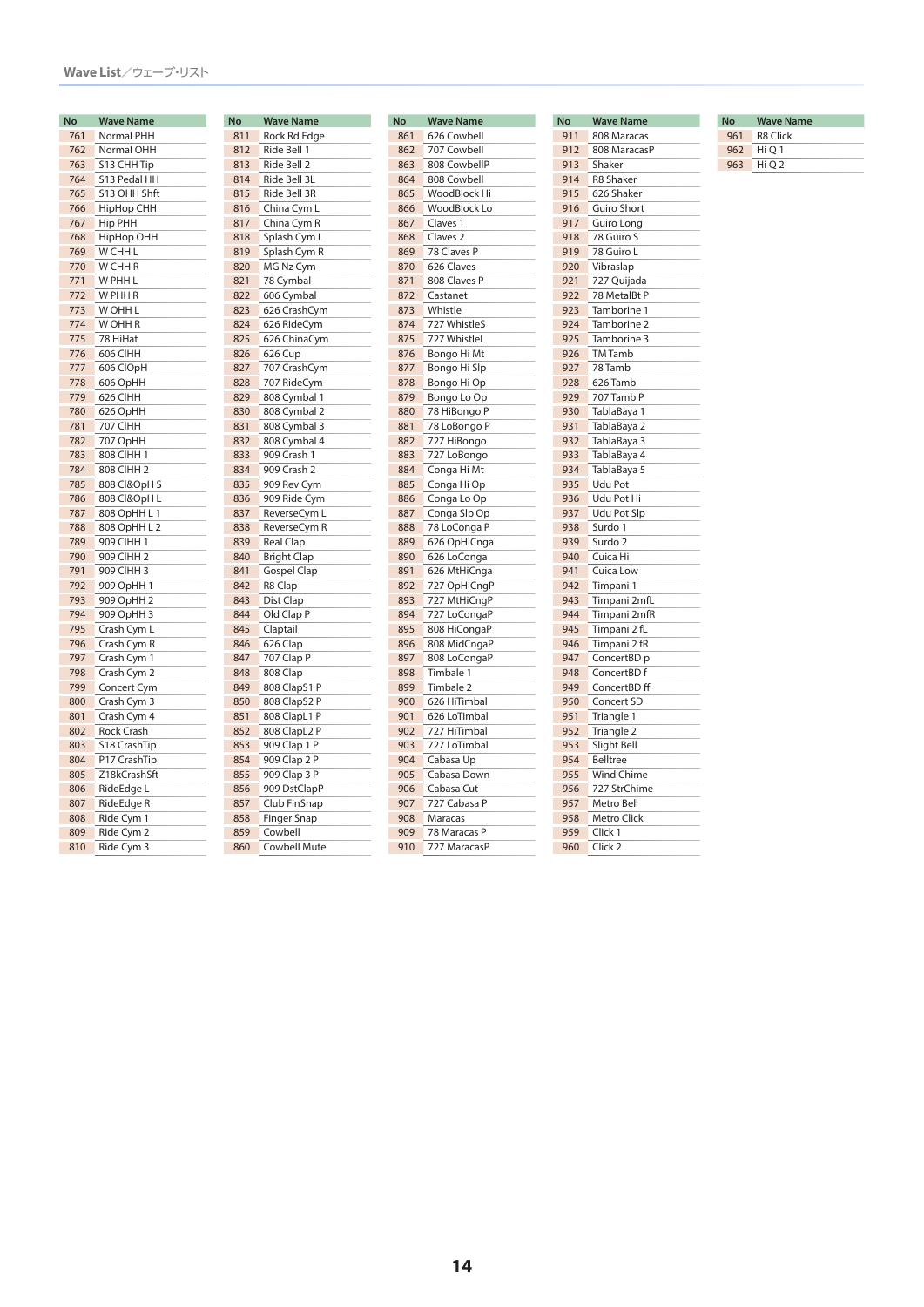| No  | Wave Name         |
|-----|-------------------|
| 761 | Normal PHH        |
| 762 | Normal OHH        |
| 763 | S13 CHH Tip       |
| 764 | S13 Pedal HH      |
| 765 | S13 OHH Shft      |
| 766 | <b>HipHop CHH</b> |
| 767 | Hip PHH           |
| 768 | HipHop OHH        |
| 769 | W CHH L           |
| 770 | W CHH R           |
| 771 | W PHH L           |
| 772 | W PHH R           |
| 773 | W OHH L           |
| 774 | W OHH R           |
| 775 | 78 HiHat          |
| 776 | 606 CIHH          |
| 777 | 606 ClOpH         |
| 778 | 606 OpHH          |
| 779 | 626 CIHH          |
| 780 | 626 OpHH          |
| 781 | 707 CIHH          |
| 782 | 707 OpHH          |
| 783 | 808 CIHH 1        |
| 784 | 808 CIHH 2        |
| 785 | 808 CI&OpH S      |
| 786 | 808 CI&OpH L      |
| 787 | 808 OpHH L 1      |
| 788 | 808 OpHH L 2      |
| 789 | 909 CIHH 1        |
| 790 | 909 CIHH 2        |
| 791 | 909 CIHH 3        |
| 792 | 909 OpHH 1        |
| 793 | 909 OpHH 2        |
| 794 | 909 OpHH 3        |
| 795 | Crash Cym L       |
| 796 | Crash Cym R       |
| 797 | Crash Cym 1       |
| 798 | Crash Cym 2       |
| 799 | Concert Cym       |
| 800 | Crash Cym 3       |
| 801 | Crash Cym 4       |
| 802 | Rock Crash        |
| 803 | S18 CrashTip      |
| 804 | P17 CrashTip      |
| 805 | Z18kCrashSft      |
| 806 | RideEdge L        |
| 807 | RideEdge R        |
| 808 | Ride Cym 1        |
| 809 | Ride Cym 2        |
| 810 | Ride Cym 3        |

| <b>No</b> | <b>Wave Name</b>    |
|-----------|---------------------|
| 811       | Rock Rd Edge        |
| 812       | Ride Bell 1         |
| 813       | Ride Bell 2         |
| 814       | Ride Bell 3L        |
| 815       | Ride Bell 3R        |
| 816       | China Cym L         |
| 817       | China Cym R         |
| 818       | Splash Cym L        |
| 819       | Splash Cym R        |
| 820       | MG Nz Cym           |
| 821       | 78 Cymbal           |
| 822       | 606 Cymbal          |
| 823       | 626 CrashCym        |
| 824       | 626 RideCym         |
| 825       | 626 ChinaCym        |
| 826       | 626 Cup             |
| 827       | 707 CrashCym        |
| 828       | 707 RideCym         |
| 829       | 808 Cymbal 1        |
| 830       | 808 Cymbal 2        |
| 831       | 808 Cymbal 3        |
| 832       | 808 Cymbal 4        |
| 833       | 909 Crash 1         |
| 834       | 909 Crash 2         |
| 835       | 909 Rev Cym         |
| 836       | 909 Ride Cym        |
| 837       | ReverseCym L        |
| 838       | ReverseCym R        |
| 839       | <b>Real Clap</b>    |
| 840       | <b>Bright Clap</b>  |
| 841       | <b>Gospel Clap</b>  |
| 842       | R8 Clap             |
| 843       | Dist Clap           |
| 844       | Old Clap P          |
| 845       | Claptail            |
| 846       | 626 Clap            |
| 847       | 707 Clap P          |
| 848       | 808 Clap            |
| 849       | 808 ClapS1 P        |
| 850       | 808 ClapS2 P        |
| 851       | 808 ClapL1 P        |
| 852       | 808 ClapL2 P        |
| 853       | 909 Clap 1 P        |
| 854       | 909 Clap 2 P        |
| 855       | 909 Clap 3 P        |
| 856       | 909 DstClapP        |
| 857       | Club FinSnap        |
| 858       | <b>Finger Snap</b>  |
| 859       | Cowbell             |
| 860       | <b>Cowbell Mute</b> |
|           |                     |

| <b>No</b> | <b>Wave Name</b>    |
|-----------|---------------------|
| 861       | 626 Cowbell         |
| 862       | 707 Cowbell         |
| 863       | 808 CowbellP        |
| 864       | 808 Cowbell         |
| 865       | WoodBlock Hi        |
| 866       | WoodBlock Lo        |
| 867       | Claves 1            |
| 868       | Claves <sub>2</sub> |
| 869       | 78 Claves P         |
| 870       | 626 Claves          |
| 871       | 808 Claves P        |
| 872       | Castanet            |
| 873       | Whistle             |
| 874       | 727 WhistleS        |
| 875       | 727 WhistleL        |
| 876       | Bongo Hi Mt         |
| 877       | Bongo Hi Slp        |
| 878       | Bongo Hi Op         |
| 879       | Bongo Lo Op         |
|           |                     |
| 880       | 78 HiBongo P        |
| 881       | 78 LoBongo P        |
| 882       | 727 HiBongo         |
| 883       | 727 LoBongo         |
| 884       | Conga Hi Mt         |
| 885       | Conga Hi Op         |
| 886       | Conga Lo Op         |
| 887       | Conga Slp Op        |
| 888       | 78 LoConga P        |
| 889       | 626 OpHiCnga        |
| 890       | 626 LoConga         |
| 891       | 626 MtHiCnga        |
| 892       | 727 OpHiCngP        |
| 893       | 727 MtHiCngP        |
| 894       | 727 LoCongaP        |
| 895       | 808 HiCongaP        |
| 896       | 808 MidCngaP        |
| 897       | 808 LoCongaP        |
| 898       | Timbale 1           |
| 899       | Timbale 2           |
| 900       | 626 HiTimbal        |
| 901       | 626 LoTimbal        |
| 902       | 727 HiTimbal        |
| 903       | 727 LoTimbal        |
| 904       | Cabasa Up           |
| 905       | Cabasa Down         |
| 906       | Cabasa Cut          |
| 907       | 727 Cabasa P        |
| 908       | Maracas             |
| 909       | 78 Maracas P        |
| 910       | 727 MaracasP        |

| No  | <b>Wave Name</b>   |
|-----|--------------------|
| 911 | 808 Maracas        |
| 912 | 808 MaracasP       |
| 913 | Shaker             |
| 914 | <b>R8 Shaker</b>   |
| 915 | 626 Shaker         |
| 916 | Guiro Short        |
| 917 | Guiro Long         |
| 918 | 78 Guiro S         |
| 919 | 78 Guiro L         |
| 920 | Vibraslap          |
| 921 | 727 Quijada        |
| 922 | 78 MetalBt P       |
| 923 | Tamborine 1        |
| 924 | Tamborine 2        |
| 925 | Tamborine 3        |
| 926 | <b>TM</b> Tamb     |
| 927 | 78 Tamb            |
| 928 | 626 Tamb           |
| 929 | 707 Tamb P         |
| 930 |                    |
| 931 | TablaBaya 1        |
| 932 | TablaBaya 2        |
|     | TablaBaya 3        |
| 933 | TablaBaya 4        |
| 934 | TablaBaya 5        |
| 935 | Udu Pot            |
| 936 | Udu Pot Hi         |
| 937 | <b>Udu Pot Slp</b> |
| 938 | Surdo 1            |
| 939 | Surdo <sub>2</sub> |
| 940 | Cuica Hi           |
| 941 | Cuica Low          |
| 942 | Timpani 1          |
| 943 | Timpani 2mfL       |
| 944 | Timpani 2mfR       |
| 945 | Timpani 2 fL       |
| 946 | Timpani 2 fR       |
| 947 | ConcertBD p        |
| 948 | ConcertBD f        |
| 949 | ConcertBD ff       |
| 950 | Concert SD         |
| 951 | Triangle 1         |
| 952 | Triangle 2         |
| 953 | Slight Bell        |
| 954 | <b>Belltree</b>    |
| 955 | <b>Wind Chime</b>  |
| 956 | 727 StrChime       |
| 957 | Metro Bell         |
| 958 | Metro Click        |
| 959 | Click 1            |
| 960 | Click <sub>2</sub> |

| No  | <b>Wave Name</b> |  |
|-----|------------------|--|
| 961 | <b>R8 Click</b>  |  |
| 962 | Hi O 1           |  |
| 963 | Hi O 2           |  |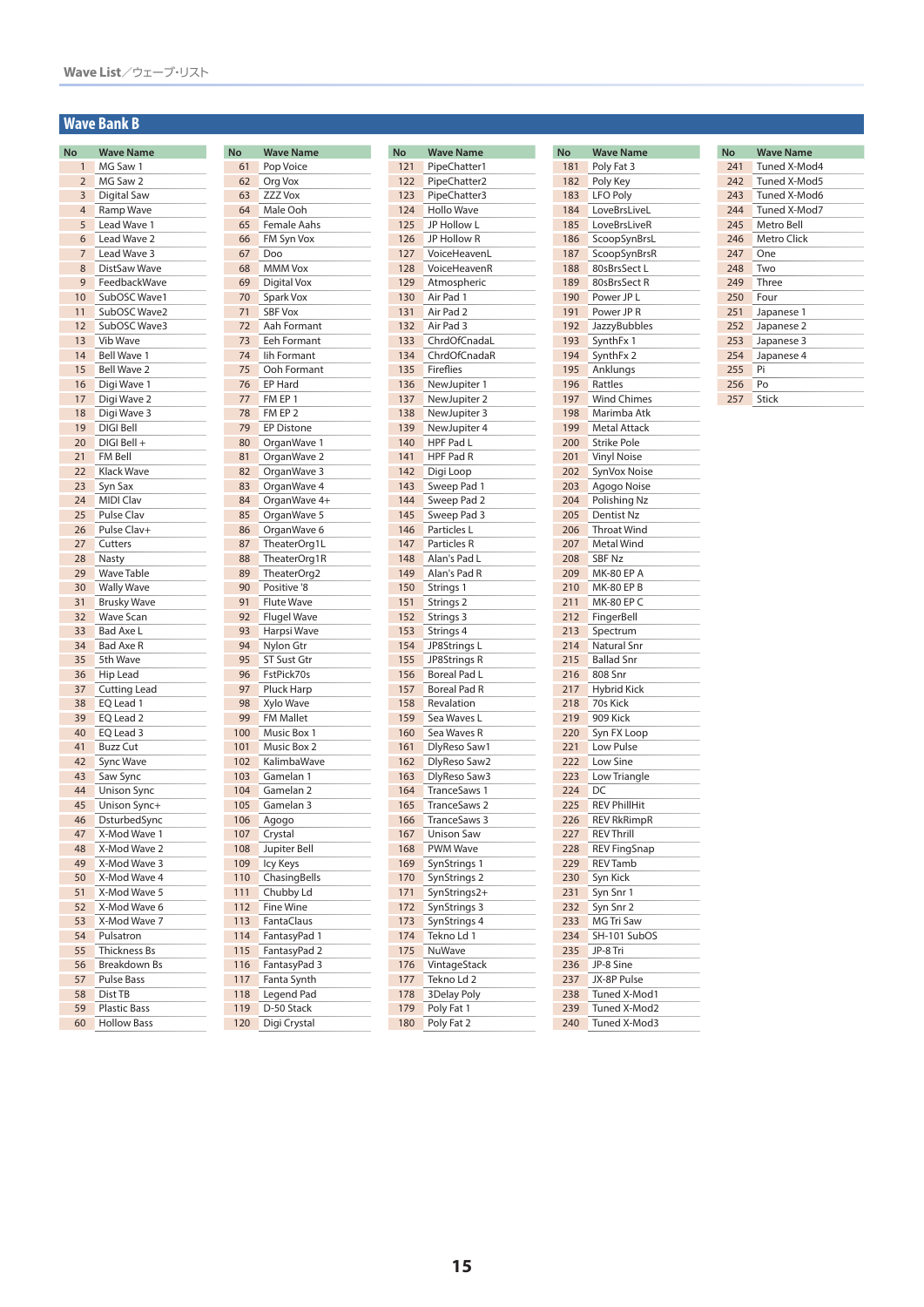### **Wave Bank B**

| No             | <b>Wave Name</b>    |
|----------------|---------------------|
| $\mathbf{1}$   | MG Saw 1            |
| $\overline{2}$ | MG Saw 2            |
| 3              | Digital Saw         |
| 4              | Ramp Wave           |
| 5              | Lead Wave 1         |
| 6              | Lead Wave 2         |
| 7              | Lead Wave 3         |
| 8              | DistSaw Wave        |
| 9              | FeedbackWave        |
| 10             | SubOSC Wave1        |
| 11             | SubOSC Wave2        |
| 12             | SubOSC Wave3        |
| 13             | Vib Wave            |
| 14             | <b>Bell Wave 1</b>  |
| 15             | <b>Bell Wave 2</b>  |
|                |                     |
| 16             | Digi Wave 1         |
| 17             | Digi Wave 2         |
| 18             | Digi Wave 3         |
| 19             | DIGI Bell           |
| 20             | DIGI Bell +         |
| 21             | FM Bell             |
| 22             | Klack Wave          |
| 23             | Syn Sax             |
| 24             | <b>MIDI Clav</b>    |
| 25             | Pulse Clav          |
| 26             | Pulse Clav+         |
| 27             | Cutters             |
| 28             | Nasty               |
| 29             | <b>Wave Table</b>   |
| 30             | <b>Wally Wave</b>   |
| 31             | <b>Brusky Wave</b>  |
| 32             | <b>Wave Scan</b>    |
| 33             | <b>Bad Axe L</b>    |
| 34             | Bad Axe R           |
| 35             | 5th Wave            |
| 36             | Hip Lead            |
| 37             | <b>Cutting Lead</b> |
| 38             | EQ Lead 1           |
|                |                     |
| 39             | EQ Lead 2           |
| 40             | EQ Lead 3           |
| 41             | Buzz Cut            |
| 42             | Sync Wave           |
| 43             | Saw Sync            |
| 44             | Unison Sync         |
| 45             | Unison Sync+        |
| 46             | DsturbedSync        |
| 47             | X-Mod Wave 1        |
| 48             | X-Mod Wave 2        |
| 49             | X-Mod Wave 3        |
| 50             | X-Mod Wave 4        |
| 51             | X-Mod Wave 5        |
| 52             | X-Mod Wave 6        |
| 53             | X-Mod Wave 7        |
| 54             | Pulsatron           |
| 55             | <b>Thickness Bs</b> |
| 56             | <b>Breakdown Bs</b> |
| 57             | <b>Pulse Bass</b>   |
| 58             | Dist TB             |
| 59             | <b>Plastic Bass</b> |
| 60             | <b>Hollow Bass</b>  |
|                |                     |

| <b>No</b>  | <b>Wave Name</b>                  |
|------------|-----------------------------------|
| 61<br>62   | Pop Voice                         |
|            | Org Vox                           |
| 63         | <b>ZZZ Vox</b>                    |
| 64         | Male Ooh<br><b>Female Aahs</b>    |
| 65         |                                   |
| 66         | FM Syn Vox                        |
| 67         | Doo                               |
| 68         | <b>MMM Vox</b>                    |
| 69         | Digital Vox                       |
| 70         | Spark Vox                         |
| 71         | <b>SBF Vox</b>                    |
| 72         | Aah Formant                       |
| 73         | <b>Eeh Formant</b>                |
| 74         | lih Formant                       |
| 75         | Ooh Formant                       |
| 76         | EP Hard                           |
| 77         | FM EP 1                           |
| 78         | FM EP 2                           |
| 79         | <b>EP Distone</b>                 |
| 80         | OrganWave 1                       |
| 81         | OrganWave 2                       |
| 82         | OrganWave 3                       |
| 83         | OrganWave 4                       |
| 84         | OrganWave 4+                      |
| 85         | OrganWave 5                       |
| 86         | OrganWave 6                       |
| 87         | TheaterOrg1L                      |
| 88         | TheaterOrg1R                      |
| 89         | TheaterOrg2                       |
| 90         | Positive '8                       |
| 91         | <b>Flute Wave</b>                 |
| 92         | <b>Flugel Wave</b>                |
| 93         | Harpsi Wave                       |
| 94         | Nylon Gtr                         |
| 95         | ST Sust Gtr                       |
| 96         | FstPick70s                        |
| 97         | Pluck Harp                        |
| 98         | Xylo Wave                         |
| 99         | <b>FM Mallet</b>                  |
| 100        | Music Box 1                       |
| 101<br>102 | <b>Music Box 2</b><br>KalimbaWave |
| 103        | Gamelan 1                         |
| 104        | Gamelan 2                         |
| 105        | Gamelan 3                         |
| 106        | Agogo                             |
| 107        |                                   |
| 108        | Crystal<br>Jupiter Bell           |
| 109        | Icy Keys                          |
| 110        | ChasingBells                      |
| 111        | Chubby Ld                         |
| 112        | <b>Fine Wine</b>                  |
| 113        | FantaClaus                        |
| 114        | FantasyPad 1                      |
| 115        | FantasyPad 2                      |
| 116        | FantasyPad 3                      |
| 117        | Fanta Synth                       |
| 118        | Legend Pad                        |
| 119        | D-50 Stack                        |
| 120        | Digi Crystal                      |
|            |                                   |

| No  | <b>Wave Name</b>    |
|-----|---------------------|
| 121 | PipeChatter1        |
| 122 | PipeChatter2        |
| 123 | PipeChatter3        |
| 124 | <b>Hollo Wave</b>   |
| 125 | JP Hollow L         |
| 126 | JP Hollow R         |
| 127 | VoiceHeavenL        |
| 128 | VoiceHeavenR        |
| 129 | Atmospheric         |
| 130 | Air Pad 1           |
| 131 | Air Pad 2           |
| 132 | Air Pad 3           |
| 133 | ChrdOfCnadaL        |
| 134 | ChrdOfCnadaR        |
| 135 | Fireflies           |
| 136 | NewJupiter 1        |
| 137 | NewJupiter 2        |
| 138 | NewJupiter 3        |
| 139 | NewJupiter 4        |
| 140 | HPF Pad L           |
| 141 | HPF Pad R           |
| 142 | Digi Loop           |
| 143 | Sweep Pad 1         |
| 144 | Sweep Pad 2         |
| 145 | Sweep Pad 3         |
| 146 | Particles L         |
| 147 | Particles R         |
| 148 | Alan's Pad L        |
| 149 | Alan's Pad R        |
| 150 | Strings 1           |
| 151 | Strings 2           |
| 152 | Strings 3           |
| 153 | Strings 4           |
| 154 | JP8Strings L        |
| 155 | JP8Strings R        |
| 156 | Boreal Pad L        |
| 157 | <b>Boreal Pad R</b> |
| 158 | Revalation          |
| 159 | Sea Waves L         |
| 160 | Sea Waves R         |
| 161 | DlyReso Saw1        |
| 162 | DlyReso Saw2        |
| 163 | DlyReso Saw3        |
| 164 | TranceSaws 1        |
| 165 | TranceSaws 2        |
| 166 | TranceSaws 3        |
| 167 | <b>Unison Saw</b>   |
| 168 | PWM Wave            |
| 169 | SynStrings 1        |
| 170 | SynStrings 2        |
| 171 | SynStrings2+        |
| 172 | SynStrings 3        |
| 173 | SynStrings 4        |
| 174 | Tekno Ld 1          |
| 175 | NuWave              |
| 176 | VintageStack        |
| 177 | Tekno Ld 2          |
| 178 | 3Delay Poly         |
| 179 | Poly Fat 1          |
| 180 | Poly Fat 2          |

| No  | <b>Wave Name</b>        |
|-----|-------------------------|
| 181 | Poly Fat 3              |
| 182 | Poly Key                |
| 183 | <b>LFO Poly</b>         |
| 184 | LoveBrsLiveL            |
| 185 | LoveBrsLiveR            |
| 186 | ScoopSynBrsL            |
| 187 | ScoopSynBrsR            |
| 188 | 80sBrsSectLL            |
| 189 | 80sBrsSect R            |
| 190 | Power JP L              |
| 191 | Power JP R              |
| 192 | JazzyBubbles            |
| 193 | SynthFx 1               |
| 194 | SynthFx 2               |
| 195 | Anklungs                |
| 196 | Rattles                 |
| 197 | <b>Wind Chimes</b>      |
| 198 | Marimba Atk             |
| 199 |                         |
| 200 | Metal Attack            |
|     | Strike Pole             |
| 201 | <b>Vinyl Noise</b>      |
| 202 | SynVox Noise            |
| 203 | Agogo Noise             |
| 204 | Polishing Nz            |
| 205 | Dentist Nz              |
| 206 | <b>Throat Wind</b>      |
| 207 | Metal Wind              |
| 208 | <b>SBF Nz</b>           |
| 209 | <b>MK-80 EP A</b>       |
| 210 | MK-80 EP B              |
| 211 | MK-80 EP C              |
| 212 | FingerBell              |
| 213 | Spectrum                |
| 214 | Natural Snr             |
| 215 | <b>Ballad Snr</b>       |
| 216 | 808 Snr                 |
| 217 | <b>Hybrid Kick</b>      |
| 218 | 70s Kick                |
| 219 | 909 Kick                |
| 220 | Syn FX Loop             |
| 221 | Low Pulse               |
| 222 | Low Sine                |
| 223 | Low Triangle            |
| 224 | DC                      |
| 225 | <b>REV PhillHit</b>     |
| 226 | <b>REV RkRimpR</b>      |
| 227 | <b>REV Thrill</b>       |
| 228 | <b>REV FingSnap</b>     |
| 229 | <b>REV Tamb</b>         |
| 230 | Syn Kick                |
| 231 | Syn Snr 1               |
|     |                         |
| 232 | Syn Snr 2<br>MG Tri Saw |
| 233 |                         |
| 234 | SH-101 SubOS            |
| 235 | JP-8 Tri                |
| 236 | JP-8 Sine               |
| 237 | JX-8P Pulse             |
| 238 | Tuned X-Mod1            |
| 239 | Tuned X-Mod2            |
| 240 | Tuned X-Mod3            |

| No  | <b>Wave Name</b> |
|-----|------------------|
| 241 | Tuned X-Mod4     |
| 242 | Tuned X-Mod5     |
| 243 | Tuned X-Mod6     |
| 244 | Tuned X-Mod7     |
| 245 | Metro Bell       |
| 246 | Metro Click      |
| 247 | One              |
| 248 | Two              |
| 249 | Three            |
| 250 | Four             |
| 251 | Japanese 1       |
| 252 | Japanese 2       |
| 253 | Japanese 3       |
| 254 | Japanese 4       |
| 255 | Pi               |
| 256 | Po               |
| 257 | Stick            |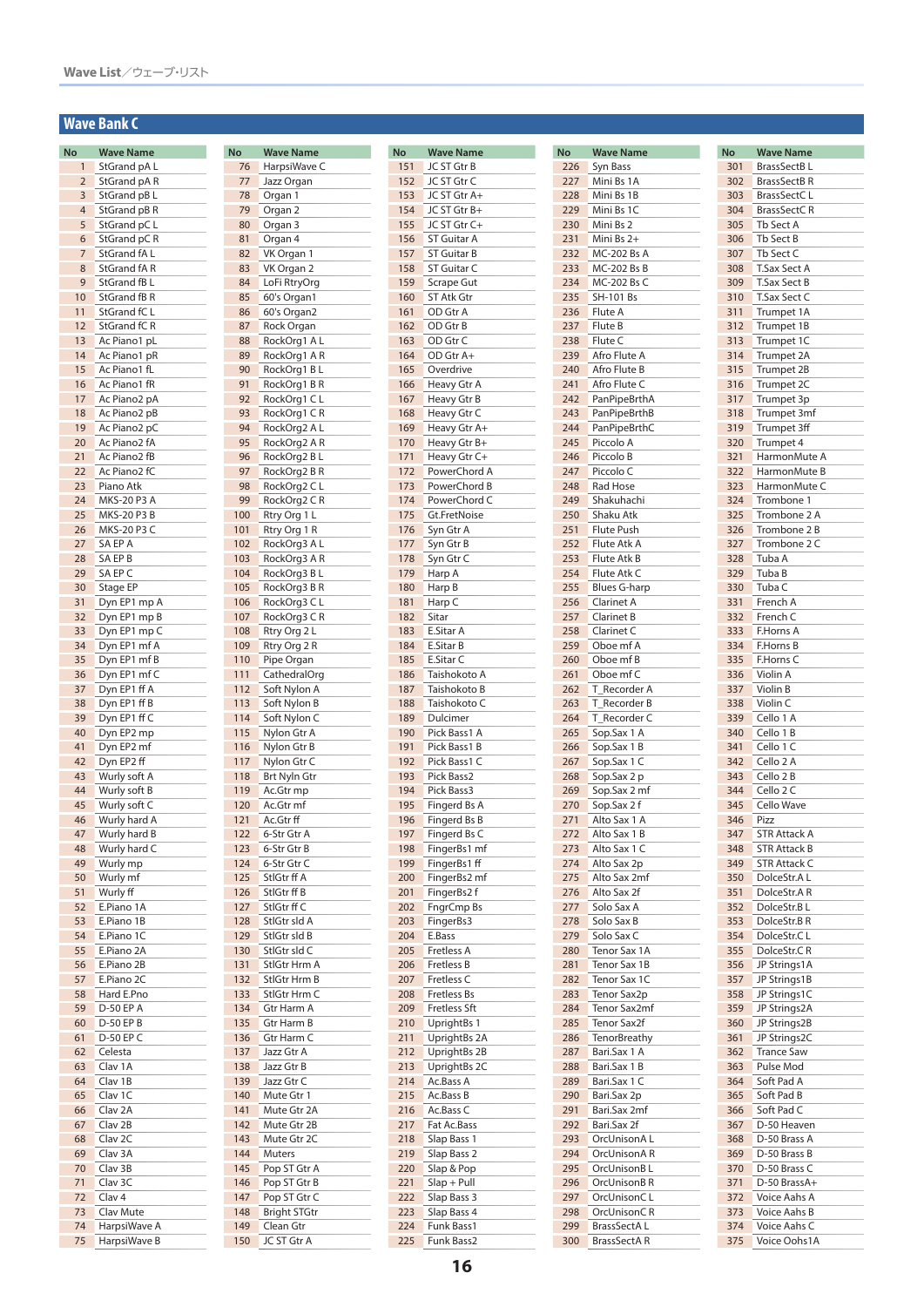### **Wave Bank C**

| No             | <b>Wave Name</b>   |
|----------------|--------------------|
| 1              | StGrand pA L       |
| $\overline{2}$ | StGrand pAR        |
| 3              | StGrand pB L       |
| 4              | StGrand pB R       |
| 5              | StGrand pC L       |
| 6              | StGrand pC R       |
| $\overline{7}$ | StGrand fAL        |
| 8              | StGrand fA R       |
| 9              | StGrand fB L       |
| 10             | StGrand fB R       |
| 11             | StGrand fC L       |
| 12             | StGrand fC R       |
| 13             | Ac Piano1 pL       |
| 14             | Ac Piano1 pR       |
| 15             | Ac Piano1 fL       |
| 16             | Ac Piano1 fR       |
| 17             | Ac Piano2 pA       |
| 18             | Ac Piano2 pB       |
| 19             | Ac Piano2 pC       |
| 20             | Ac Piano2 fA       |
| 21             | Ac Piano2 fB       |
| 22             | Ac Piano2 fC       |
| 23             | Piano Atk          |
| 24             | MKS-20 P3 A        |
|                |                    |
| 25             | MKS-20 P3 B        |
| 26             | MKS-20 P3 C        |
| 27             | SA EP A<br>SA EP B |
| 28             |                    |
| 29             | SA EP C            |
| 30             | Stage EP           |
| 31             | Dyn EP1 mp A       |
| 32             | Dyn EP1 mp B       |
| 33             | Dyn EP1 mp C       |
| 34             | Dyn EP1 mf A       |
| 35             | Dyn EP1 mf B       |
| 36             | Dyn EP1 mf C       |
| 37             | Dyn EP1 ff A       |
| 38             | Dyn EP1 ff B       |
| 39             | Dyn EP1 ff C       |
| 40             | Dyn EP2 mp         |
| 41             | Dyn EP2 mf         |
| 42             | Dyn EP2 ff         |
| 43             | Wurly soft A       |
| 44             | Wurly soft B       |
| 45             | Wurly soft C       |
| 46             | Wurly hard A       |
| 47             | Wurly hard B       |
| 48             | Wurly hard C       |
| 49             | Wurly mp           |
| 50             | Wurly mf           |
| 51             | Wurly ff           |
| 52             | E.Piano 1A         |
| 53             | E.Piano 1B         |
| 54             | E.Piano 1C         |
| 55             | E.Piano 2A         |
| 56             | E.Piano 2B         |
| 57             | E.Piano 2C         |
| 58             | Hard E.Pno         |
| 59             | D-50 EP A          |
| 60             | D-50 EP B          |
| 61             | D-50 EP C          |
| 62             | Celesta            |
| 63             | Clav 1A            |
| 64             | Clav 1B            |
| 65             | Clav 1C            |
| 66             | Clav <sub>2A</sub> |
| 67             | Clav 2B            |
| 68             | Clav 2C            |
| 69             | Clav 3A            |
| 70             | Clav 3B            |
| 71             | Clav 3C            |
| 72             | Clav <sub>4</sub>  |
| 73             | Clav Mute          |
| 74             |                    |
|                | HarpsiWave A       |
| 75             | HarpsiWave B       |

| <b>No</b>  | <b>Wave Name</b>             |
|------------|------------------------------|
| 76         | HarpsiWave C                 |
| 77         | Jazz Organ                   |
| 78         | Organ 1                      |
| 79         | Organ 2                      |
| 80<br>81   | Organ 3                      |
| 82         | Organ 4                      |
| 83         | VK Organ 1<br>VK Organ 2     |
| 84         | LoFi RtryOrg                 |
| 85         | 60's Organ1                  |
| 86         | 60's Organ2                  |
| 87         | Rock Organ                   |
| 88         | RockOrg1 AL                  |
| 89         | RockOrg1 A R                 |
| 90         | RockOrg1 B L                 |
| 91         | RockOrg1BR                   |
| 92         | RockOrg1 CL                  |
| 93         | RockOrg1 CR                  |
| 94         | RockOrg2 A L                 |
| 95         | RockOrg2 A R                 |
| 96         | RockOrg2 B L                 |
| 97         | RockOrg2 B R                 |
| 98<br>99   | RockOrg2 C<br>L              |
| 100        | RockOrg2 C R                 |
| 101        | Rtry Org 1 L<br>Rtry Org 1 R |
| 102        | RockOrg3 AL                  |
| 103        | RockOrg3 A R                 |
| 104        | RockOrg3 B L                 |
| 105        | RockOrg3 B R                 |
| 106        | RockOrg3 CL                  |
| 107        | RockOrg3 C R                 |
| 108        | Rtry Org 2 L                 |
| 109        | Rtry Org 2 R                 |
| 110        | Pipe Organ                   |
| 111        | CathedralOrg                 |
| 112        | Soft Nylon A                 |
| 113        | Soft Nylon B                 |
| 114        | Soft Nylon C                 |
| 115        | Nylon Gtr A                  |
| 116        | Nylon Gtr B                  |
| 117<br>118 | Nylon Gtr C<br>Brt Nyln Gtr  |
| 119        | Ac.Gtr mp                    |
| 120        | Ac.Gtr mf                    |
| 121        | Ac.Gtr ff                    |
| 122        | 6-Str Gtr A                  |
| 123        | 6-Str Gtr B                  |
| 124        | 6-Str Gtr C                  |
| 125        | StlGtr ff A                  |
| 126        | StlGtr ff B                  |
| 127        | StlGtr ff C                  |
| 128        | StlGtr sld A                 |
| 129        | StlGtr sld B                 |
| 130        | StlGtr sld C                 |
| 131<br>132 | StlGtr Hrm A<br>StlGtr Hrm B |
| 133        | StlGtr Hrm C                 |
| 134        | Gtr Harm A                   |
| 135        | Gtr Harm B                   |
| 136        | Gtr Harm C                   |
| 137        | Jazz Gtr A                   |
| 138        | Jazz Gtr B                   |
| 139        | Jazz Gtr C                   |
| 140        | Mute Gtr 1                   |
| 141        | Mute Gtr 2A                  |
| 142        | Mute Gtr 2B                  |
| 143        | Mute Gtr 2C                  |
| 144        | Muters                       |
| 145        | Pop ST Gtr A                 |
| 146        | Pop ST Gtr B                 |
| 147        | Pop ST Gtr C                 |
| 148        | <b>Bright STGtr</b>          |
| 149<br>150 | Clean Gtr<br>JC ST Gtr A     |
|            |                              |

| No  | <b>Wave Name</b>    |
|-----|---------------------|
| 151 | JC ST Gtr B         |
| 152 | JC ST Gtr C         |
| 153 | JC ST Gtr A+        |
| 154 | JC ST Gtr B+        |
| 155 | JC ST Gtr C+        |
| 156 | <b>ST Guitar A</b>  |
| 157 | <b>ST Guitar B</b>  |
| 158 | ST Guitar C         |
| 159 | <b>Scrape Gut</b>   |
| 160 | ST Atk Gtr          |
| 161 | OD Gtr A            |
| 162 | OD Gtr B            |
| 163 | OD Gtr C            |
| 164 | OD Gtr A+           |
| 165 | Overdrive           |
| 166 | Heavy Gtr A         |
| 167 | Heavy Gtr B         |
| 168 | Heavy Gtr C         |
| 169 | Heavy Gtr A+        |
| 170 | Heavy Gtr B+        |
| 171 | Heavy Gtr C+        |
| 172 | PowerChord A        |
| 173 | PowerChord B        |
| 174 | PowerChord C        |
| 175 | Gt.FretNoise        |
| 176 | Syn Gtr A           |
| 177 | Syn Gtr B           |
| 178 | Syn Gtr C           |
| 179 | Harp A              |
| 180 | Harp B              |
| 181 |                     |
|     | Harp C              |
| 182 | Sitar<br>E.Sitar A  |
| 183 |                     |
| 184 | E.Sitar B           |
| 185 | E.Sitar C           |
| 186 | Taishokoto A        |
| 187 | Taishokoto B        |
| 188 | Taishokoto C        |
| 189 | Dulcimer            |
| 190 | Pick Bass1 A        |
| 191 | Pick Bass1 B        |
| 192 | Pick Bass1 C        |
| 193 | Pick Bass2          |
| 194 | Pick Bass3          |
| 195 | Fingerd Bs A        |
| 196 | Fingerd Bs B        |
| 197 | Finaerd Bs C        |
| 198 | FingerBs1 mf        |
| 199 | FingerBs1 ff        |
| 200 | FingerBs2 mf        |
| 201 | FingerBs2 f         |
| 202 | FngrCmp Bs          |
| 203 | FingerBs3           |
| 204 | E.Bass              |
| 205 | <b>Fretless A</b>   |
| 206 | Fretless B          |
| 207 | Fretless C          |
| 208 | <b>Fretless Bs</b>  |
| 209 | <b>Fretless Sft</b> |
| 210 | UprightBs 1         |
| 211 | UprightBs 2A        |
| 212 | UprightBs 2B        |
| 213 | UprightBs 2C        |
| 214 | Ac.Bass A           |
| 215 | Ac.Bass B           |
| 216 | Ac.Bass C           |
| 217 | Fat Ac.Bass         |
| 218 | Slap Bass 1         |
| 219 | Slap Bass 2         |
| 220 | Slap & Pop          |
| 221 | $Slap + Pull$       |
| 222 | Slap Bass 3         |
| 223 | Slap Bass 4         |
| 224 | Funk Bass1          |
| 225 | Funk Bass2          |

| No         | <b>Wave Name</b>               |
|------------|--------------------------------|
| 226        | Syn Bass                       |
| 227        | Mini Bs 1A                     |
| 228        | Mini Bs 1B                     |
| 229        | Mini Bs 1C                     |
| 230        | Mini Bs 2                      |
| 231        | Mini Bs 2+                     |
| 232        | MC-202 Bs A                    |
| 233        | $MC-202$ Bs B                  |
| 234        | MC-202 Bs C                    |
| 235        | SH-101 Bs                      |
| 236        | Flute A                        |
| 237        | Flute B                        |
| 238        | Flute C                        |
| 239        | Afro Flute A                   |
| 240        | Afro Flute B                   |
| 241        | Afro Flute C                   |
| 242        | PanPipeBrthA                   |
| 243        | PanPipeBrthB                   |
| 244        | PanPipeBrthC                   |
| 245        | Piccolo A                      |
| 246        | Piccolo B                      |
| 247        | Piccolo C                      |
| 248        | Rad Hose                       |
| 249        | Shakuhachi                     |
| 250        | Shaku Atk<br><b>Flute Push</b> |
| 251<br>252 | Flute Atk A                    |
| 253        | Flute Atk B                    |
| 254        | Flute Atk C                    |
| 255        | <b>Blues G-harp</b>            |
| 256        | Clarinet A                     |
| 257        | Clarinet B                     |
| 258        | Clarinet C                     |
| 259        | Oboe mf A                      |
| 260        | Oboe mf B                      |
| 261        | Oboe mf C                      |
| 262        | T<br>Recorder A                |
| 263        | Recorder B<br>Т                |
| 264        | <b>Recorder C</b><br>Т         |
| 265        | Sop.Sax 1 A                    |
| 266        | Sop.Sax 1B                     |
| 267        | Sop.Sax 1 C                    |
| 268<br>269 | Sop.Sax 2 p<br>Sop.Sax 2 mf    |
| 270        | Sop.Sax $2f$                   |
| 271        | Alto Sax 1 A                   |
| 272        | Alto Sax 1 B                   |
| 273        | Alto Sax 1 C                   |
| 274        | Alto Sax 2p                    |
| 275        | Alto Sax 2mf                   |
| 276        | Alto Sax 2f                    |
| 277        | Solo Sax A                     |
| 278        | Solo Sax B                     |
| 279        | Solo Sax C                     |
| 280        | Tenor Sax 1A                   |
| 281        | Tenor Sax 1B                   |
| 282        | Tenor Sax 1C                   |
| 283        | Tenor Sax2p                    |
| 284        | Tenor Sax2mf                   |
| 285        | Tenor Sax2f                    |
| 286        | <b>TenorBreathy</b>            |
| 287        | Bari.Sax 1<br>Α                |
| 288        | Bari.Sax 1<br>Β<br>C           |
| 289<br>290 | Bari.Sax 1                     |
| 291        | Bari.Sax 2p<br>Bari.Sax 2mf    |
| 292        | Bari.Sax 2f                    |
| 293        | OrcUnisonAL                    |
| 294        | OrcUnisonAR                    |
| 295        | OrcUnisonBL                    |
| 296        | OrcUnisonBR                    |
| 297        | OrcUnisonCL                    |
| 298        | OrcUnisonCR                    |
| 299        | <b>BrassSectAL</b>             |
| 300        | <b>BrassSectAR</b>             |

| No         | <b>Wave Name</b>                         |
|------------|------------------------------------------|
| 301<br>302 | <b>BrassSectBL</b>                       |
|            | <b>BrassSectBR</b><br><b>BrassSectCL</b> |
| 303        |                                          |
| 304        | <b>BrassSectCR</b>                       |
| 305        | Tb Sect A                                |
| 306        | Tb Sect B                                |
| 307        | Tb Sect C<br><b>T.Sax Sect A</b>         |
| 308        |                                          |
| 309<br>310 | T.Sax Sect B                             |
| 311        | T.Sax Sect C                             |
| 312        | Trumpet 1A<br>Trumpet 1B                 |
| 313        | Trumpet 1C                               |
| 314        | Trumpet 2A                               |
| 315        | Trumpet 2B                               |
| 316        | Trumpet 2C                               |
| 317        | Trumpet 3p                               |
| 318        | Trumpet 3mf                              |
| 319        | Trumpet 3ff                              |
| 320        | Trumpet 4                                |
| 321        | HarmonMute A                             |
| 322        | HarmonMute B                             |
| 323        | HarmonMute C                             |
| 324        | Trombone 1                               |
| 325        | Trombone 2 A                             |
| 326        | Trombone 2 B                             |
| 327        | Trombone 2 C                             |
| 328        | Tuba A                                   |
| 329        | Tuba B                                   |
| 330        | Tuba C                                   |
| 331        | French A                                 |
| 332        | French C                                 |
| 333        | F.Horns A                                |
| 334        | F.Horns B                                |
| 335        | F.Horns C                                |
| 336        | Violin A                                 |
| 337        | Violin B                                 |
| 338        | Violin C                                 |
| 339        | Cello 1 A                                |
| 340        | Cello 1B                                 |
| 341        | Cello 1 C                                |
| 342        | Cello 2 A                                |
| 343        | Cello 2B                                 |
| 344        | Cello 2 C                                |
| 345        | Cello Wave                               |
| 346        | Pizz                                     |
| 347        | <b>STR Attack A</b>                      |
| 348        | <b>STR Attack B</b>                      |
| 349        | <b>STR Attack C</b>                      |
| 350        | DolceStr.AL                              |
| 351        | DolceStr.A R                             |
| 352        | DolceStr.BL                              |
| 353        | DolceStr.B R                             |
| 354        | DolceStr.CL                              |
| 355        | DolceStr.CR                              |
| 356        | JP Strings1A                             |
| 357        | JP Strings1B                             |
| 358        | JP Strings1C                             |
| 359        | JP Strings2A                             |
| 360        | JP Strings2B                             |
| 361        | JP Strings2C                             |
| 362        | <b>Trance Saw</b>                        |
| 363        | Pulse Mod                                |
| 364        | Soft Pad A                               |
| 365        | Soft Pad B                               |
| 366        | Soft Pad C                               |
| 367<br>368 | D-50 Heaven<br>D-50 Brass A              |
| 369        | D-50 Brass B                             |
| 370        | D-50 Brass C                             |
|            | D-50 BrassA+                             |
| 371<br>372 | Voice Aahs A                             |
| 373        | Voice Aahs B                             |
| 374        | Voice Aahs C                             |
| 375        | Voice Oohs1A                             |
|            |                                          |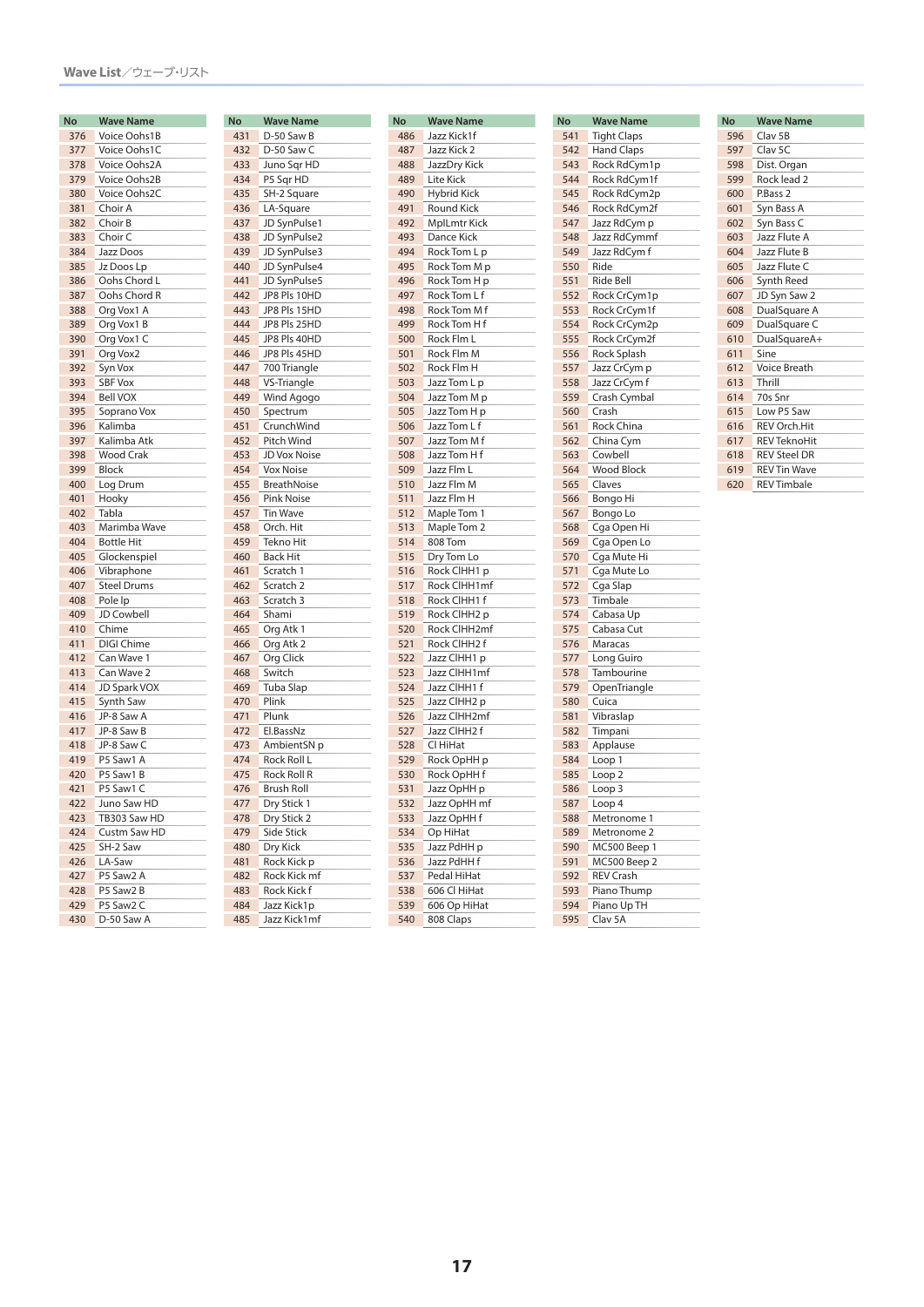| No  | Wave Name          |
|-----|--------------------|
| 376 | Voice Oohs1B       |
| 377 | Voice Oohs1C       |
| 378 | Voice Oohs2A       |
| 379 | Voice Oohs2B       |
| 380 | Voice Oohs2C       |
| 381 | Choir A            |
| 382 | Choir B            |
| 383 | Choir C            |
| 384 | Jazz Doos          |
| 385 | Jz Doos Lp         |
| 386 | Oohs Chord L       |
| 387 | Oohs Chord R       |
| 388 | Org Vox1 A         |
| 389 | Org Vox1 B         |
| 390 | Org Vox1 C         |
| 391 | Org Vox2           |
| 392 | Syn Vox            |
| 393 | <b>SBF Vox</b>     |
| 394 | <b>Bell VOX</b>    |
| 395 | Soprano Vox        |
| 396 | Kalimba            |
| 397 | Kalimba Atk        |
| 398 | <b>Wood Crak</b>   |
| 399 | Block              |
| 400 | Log Drum           |
| 401 | Hooky              |
| 402 | Tabla              |
| 403 | Marimba Wave       |
| 404 | <b>Bottle Hit</b>  |
| 405 | Glockenspiel       |
| 406 | Vibraphone         |
| 407 | <b>Steel Drums</b> |
| 408 | Pole Ip            |
| 409 | JD Cowbell         |
| 410 | Chime              |
| 411 | DIGI Chime         |
| 412 | Can Wave 1         |
| 413 | Can Wave 2         |
| 414 | JD Spark VOX       |
| 415 | Synth Saw          |
| 416 | JP-8 Saw A         |
| 417 | JP-8 Saw B         |
| 418 | JP-8 Saw C         |
| 419 | P5 Saw1 A          |
| 420 | P5 Saw1 B          |
| 421 | P5 Saw1 C          |
| 422 | Juno Saw HD        |
| 423 | TB303 Saw HD       |
| 424 | Custm Saw HD       |
| 425 | SH-2 Saw           |
| 426 | LA-Saw             |
| 427 | P5 Saw2 A          |
| 428 | P5 Saw2 B          |
| 429 | P5 Saw2 C          |
| 430 | D-50 Saw A         |

| <b>No</b> | <b>Wave Name</b>   |  |  |  |  |
|-----------|--------------------|--|--|--|--|
| 431       | D-50 Saw B         |  |  |  |  |
| 432       | D-50 Saw C         |  |  |  |  |
| 433       | Juno Sqr HD        |  |  |  |  |
| 434       | P5 Sqr HD          |  |  |  |  |
| 435       | SH-2 Square        |  |  |  |  |
| 436       | LA-Square          |  |  |  |  |
| 437       | JD SynPulse1       |  |  |  |  |
|           |                    |  |  |  |  |
| 438       | JD SynPulse2       |  |  |  |  |
| 439       | JD SynPulse3       |  |  |  |  |
| 440       | JD SynPulse4       |  |  |  |  |
| 441       | JD SynPulse5       |  |  |  |  |
| 442       | JP8 Pls 10HD       |  |  |  |  |
| 443       | JP8 Pls 15HD       |  |  |  |  |
| 444       | JP8 Pls 25HD       |  |  |  |  |
| 445       | JP8 Pls 40HD       |  |  |  |  |
| 446       | JP8 Pls 45HD       |  |  |  |  |
| 447       | 700 Triangle       |  |  |  |  |
| 448       | VS-Triangle        |  |  |  |  |
| 449       | Wind Agogo         |  |  |  |  |
| 450       | Spectrum           |  |  |  |  |
| 451       | CrunchWind         |  |  |  |  |
| 452       | Pitch Wind         |  |  |  |  |
| 453       | JD Vox Noise       |  |  |  |  |
| 454       | <b>Vox Noise</b>   |  |  |  |  |
| 455       | <b>BreathNoise</b> |  |  |  |  |
| 456       | <b>Pink Noise</b>  |  |  |  |  |
| 457       | <b>Tin Wave</b>    |  |  |  |  |
| 458       | Orch. Hit          |  |  |  |  |
| 459       | <b>Tekno Hit</b>   |  |  |  |  |
| 460       | <b>Back Hit</b>    |  |  |  |  |
| 461       | Scratch 1          |  |  |  |  |
| 462       | Scratch 2          |  |  |  |  |
| 463       | Scratch 3          |  |  |  |  |
| 464       | Shami              |  |  |  |  |
| 465       | Org Atk 1          |  |  |  |  |
| 466       | Org Atk 2          |  |  |  |  |
| 467       | Org Click          |  |  |  |  |
| 468       | Switch             |  |  |  |  |
| 469       | Tuba Slap          |  |  |  |  |
| 470       | Plink              |  |  |  |  |
| 471       | Plunk              |  |  |  |  |
| 472       | El.BassNz          |  |  |  |  |
| 473       | AmbientSN p        |  |  |  |  |
| 474       | Rock Roll L        |  |  |  |  |
| 475       | Rock Roll R        |  |  |  |  |
| 476       | <b>Brush Roll</b>  |  |  |  |  |
| 477       | Dry Stick 1        |  |  |  |  |
| 478       | Dry Stick 2        |  |  |  |  |
| 479       | <b>Side Stick</b>  |  |  |  |  |
| 480       | Dry Kick           |  |  |  |  |
| 481       | Rock Kick p        |  |  |  |  |
| 482       | Rock Kick mf       |  |  |  |  |
| 483       | Rock Kick f        |  |  |  |  |
| 484       | Jazz Kick1p        |  |  |  |  |
| 485       | Jazz Kick1mf       |  |  |  |  |
|           |                    |  |  |  |  |

| No  | <b>Wave Name</b>   |
|-----|--------------------|
| 486 | Jazz Kick1f        |
| 487 | Jazz Kick 2        |
| 488 | JazzDry Kick       |
| 489 | Lite Kick          |
| 490 | <b>Hybrid Kick</b> |
| 491 | <b>Round Kick</b>  |
| 492 | MplLmtr Kick       |
| 493 | Dance Kick         |
| 494 | Rock Tom L p       |
| 495 | Rock Tom M p       |
| 496 |                    |
|     | Rock Tom H p       |
| 497 | Rock Tom L f       |
| 498 | Rock Tom M f       |
| 499 | Rock Tom H f       |
| 500 | Rock Flm L         |
| 501 | Rock Flm M         |
| 502 | Rock Flm H         |
| 503 | Jazz Tom L p       |
| 504 | Jazz Tom M p       |
| 505 | Jazz Tom H p       |
| 506 | Jazz Tom L f       |
| 507 | Jazz Tom M f       |
| 508 | Jazz Tom H f       |
| 509 | Jazz Flm L         |
| 510 | Jazz Flm M         |
| 511 | Jazz Flm H         |
| 512 | Maple Tom 1        |
| 513 | Maple Tom 2        |
| 514 | 808 Tom            |
| 515 | Dry Tom Lo         |
| 516 | Rock CIHH1 p       |
| 517 | Rock ClHH1mf       |
| 518 | Rock CIHH1 f       |
| 519 | Rock ClHH2 p       |
| 520 | Rock CIHH2mf       |
| 521 | Rock CIHH2 f       |
| 522 | Jazz ClHH1 p       |
| 523 | Jazz ClHH1mf       |
| 524 | Jazz CIHH1 f       |
| 525 | Jazz ClHH2 p       |
| 526 | Jazz ClHH2mf       |
| 527 | Jazz CIHH2 f       |
| 528 | Cl HiHat           |
| 529 | Rock OpHH p        |
| 530 | Rock OpHH f        |
| 531 | Jazz OpHH p        |
| 532 | Jazz OpHH mf       |
| 533 | Jazz OpHH f        |
| 534 | Op HiHat           |
| 535 | Jazz PdHH p        |
| 536 |                    |
|     | Jazz PdHH f        |
| 537 | Pedal HiHat        |
| 538 | 606 Cl HiHat       |
| 539 | 606 Op HiHat       |
| 540 | 808 Claps          |

| No  | <b>Wave Name</b>   |
|-----|--------------------|
| 541 | <b>Tight Claps</b> |
| 542 | Hand Claps         |
| 543 | Rock RdCym1p       |
| 544 | Rock RdCym1f       |
| 545 | Rock RdCym2p       |
| 546 | Rock RdCym2f       |
| 547 | Jazz RdCym p       |
| 548 | Jazz RdCymmf       |
| 549 | Jazz RdCym f       |
| 550 | Ride               |
| 551 | Ride Bell          |
| 552 | Rock CrCym1p       |
| 553 | Rock CrCym1f       |
| 554 | Rock CrCym2p       |
| 555 | Rock CrCym2f       |
| 556 | Rock Splash        |
| 557 | Jazz CrCym p       |
| 558 | Jazz CrCym f       |
| 559 | Crash Cymbal       |
| 560 | Crash              |
| 561 | Rock China         |
| 562 | China Cym          |
| 563 | Cowbell            |
| 564 | <b>Wood Block</b>  |
| 565 | Claves             |
| 566 | Bongo Hi           |
| 567 | Bongo Lo           |
| 568 | Cga Open Hi        |
| 569 | Cga Open Lo        |
| 570 | Cga Mute Hi        |
| 571 | Cga Mute Lo        |
| 572 | Cga Slap           |
| 573 | Timbale            |
| 574 | Cabasa Up          |
| 575 | Cabasa Cut         |
| 576 | Maracas            |
| 577 | Long Guiro         |
| 578 | Tambourine         |
| 579 | OpenTriangle       |
| 580 | Cuica              |
| 581 | Vibraslap          |
| 582 | Timpani            |
| 583 | Applause           |
| 584 | Loop 1             |
| 585 | Loop 2             |
| 586 | Loop 3             |
| 587 | Loop 4             |
| 588 | Metronome 1        |
| 589 | Metronome 2        |
| 590 | MC500 Beep 1       |
| 591 | MC500 Beep 2       |
| 592 | REV Crash          |
| 593 | Piano Thump        |
| 594 | Piano Up TH        |
| 595 | Clav <sub>5A</sub> |
|     |                    |

| <b>No</b> | <b>Wave Name</b>    |
|-----------|---------------------|
| 596       | Clav <sub>5B</sub>  |
| 597       | Clay 5C             |
| 598       | Dist. Organ         |
| 599       | Rock lead 2         |
| 600       | P.Bass 2            |
| 601       | Syn Bass A          |
| 602       | Syn Bass C          |
| 603       | Jazz Flute A        |
| 604       | Jazz Flute B        |
| 605       | Jazz Flute C        |
| 606       | Synth Reed          |
| 607       | JD Syn Saw 2        |
| 608       | DualSquare A        |
| 609       | DualSquare C        |
| 610       | DualSquareA+        |
| 611       | Sine                |
| 612       | <b>Voice Breath</b> |
| 613       | Thrill              |
| 614       | 70s Snr             |
| 615       | Low P5 Saw          |
| 616       | <b>REV Orch.Hit</b> |
| 617       | <b>REV TeknoHit</b> |
| 618       | <b>REV Steel DR</b> |
| 619       | <b>REV Tin Wave</b> |
| 620       | <b>REV Timbale</b>  |